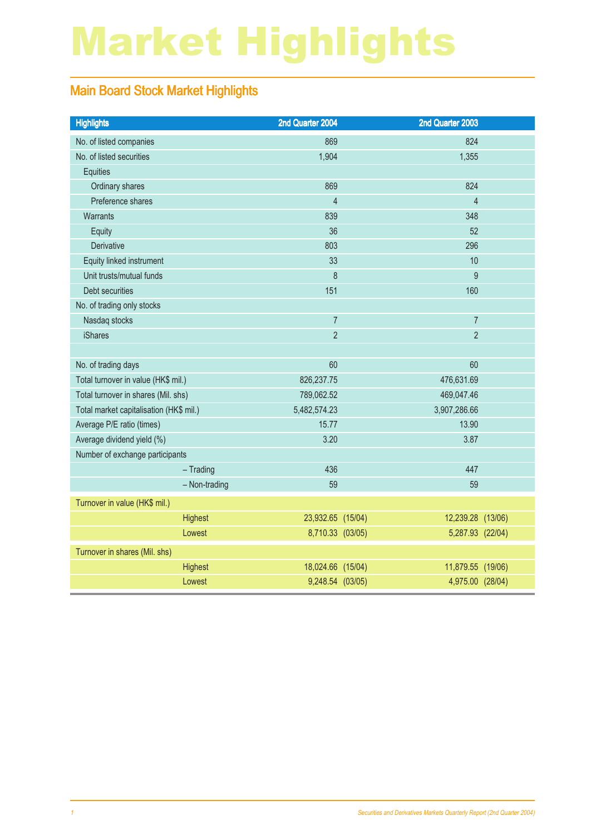# Market Highlights

### Main Board Stock Market Highlights

| <b>Highlights</b>                       | 2nd Quarter 2004  | 2nd Quarter 2003  |  |
|-----------------------------------------|-------------------|-------------------|--|
| No. of listed companies                 | 869               | 824               |  |
| No. of listed securities                | 1,904             | 1,355             |  |
| <b>Equities</b>                         |                   |                   |  |
| Ordinary shares                         | 869               | 824               |  |
| Preference shares                       | $\overline{4}$    | $\overline{4}$    |  |
| Warrants                                | 839               | 348               |  |
| Equity                                  | 36                | 52                |  |
| Derivative                              | 803               | 296               |  |
| Equity linked instrument                | 33                | 10                |  |
| Unit trusts/mutual funds                | 8                 | 9                 |  |
| Debt securities                         | 151               | 160               |  |
| No. of trading only stocks              |                   |                   |  |
| Nasdaq stocks                           | $\overline{7}$    | $\overline{7}$    |  |
| <b>iShares</b>                          | $\overline{2}$    | $\overline{2}$    |  |
|                                         |                   |                   |  |
| No. of trading days                     | 60                | 60                |  |
| Total turnover in value (HK\$ mil.)     | 826, 237. 75      | 476,631.69        |  |
| Total turnover in shares (Mil. shs)     | 789,062.52        | 469,047.46        |  |
| Total market capitalisation (HK\$ mil.) | 5,482,574.23      | 3,907,286.66      |  |
| Average P/E ratio (times)               | 15.77             | 13.90             |  |
| Average dividend yield (%)              | 3.20              | 3.87              |  |
| Number of exchange participants         |                   |                   |  |
| $-$ Trading                             | 436               | 447               |  |
| - Non-trading                           | 59                | 59                |  |
| Turnover in value (HK\$ mil.)           |                   |                   |  |
| Highest                                 | 23,932.65 (15/04) | 12,239.28 (13/06) |  |
| Lowest                                  | 8,710.33 (03/05)  | 5,287.93 (22/04)  |  |
| Turnover in shares (Mil. shs)           |                   |                   |  |
| Highest                                 | 18,024.66 (15/04) | 11,879.55 (19/06) |  |
| Lowest                                  | 9,248.54 (03/05)  | 4,975.00 (28/04)  |  |
|                                         |                   |                   |  |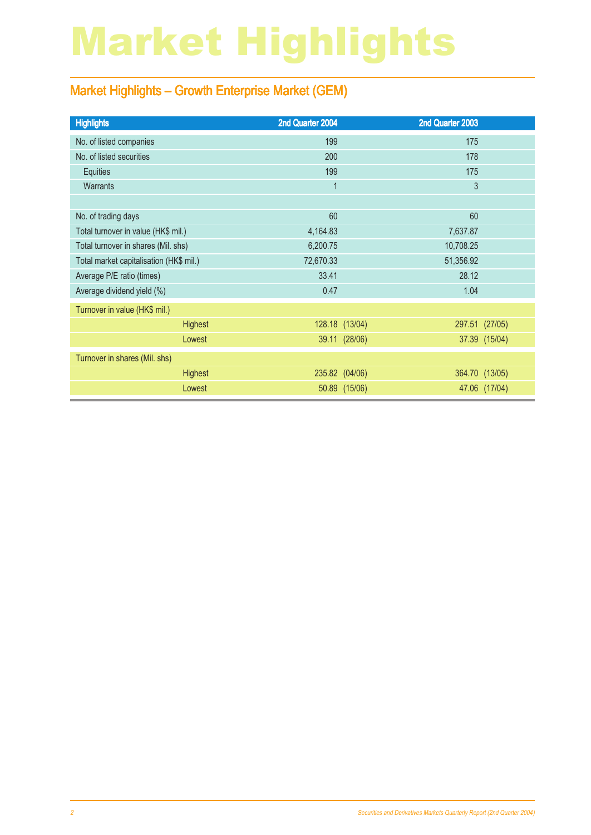# Market Highlights

### Market Highlights – Growth Enterprise Market (GEM)

| <b>Highlights</b>                       | 2nd Quarter 2004 |                | 2nd Quarter 2003 |                |
|-----------------------------------------|------------------|----------------|------------------|----------------|
| No. of listed companies                 | 199              |                | 175              |                |
| No. of listed securities                | 200              |                | 178              |                |
| Equities                                | 199              |                | 175              |                |
| <b>Warrants</b>                         | $\mathbf 1$      |                | 3                |                |
|                                         |                  |                |                  |                |
| No. of trading days                     | 60               |                | 60               |                |
| Total turnover in value (HK\$ mil.)     | 4,164.83         |                | 7,637.87         |                |
| Total turnover in shares (Mil. shs)     | 6,200.75         |                | 10,708.25        |                |
| Total market capitalisation (HK\$ mil.) | 72,670.33        |                | 51,356.92        |                |
| Average P/E ratio (times)               | 33.41            |                | 28.12            |                |
| Average dividend yield (%)              | 0.47             |                | 1.04             |                |
| Turnover in value (HK\$ mil.)           |                  |                |                  |                |
| <b>Highest</b>                          |                  | 128.18 (13/04) |                  | 297.51 (27/05) |
| Lowest                                  |                  | 39.11 (28/06)  |                  | 37.39 (15/04)  |
| Turnover in shares (Mil. shs)           |                  |                |                  |                |
| <b>Highest</b>                          |                  | 235.82 (04/06) |                  | 364.70 (13/05) |
| Lowest                                  |                  | 50.89 (15/06)  |                  | 47.06 (17/04)  |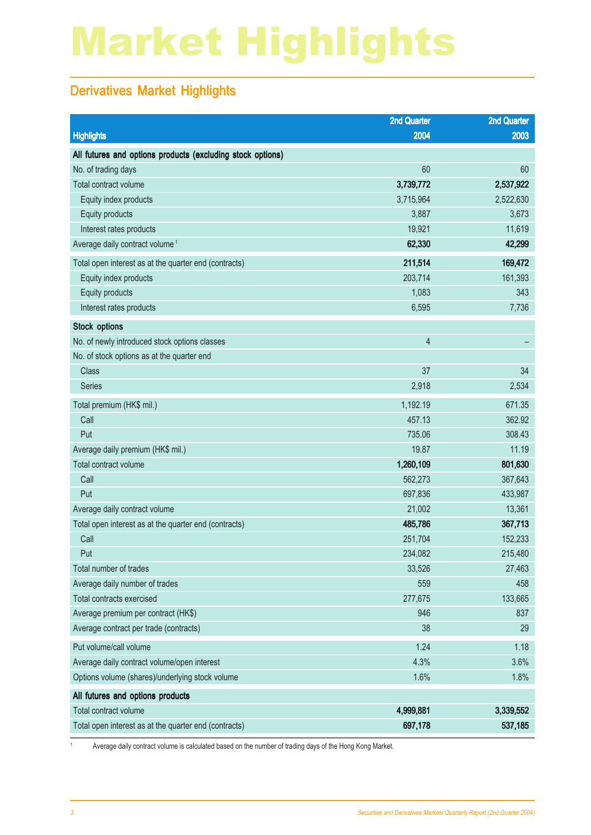# Market Highlights

### Derivatives Market Highlights

|                                                            | <b>2nd Quarter</b> | <b>2nd Quarter</b> |
|------------------------------------------------------------|--------------------|--------------------|
| <b>Highlights</b>                                          | 2004               | 2003               |
| All futures and options products (excluding stock options) |                    |                    |
| No. of trading days                                        | 60                 | 60                 |
| Total contract volume                                      | 3,739,772          | 2,537,922          |
| Equity index products                                      | 3,715,964          | 2,522,630          |
| Equity products                                            | 3,887              | 3,673              |
| Interest rates products                                    | 19,921             | 11,619             |
| Average daily contract volume <sup>1</sup>                 | 62,330             | 42,299             |
| Total open interest as at the quarter end (contracts)      | 211,514            | 169,472            |
| Equity index products                                      | 203,714            | 161,393            |
| Equity products                                            | 1,083              | 343                |
| Interest rates products                                    | 6,595              | 7,736              |
| <b>Stock options</b>                                       |                    |                    |
| No. of newly introduced stock options classes              | $\overline{4}$     |                    |
| No. of stock options as at the quarter end                 |                    |                    |
| <b>Class</b>                                               | 37                 | 34                 |
| <b>Series</b>                                              | 2,918              | 2,534              |
| Total premium (HK\$ mil.)                                  | 1,192.19           | 671.35             |
| Call                                                       | 457.13             | 362.92             |
| Put                                                        | 735.06             | 308.43             |
| Average daily premium (HK\$ mil.)                          | 19.87              | 11.19              |
| Total contract volume                                      | 1,260,109          | 801,630            |
| Call                                                       | 562,273            | 367,643            |
| Put                                                        | 697,836            | 433,987            |
| Average daily contract volume                              | 21,002             | 13,361             |
| Total open interest as at the quarter end (contracts)      | 485,786            | 367,713            |
| Call                                                       | 251,704            | 152,233            |
| Put                                                        | 234,082            | 215,480            |
| Total number of trades                                     | 33,526             | 27,463             |
| Average daily number of trades                             | 559                | 458                |
| Total contracts exercised                                  | 277,675            | 133,665            |
| Average premium per contract (HK\$)                        | 946                | 837                |
| Average contract per trade (contracts)                     | 38                 | 29                 |
| Put volume/call volume                                     | 1.24               | 1.18               |
| Average daily contract volume/open interest                | 4.3%               | 3.6%               |
| Options volume (shares)/underlying stock volume            | 1.6%               | 1.8%               |
| All futures and options products                           |                    |                    |
| Total contract volume                                      | 4,999,881          | 3,339,552          |
| Total open interest as at the quarter end (contracts)      | 697,178            | 537,185            |

<sup>1</sup> Average daily contract volume is calculated based on the number of trading days of the Hong Kong Market.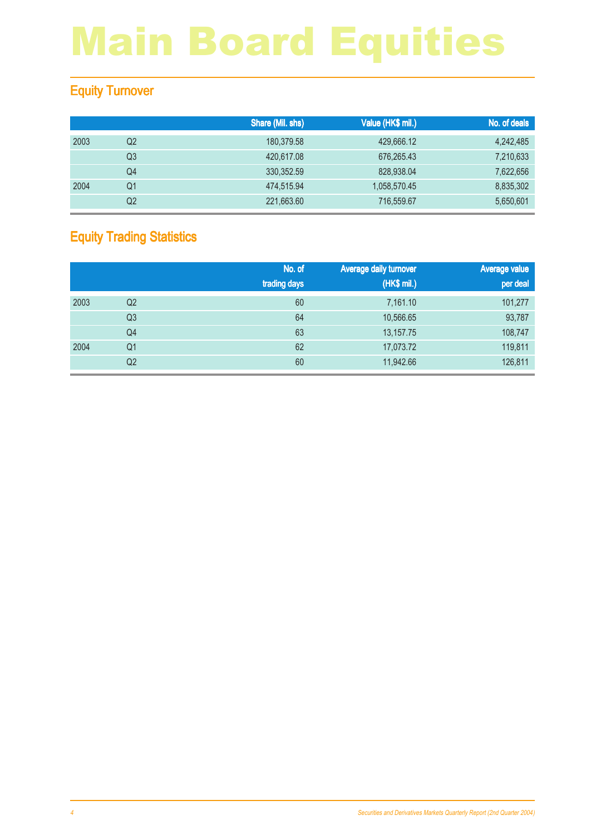### Equity Turnover

|      |    | Share (Mil. shs) | Value (HK\$ mil.) | No. of deals |
|------|----|------------------|-------------------|--------------|
| 2003 | Q2 | 180,379.58       | 429,666.12        | 4,242,485    |
|      | Q3 | 420,617.08       | 676,265.43        | 7,210,633    |
|      | Q4 | 330.352.59       | 828,938,04        | 7,622,656    |
| 2004 | Q1 | 474,515.94       | 1,058,570.45      | 8,835,302    |
|      | Q2 | 221,663.60       | 716,559.67        | 5,650,601    |

### Equity Trading Statistics

|      |                | No. of<br>trading days | <b>Average daily turnover</b><br>(HK\$ mil.) | <b>Average value</b><br>per deal |
|------|----------------|------------------------|----------------------------------------------|----------------------------------|
| 2003 | Q <sub>2</sub> | 60                     | 7,161.10                                     | 101,277                          |
|      | Q <sub>3</sub> | 64                     | 10,566.65                                    | 93,787                           |
|      | Q4             | 63                     | 13, 157. 75                                  | 108,747                          |
| 2004 | Q <sub>1</sub> | 62                     | 17,073.72                                    | 119,811                          |
|      | Q <sub>2</sub> | 60                     | 11,942.66                                    | 126,811                          |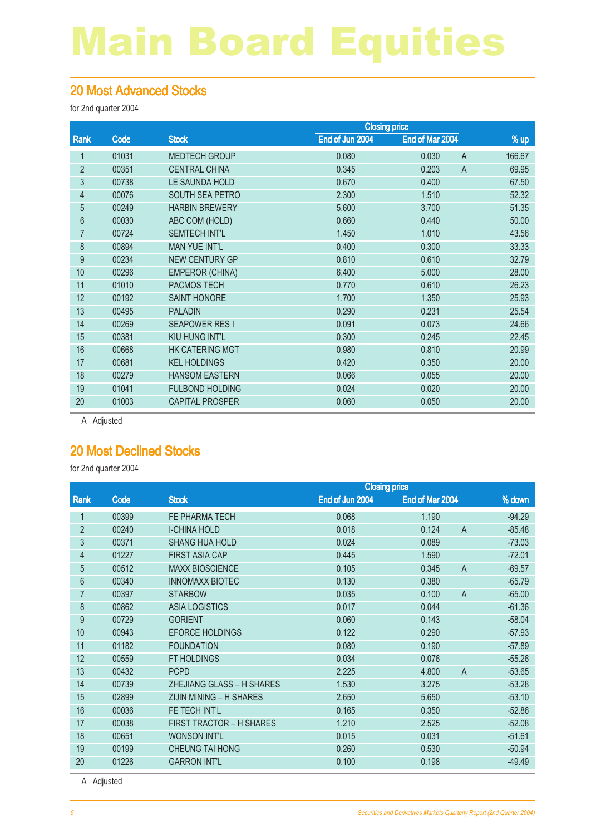#### 20 Most Advanced Stocks

for 2nd quarter 2004

|                |       | <b>Closing price</b>   |                 |                         |        |
|----------------|-------|------------------------|-----------------|-------------------------|--------|
| Rank           | Code  | <b>Stock</b>           | End of Jun 2004 | End of Mar 2004         | % up   |
| 1              | 01031 | <b>MEDTECH GROUP</b>   | 0.080           | 0.030<br>$\overline{A}$ | 166.67 |
| $\overline{2}$ | 00351 | <b>CENTRAL CHINA</b>   | 0.345           | $\overline{A}$<br>0.203 | 69.95  |
| 3              | 00738 | LE SAUNDA HOLD         | 0.670           | 0.400                   | 67.50  |
| $\overline{4}$ | 00076 | <b>SOUTH SEA PETRO</b> | 2.300           | 1.510                   | 52.32  |
| $\overline{5}$ | 00249 | <b>HARBIN BREWERY</b>  | 5.600           | 3.700                   | 51.35  |
| 6              | 00030 | ABC COM (HOLD)         | 0.660           | 0.440                   | 50.00  |
| $\overline{7}$ | 00724 | <b>SEMTECH INT'L</b>   | 1.450           | 1.010                   | 43.56  |
| 8              | 00894 | <b>MAN YUE INT'L</b>   | 0.400           | 0.300                   | 33.33  |
| 9              | 00234 | <b>NEW CENTURY GP</b>  | 0.810           | 0.610                   | 32.79  |
| 10             | 00296 | <b>EMPEROR (CHINA)</b> | 6.400           | 5.000                   | 28.00  |
| 11             | 01010 | <b>PACMOS TECH</b>     | 0.770           | 0.610                   | 26.23  |
| 12             | 00192 | <b>SAINT HONORE</b>    | 1.700           | 1.350                   | 25.93  |
| 13             | 00495 | <b>PALADIN</b>         | 0.290           | 0.231                   | 25.54  |
| 14             | 00269 | <b>SEAPOWER RESI</b>   | 0.091           | 0.073                   | 24.66  |
| 15             | 00381 | KIU HUNG INT'L         | 0.300           | 0.245                   | 22.45  |
| 16             | 00668 | <b>HK CATERING MGT</b> | 0.980           | 0.810                   | 20.99  |
| 17             | 00681 | <b>KEL HOLDINGS</b>    | 0.420           | 0.350                   | 20.00  |
| 18             | 00279 | <b>HANSOM EASTERN</b>  | 0.066           | 0.055                   | 20.00  |
| 19             | 01041 | <b>FULBOND HOLDING</b> | 0.024           | 0.020                   | 20.00  |
| 20             | 01003 | <b>CAPITAL PROSPER</b> | 0.060           | 0.050                   | 20.00  |
|                |       |                        |                 |                         |        |

A Adjusted

### 20 Most Declined Stocks

for 2nd quarter 2004

|                |       | <b>Closing price</b>             |                 |                         |          |
|----------------|-------|----------------------------------|-----------------|-------------------------|----------|
| Rank           | Code  | <b>Stock</b>                     | End of Jun 2004 | End of Mar 2004         | % down   |
|                | 00399 | FE PHARMA TECH                   | 0.068           | 1.190                   | $-94.29$ |
| $\overline{2}$ | 00240 | <b>I-CHINA HOLD</b>              | 0.018           | 0.124<br>$\overline{A}$ | $-85.48$ |
| 3              | 00371 | <b>SHANG HUA HOLD</b>            | 0.024           | 0.089                   | $-73.03$ |
| 4              | 01227 | <b>FIRST ASIA CAP</b>            | 0.445           | 1.590                   | $-72.01$ |
| 5              | 00512 | <b>MAXX BIOSCIENCE</b>           | 0.105           | 0.345<br>$\overline{A}$ | $-69.57$ |
| 6              | 00340 | <b>INNOMAXX BIOTEC</b>           | 0.130           | 0.380                   | $-65.79$ |
| 7              | 00397 | <b>STARBOW</b>                   | 0.035           | 0.100<br>$\overline{A}$ | $-65.00$ |
| 8              | 00862 | <b>ASIA LOGISTICS</b>            | 0.017           | 0.044                   | $-61.36$ |
| 9              | 00729 | <b>GORIENT</b>                   | 0.060           | 0.143                   | $-58.04$ |
| 10             | 00943 | <b>EFORCE HOLDINGS</b>           | 0.122           | 0.290                   | $-57.93$ |
| 11             | 01182 | <b>FOUNDATION</b>                | 0.080           | 0.190                   | $-57.89$ |
| 12             | 00559 | FT HOLDINGS                      | 0.034           | 0.076                   | $-55.26$ |
| 13             | 00432 | <b>PCPD</b>                      | 2.225           | 4.800<br>$\overline{A}$ | $-53.65$ |
| 14             | 00739 | <b>ZHEJIANG GLASS - H SHARES</b> | 1.530           | 3.275                   | $-53.28$ |
| 15             | 02899 | ZIJIN MINING - H SHARES          | 2.650           | 5.650                   | $-53.10$ |
| 16             | 00036 | FE TECH INT'L                    | 0.165           | 0.350                   | $-52.86$ |
| 17             | 00038 | <b>FIRST TRACTOR - H SHARES</b>  | 1.210           | 2.525                   | $-52.08$ |
| 18             | 00651 | <b>WONSON INT'L</b>              | 0.015           | 0.031                   | $-51.61$ |
| 19             | 00199 | <b>CHEUNG TAI HONG</b>           | 0.260           | 0.530                   | $-50.94$ |
| 20             | 01226 | <b>GARRON INT'L</b>              | 0.100           | 0.198                   | $-49.49$ |

A Adjusted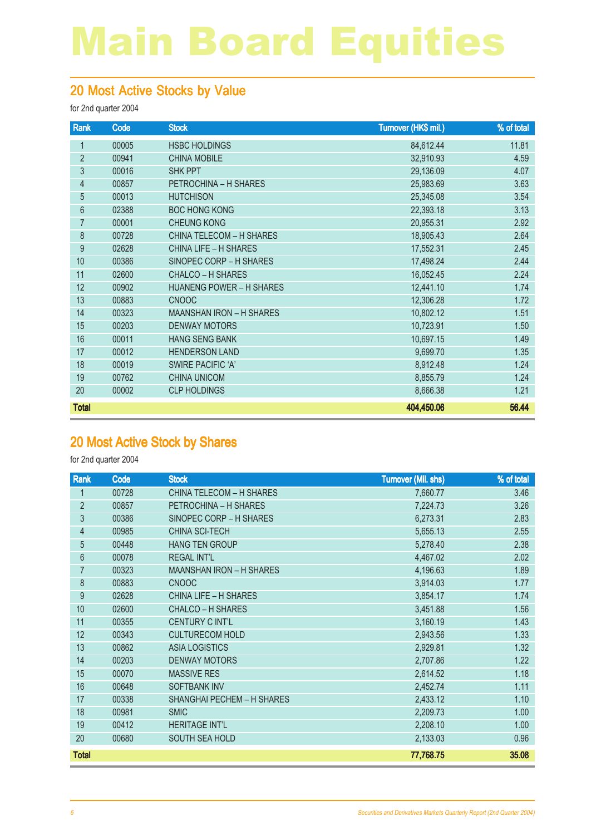#### 20 Most Active Stocks by Value

for 2nd quarter 2004

| Rank            | Code  | <b>Stock</b>                    | Turnover (HK\$ mil.) | % of total |
|-----------------|-------|---------------------------------|----------------------|------------|
| 1               | 00005 | <b>HSBC HOLDINGS</b>            | 84,612.44            | 11.81      |
| $\overline{2}$  | 00941 | <b>CHINA MOBILE</b>             | 32,910.93            | 4.59       |
| 3               | 00016 | <b>SHK PPT</b>                  | 29,136.09            | 4.07       |
| $\overline{4}$  | 00857 | PETROCHINA - H SHARES           | 25,983.69            | 3.63       |
| 5               | 00013 | <b>HUTCHISON</b>                | 25,345.08            | 3.54       |
| $6\phantom{.}6$ | 02388 | <b>BOC HONG KONG</b>            | 22,393.18            | 3.13       |
| 7               | 00001 | <b>CHEUNG KONG</b>              | 20,955.31            | 2.92       |
| 8               | 00728 | <b>CHINA TELECOM - H SHARES</b> | 18,905.43            | 2.64       |
| 9               | 02628 | CHINA LIFE - H SHARES           | 17,552.31            | 2.45       |
| 10              | 00386 | SINOPEC CORP - H SHARES         | 17,498.24            | 2.44       |
| 11              | 02600 | <b>CHALCO – H SHARES</b>        | 16,052.45            | 2.24       |
| 12              | 00902 | <b>HUANENG POWER - H SHARES</b> | 12,441.10            | 1.74       |
| 13              | 00883 | <b>CNOOC</b>                    | 12,306.28            | 1.72       |
| 14              | 00323 | <b>MAANSHAN IRON - H SHARES</b> | 10,802.12            | 1.51       |
| 15              | 00203 | <b>DENWAY MOTORS</b>            | 10,723.91            | 1.50       |
| 16              | 00011 | <b>HANG SENG BANK</b>           | 10,697.15            | 1.49       |
| 17              | 00012 | <b>HENDERSON LAND</b>           | 9,699.70             | 1.35       |
| 18              | 00019 | SWIRE PACIFIC 'A'               | 8,912.48             | 1.24       |
| 19              | 00762 | <b>CHINA UNICOM</b>             | 8,855.79             | 1.24       |
| 20              | 00002 | <b>CLP HOLDINGS</b>             | 8,666.38             | 1.21       |
| <b>Total</b>    |       |                                 | 404,450.06           | 56.44      |

#### 20 Most Active Stock by Shares

| Rank           | Code  | <b>Stock</b>                    | <b>Turnover (Mil. shs)</b> | % of total |
|----------------|-------|---------------------------------|----------------------------|------------|
| 1              | 00728 | <b>CHINA TELECOM - H SHARES</b> | 7,660.77                   | 3.46       |
| $\overline{2}$ | 00857 | PETROCHINA - H SHARES           | 7,224.73                   | 3.26       |
| $\mathfrak{Z}$ | 00386 | SINOPEC CORP - H SHARES         | 6,273.31                   | 2.83       |
| $\overline{4}$ | 00985 | <b>CHINA SCI-TECH</b>           | 5,655.13                   | 2.55       |
| 5              | 00448 | <b>HANG TEN GROUP</b>           | 5,278.40                   | 2.38       |
| 6              | 00078 | <b>REGAL INT'L</b>              | 4,467.02                   | 2.02       |
| $\overline{7}$ | 00323 | <b>MAANSHAN IRON - H SHARES</b> | 4,196.63                   | 1.89       |
| 8              | 00883 | <b>CNOOC</b>                    | 3,914.03                   | 1.77       |
| 9              | 02628 | <b>CHINA LIFE - H SHARES</b>    | 3,854.17                   | 1.74       |
| 10             | 02600 | <b>CHALCO - H SHARES</b>        | 3,451.88                   | 1.56       |
| 11             | 00355 | <b>CENTURY C INT'L</b>          | 3,160.19                   | 1.43       |
| 12             | 00343 | <b>CULTURECOM HOLD</b>          | 2,943.56                   | 1.33       |
| 13             | 00862 | <b>ASIA LOGISTICS</b>           | 2,929.81                   | 1.32       |
| 14             | 00203 | <b>DENWAY MOTORS</b>            | 2,707.86                   | 1.22       |
| 15             | 00070 | <b>MASSIVE RES</b>              | 2,614.52                   | 1.18       |
| 16             | 00648 | <b>SOFTBANK INV</b>             | 2,452.74                   | 1.11       |
| 17             | 00338 | SHANGHAI PECHEM - H SHARES      | 2,433.12                   | 1.10       |
| 18             | 00981 | <b>SMIC</b>                     | 2,209.73                   | 1.00       |
| 19             | 00412 | <b>HERITAGE INT'L</b>           | 2,208.10                   | 1.00       |
| 20             | 00680 | SOUTH SEA HOLD                  | 2,133.03                   | 0.96       |
| <b>Total</b>   |       |                                 | 77,768.75                  | 35.08      |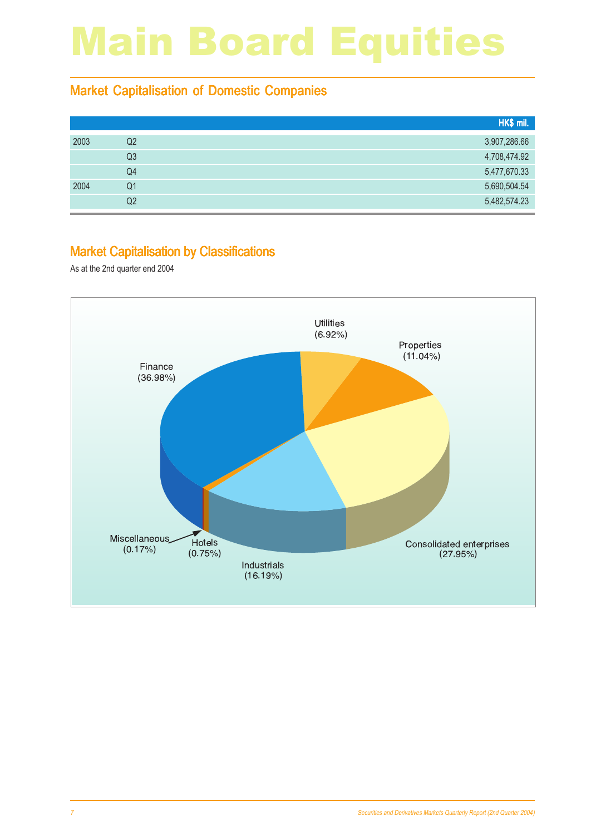#### Market Capitalisation of Domestic Companies

|      |    | HK\$ mil.    |
|------|----|--------------|
| 2003 | Q2 | 3,907,286.66 |
|      | Q3 | 4,708,474.92 |
|      | Q4 | 5,477,670.33 |
| 2004 | Q1 | 5,690,504.54 |
|      | Q2 | 5,482,574.23 |

#### Market Capitalisation by Classifications

As at the 2nd quarter end 2004

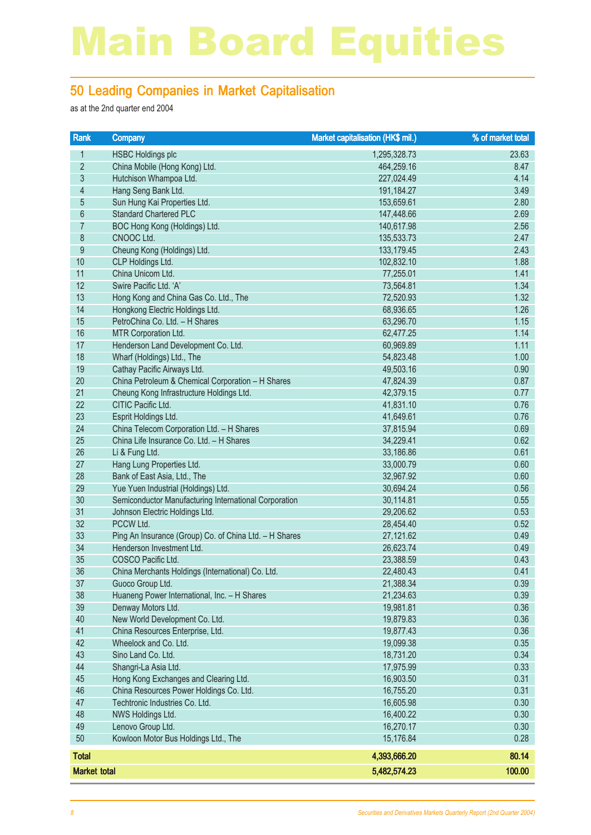#### 50 Leading Companies in Market Capitalisation

as at the 2nd quarter end 2004

| Rank                | <b>Company</b>                                            | Market capitalisation (HK\$ mil.) | % of market total |
|---------------------|-----------------------------------------------------------|-----------------------------------|-------------------|
| 1                   | <b>HSBC Holdings plc</b>                                  | 1,295,328.73                      | 23.63             |
| $\overline{2}$      | China Mobile (Hong Kong) Ltd.                             | 464,259.16                        | 8.47              |
| $\mathfrak{Z}$      | Hutchison Whampoa Ltd.                                    | 227,024.49                        | 4.14              |
| $\overline{4}$      | Hang Seng Bank Ltd.                                       | 191,184.27                        | 3.49              |
| $\overline{5}$      | Sun Hung Kai Properties Ltd.                              | 153,659.61                        | 2.80              |
| $6\,$               | <b>Standard Chartered PLC</b>                             | 147,448.66                        | 2.69              |
| $\overline{7}$      | BOC Hong Kong (Holdings) Ltd.                             | 140,617.98                        | 2.56              |
| $\bf 8$             | CNOOC Ltd.                                                | 135,533.73                        | 2.47              |
| $\boldsymbol{9}$    | Cheung Kong (Holdings) Ltd.                               | 133,179.45                        | 2.43              |
| 10                  | CLP Holdings Ltd.                                         | 102,832.10                        | 1.88              |
| 11                  | China Unicom Ltd.                                         | 77,255.01                         | 1.41              |
| 12                  | Swire Pacific Ltd. 'A'                                    | 73,564.81                         | 1.34              |
| 13                  | Hong Kong and China Gas Co. Ltd., The                     | 72,520.93                         | 1.32              |
| 14                  | Hongkong Electric Holdings Ltd.                           | 68,936.65                         | 1.26              |
| 15                  | PetroChina Co. Ltd. - H Shares                            | 63,296.70                         | 1.15              |
| 16                  | MTR Corporation Ltd.                                      | 62,477.25                         | 1.14              |
| 17                  | Henderson Land Development Co. Ltd.                       | 60,969.89                         | 1.11              |
| 18                  | Wharf (Holdings) Ltd., The                                | 54,823.48                         | 1.00              |
| 19                  | Cathay Pacific Airways Ltd.                               | 49,503.16                         | 0.90              |
| 20                  | China Petroleum & Chemical Corporation - H Shares         | 47,824.39                         | 0.87              |
| 21                  | Cheung Kong Infrastructure Holdings Ltd.                  | 42,379.15                         | 0.77              |
| 22                  | CITIC Pacific Ltd.                                        | 41,831.10                         | 0.76              |
| 23                  | Esprit Holdings Ltd.                                      | 41,649.61                         | 0.76              |
| 24                  | China Telecom Corporation Ltd. - H Shares                 | 37,815.94                         | 0.69              |
| 25                  | China Life Insurance Co. Ltd. - H Shares                  | 34,229.41                         | 0.62              |
| 26                  | Li & Fung Ltd.                                            | 33,186.86                         | 0.61              |
| 27                  | Hang Lung Properties Ltd.                                 | 33,000.79                         | 0.60              |
| 28                  | Bank of East Asia, Ltd., The                              | 32,967.92                         | 0.60              |
| 29                  | Yue Yuen Industrial (Holdings) Ltd.                       | 30,694.24                         | 0.56              |
| 30                  | Semiconductor Manufacturing International Corporation     | 30,114.81                         | 0.55              |
| 31                  | Johnson Electric Holdings Ltd.                            | 29,206.62                         | 0.53              |
| 32                  | PCCW Ltd.                                                 | 28,454.40                         | 0.52              |
| 33                  | Ping An Insurance (Group) Co. of China Ltd. - H Shares    | 27,121.62                         | 0.49              |
| 34                  | Henderson Investment Ltd.                                 | 26,623.74                         | 0.49              |
| 35                  | COSCO Pacific Ltd.                                        | 23,388.59                         | 0.43              |
| 36                  | China Merchants Holdings (International) Co. Ltd.         | 22,480.43                         | 0.41              |
| 37                  | Guoco Group Ltd.                                          | 21,388.34                         | 0.39              |
| 38                  | Huaneng Power International, Inc. - H Shares              | 21,234.63                         | 0.39              |
| 39                  | Denway Motors Ltd.                                        | 19,981.81                         | 0.36              |
| 40                  | New World Development Co. Ltd.                            | 19,879.83                         | 0.36              |
| 41                  | China Resources Enterprise, Ltd.                          | 19,877.43                         | 0.36              |
| 42                  | Wheelock and Co. Ltd.                                     | 19,099.38                         | 0.35              |
| 43                  | Sino Land Co. Ltd.                                        | 18,731.20                         | 0.34              |
| 44                  | Shangri-La Asia Ltd.                                      | 17,975.99                         | 0.33              |
| 45                  | Hong Kong Exchanges and Clearing Ltd.                     | 16,903.50                         | 0.31              |
| 46                  | China Resources Power Holdings Co. Ltd.                   | 16,755.20                         | 0.31              |
| 47                  | Techtronic Industries Co. Ltd.                            | 16,605.98                         | 0.30              |
| 48                  | NWS Holdings Ltd.                                         | 16,400.22                         | 0.30              |
| 49                  | Lenovo Group Ltd.<br>Kowloon Motor Bus Holdings Ltd., The | 16,270.17                         | 0.30              |
| 50                  |                                                           | 15,176.84                         | 0.28              |
| <b>Total</b>        |                                                           | 4,393,666.20                      | 80.14             |
| <b>Market total</b> |                                                           | 5,482,574.23                      | 100.00            |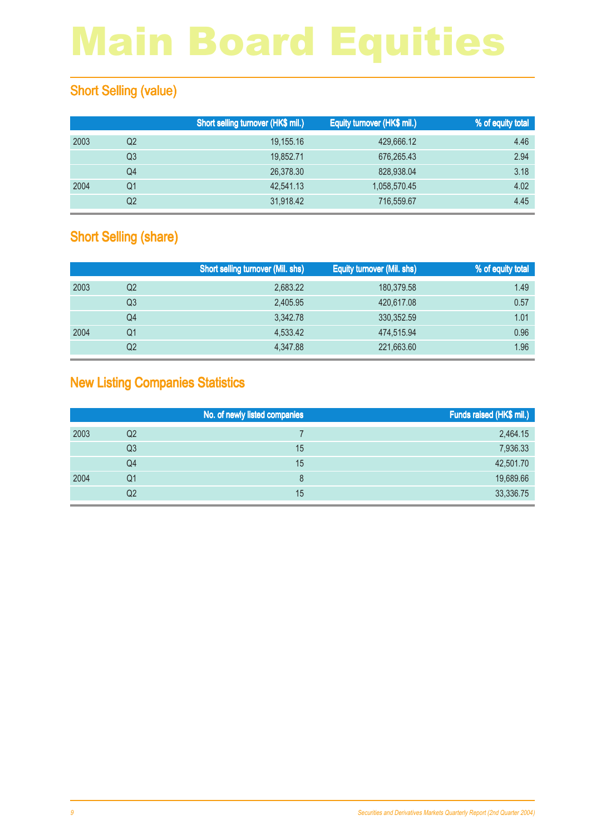### **Short Selling (value)**

|      |    | Short selling turnover (HK\$ mil.) | Equity turnover (HK\$ mil.) | % of equity total |
|------|----|------------------------------------|-----------------------------|-------------------|
| 2003 | Q2 | 19,155.16                          | 429,666.12                  | 4.46              |
|      | Q3 | 19.852.71                          | 676,265.43                  | 2.94              |
|      | Q4 | 26,378.30                          | 828,938.04                  | 3.18              |
| 2004 | Q1 | 42.541.13                          | 1,058,570.45                | 4.02              |
|      | Q2 | 31,918.42                          | 716,559.67                  | 4.45              |

### **Short Selling (share)**

|      |    | <b>Short selling turnover (Mil. shs)</b> | <b>Equity turnover (Mil. shs)</b> | % of equity total |
|------|----|------------------------------------------|-----------------------------------|-------------------|
| 2003 | Q2 | 2,683.22                                 | 180,379.58                        | 1.49              |
|      | Q3 | 2.405.95                                 | 420,617,08                        | 0.57              |
|      | Q4 | 3.342.78                                 | 330, 352.59                       | 1.01              |
| 2004 | Q1 | 4,533.42                                 | 474,515.94                        | 0.96              |
|      | Q2 | 4.347.88                                 | 221,663.60                        | 1.96              |

### New Listing Companies Statistics

|      |                | No. of newly listed companies | Funds raised (HK\$ mil.) |
|------|----------------|-------------------------------|--------------------------|
| 2003 | Q2             |                               | 2,464.15                 |
|      | Q <sub>3</sub> | 15                            | 7,936.33                 |
|      | Q4             | 15                            | 42,501.70                |
| 2004 | Q1             | 8                             | 19,689.66                |
|      | Q <sub>2</sub> | 15                            | 33,336.75                |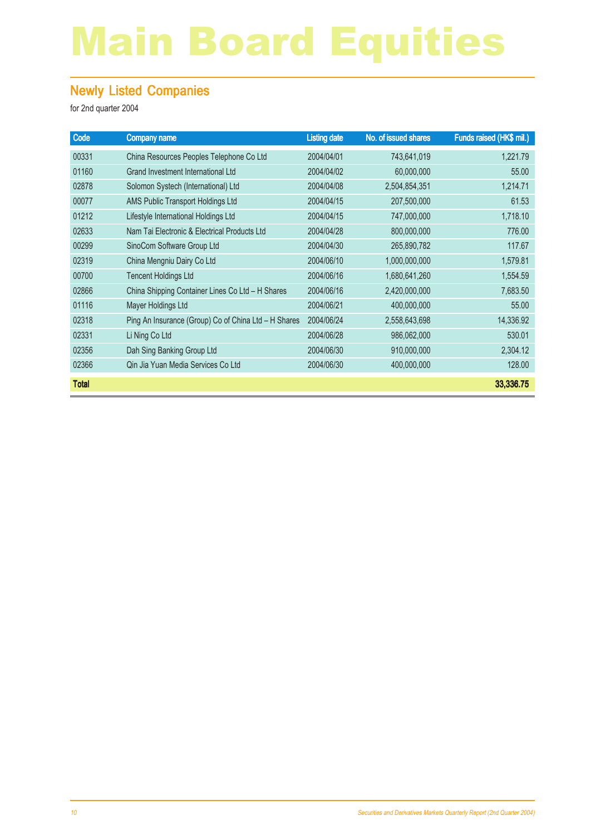### Newly Listed Companies

| Code         | <b>Company name</b>                                  | <b>Listing date</b> | No. of issued shares | Funds raised (HK\$ mil.) |
|--------------|------------------------------------------------------|---------------------|----------------------|--------------------------|
| 00331        | China Resources Peoples Telephone Co Ltd             | 2004/04/01          | 743,641,019          | 1,221.79                 |
| 01160        | Grand Investment International Ltd                   | 2004/04/02          | 60,000,000           | 55,00                    |
| 02878        | Solomon Systech (International) Ltd                  | 2004/04/08          | 2,504,854,351        | 1,214.71                 |
| 00077        | AMS Public Transport Holdings Ltd                    | 2004/04/15          | 207,500,000          | 61.53                    |
| 01212        | Lifestyle International Holdings Ltd                 | 2004/04/15          | 747,000,000          | 1,718.10                 |
| 02633        | Nam Tai Electronic & Electrical Products Ltd         | 2004/04/28          | 800,000,000          | 776.00                   |
| 00299        | SinoCom Software Group Ltd                           | 2004/04/30          | 265,890,782          | 117.67                   |
| 02319        | China Mengniu Dairy Co Ltd                           | 2004/06/10          | 1,000,000,000        | 1,579.81                 |
| 00700        | <b>Tencent Holdings Ltd</b>                          | 2004/06/16          | 1,680,641,260        | 1,554.59                 |
| 02866        | China Shipping Container Lines Co Ltd - H Shares     | 2004/06/16          | 2,420,000,000        | 7,683.50                 |
| 01116        | Mayer Holdings Ltd                                   | 2004/06/21          | 400,000,000          | 55,00                    |
| 02318        | Ping An Insurance (Group) Co of China Ltd - H Shares | 2004/06/24          | 2,558,643,698        | 14,336.92                |
| 02331        | Li Ning Co Ltd                                       | 2004/06/28          | 986,062,000          | 530.01                   |
| 02356        | Dah Sing Banking Group Ltd                           | 2004/06/30          | 910,000,000          | 2,304.12                 |
| 02366        | Qin Jia Yuan Media Services Co Ltd                   | 2004/06/30          | 400,000,000          | 128.00                   |
| <b>Total</b> |                                                      |                     |                      | 33,336.75                |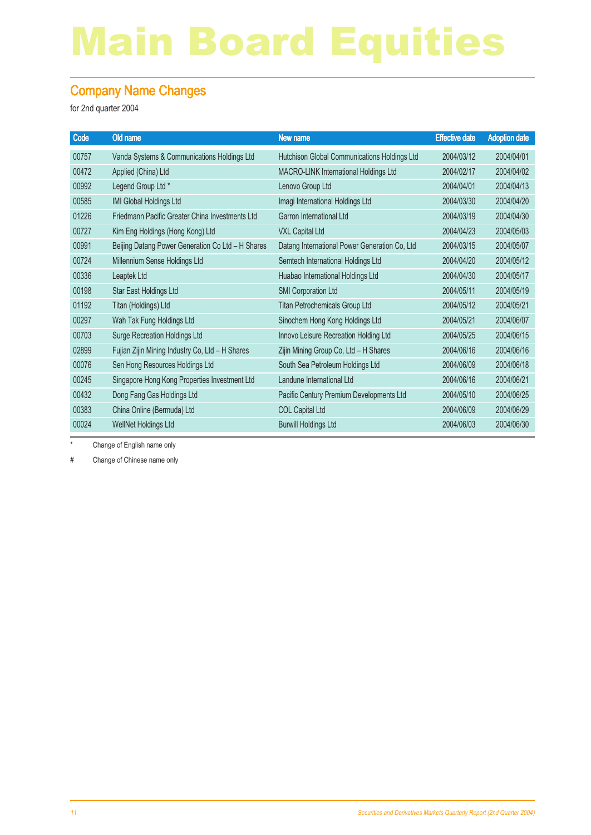#### Company Name Changes

for 2nd quarter 2004

| Code  | Old name                                          | <b>New name</b>                               | <b>Effective date</b> | <b>Adoption date</b> |
|-------|---------------------------------------------------|-----------------------------------------------|-----------------------|----------------------|
| 00757 | Vanda Systems & Communications Holdings Ltd       | Hutchison Global Communications Holdings Ltd  | 2004/03/12            | 2004/04/01           |
| 00472 | Applied (China) Ltd                               | MACRO-LINK International Holdings Ltd         | 2004/02/17            | 2004/04/02           |
| 00992 | Legend Group Ltd *                                | Lenovo Group Ltd                              | 2004/04/01            | 2004/04/13           |
| 00585 | IMI Global Holdings Ltd                           | Imagi International Holdings Ltd              | 2004/03/30            | 2004/04/20           |
| 01226 | Friedmann Pacific Greater China Investments Ltd   | Garron International Ltd                      | 2004/03/19            | 2004/04/30           |
| 00727 | Kim Eng Holdings (Hong Kong) Ltd                  | <b>VXL Capital Ltd</b>                        | 2004/04/23            | 2004/05/03           |
| 00991 | Beijing Datang Power Generation Co Ltd - H Shares | Datang International Power Generation Co, Ltd | 2004/03/15            | 2004/05/07           |
| 00724 | Millennium Sense Holdings Ltd                     | Semtech International Holdings Ltd            | 2004/04/20            | 2004/05/12           |
| 00336 | Leaptek Ltd                                       | Huabao International Holdings Ltd             | 2004/04/30            | 2004/05/17           |
| 00198 | Star East Holdings Ltd                            | <b>SMI Corporation Ltd</b>                    | 2004/05/11            | 2004/05/19           |
| 01192 | Titan (Holdings) Ltd                              | Titan Petrochemicals Group Ltd                | 2004/05/12            | 2004/05/21           |
| 00297 | Wah Tak Fung Holdings Ltd                         | Sinochem Hong Kong Holdings Ltd               | 2004/05/21            | 2004/06/07           |
| 00703 | <b>Surge Recreation Holdings Ltd</b>              | Innovo Leisure Recreation Holding Ltd         | 2004/05/25            | 2004/06/15           |
| 02899 | Fujian Zijin Mining Industry Co, Ltd - H Shares   | Zijin Mining Group Co, Ltd - H Shares         | 2004/06/16            | 2004/06/16           |
| 00076 | Sen Hong Resources Holdings Ltd                   | South Sea Petroleum Holdings Ltd              | 2004/06/09            | 2004/06/18           |
| 00245 | Singapore Hong Kong Properties Investment Ltd     | Landune International Ltd                     | 2004/06/16            | 2004/06/21           |
| 00432 | Dong Fang Gas Holdings Ltd                        | Pacific Century Premium Developments Ltd      | 2004/05/10            | 2004/06/25           |
| 00383 | China Online (Bermuda) Ltd                        | <b>COL Capital Ltd</b>                        | 2004/06/09            | 2004/06/29           |
| 00024 | WellNet Holdings Ltd                              | <b>Burwill Holdings Ltd</b>                   | 2004/06/03            | 2004/06/30           |

\* Change of English name only

# Change of Chinese name only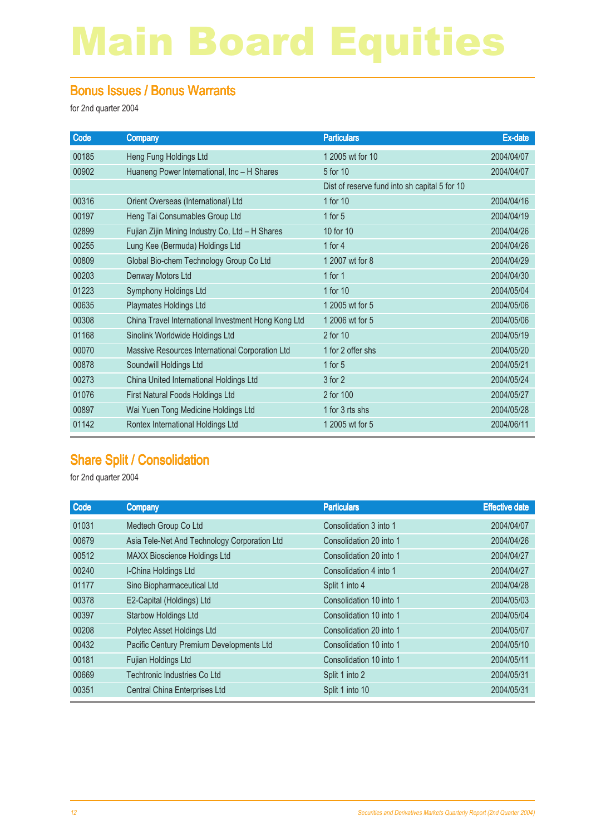#### Bonus Issues / Bonus Warrants

for 2nd quarter 2004

| Code  | <b>Company</b>                                      | <b>Particulars</b>                            | <b>Ex-date</b> |
|-------|-----------------------------------------------------|-----------------------------------------------|----------------|
| 00185 | Heng Fung Holdings Ltd                              | 1 2005 wt for 10                              | 2004/04/07     |
| 00902 | Huaneng Power International, Inc - H Shares         | 5 for 10                                      | 2004/04/07     |
|       |                                                     | Dist of reserve fund into sh capital 5 for 10 |                |
| 00316 | Orient Overseas (International) Ltd                 | 1 for 10                                      | 2004/04/16     |
| 00197 | Heng Tai Consumables Group Ltd                      | 1 for $5$                                     | 2004/04/19     |
| 02899 | Fujian Zijin Mining Industry Co, Ltd - H Shares     | 10 for 10                                     | 2004/04/26     |
| 00255 | Lung Kee (Bermuda) Holdings Ltd                     | 1 for $4$                                     | 2004/04/26     |
| 00809 | Global Bio-chem Technology Group Co Ltd             | 1 2007 wt for 8                               | 2004/04/29     |
| 00203 | Denway Motors Ltd                                   | 1 for $1$                                     | 2004/04/30     |
| 01223 | Symphony Holdings Ltd                               | 1 for 10                                      | 2004/05/04     |
| 00635 | Playmates Holdings Ltd                              | 1 2005 wt for 5                               | 2004/05/06     |
| 00308 | China Travel International Investment Hong Kong Ltd | 1 2006 wt for 5                               | 2004/05/06     |
| 01168 | Sinolink Worldwide Holdings Ltd                     | 2 for 10                                      | 2004/05/19     |
| 00070 | Massive Resources International Corporation Ltd     | 1 for 2 offer shs                             | 2004/05/20     |
| 00878 | Soundwill Holdings Ltd                              | 1 for $5$                                     | 2004/05/21     |
| 00273 | China United International Holdings Ltd             | 3 for 2                                       | 2004/05/24     |
| 01076 | First Natural Foods Holdings Ltd                    | 2 for 100                                     | 2004/05/27     |
| 00897 | Wai Yuen Tong Medicine Holdings Ltd                 | 1 for 3 rts shs                               | 2004/05/28     |
| 01142 | Rontex International Holdings Ltd                   | 1 2005 wt for 5                               | 2004/06/11     |
|       |                                                     |                                               |                |

### Share Split / Consolidation

| Code  | <b>Company</b>                               | <b>Particulars</b>      | <b>Effective date</b> |
|-------|----------------------------------------------|-------------------------|-----------------------|
| 01031 | Medtech Group Co Ltd                         | Consolidation 3 into 1  | 2004/04/07            |
| 00679 | Asia Tele-Net And Technology Corporation Ltd | Consolidation 20 into 1 | 2004/04/26            |
| 00512 | <b>MAXX Bioscience Holdings Ltd</b>          | Consolidation 20 into 1 | 2004/04/27            |
| 00240 | I-China Holdings Ltd                         | Consolidation 4 into 1  | 2004/04/27            |
| 01177 | Sino Biopharmaceutical Ltd                   | Split 1 into 4          | 2004/04/28            |
| 00378 | E2-Capital (Holdings) Ltd                    | Consolidation 10 into 1 | 2004/05/03            |
| 00397 | <b>Starbow Holdings Ltd</b>                  | Consolidation 10 into 1 | 2004/05/04            |
| 00208 | Polytec Asset Holdings Ltd                   | Consolidation 20 into 1 | 2004/05/07            |
| 00432 | Pacific Century Premium Developments Ltd     | Consolidation 10 into 1 | 2004/05/10            |
| 00181 | Fujian Holdings Ltd                          | Consolidation 10 into 1 | 2004/05/11            |
| 00669 | Techtronic Industries Co Ltd                 | Split 1 into 2          | 2004/05/31            |
| 00351 | Central China Enterprises Ltd                | Split 1 into 10         | 2004/05/31            |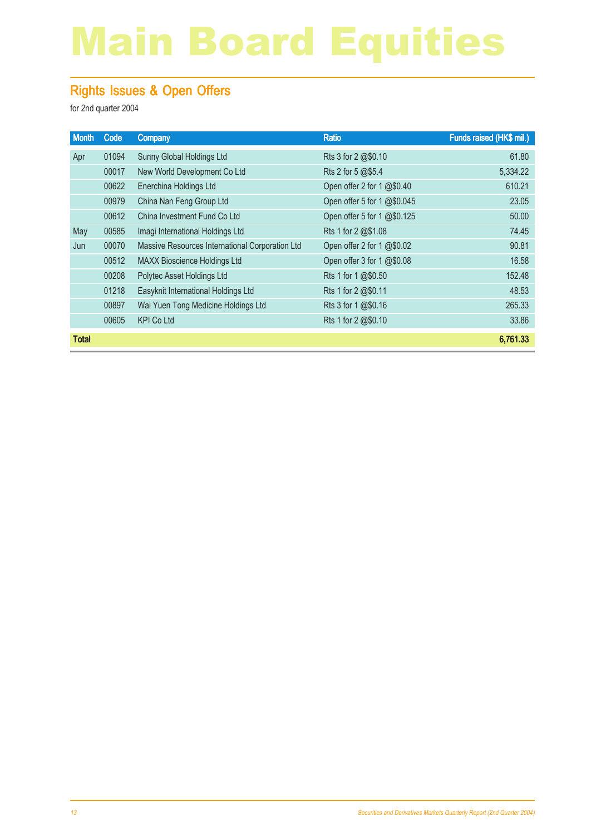### Rights Issues & Open Offers

| <b>Month</b> | Code  | <b>Company</b>                                  | <b>Ratio</b>                | Funds raised (HK\$ mil.) |
|--------------|-------|-------------------------------------------------|-----------------------------|--------------------------|
| Apr          | 01094 | Sunny Global Holdings Ltd                       | Rts 3 for 2 @\$0.10         | 61.80                    |
|              | 00017 | New World Development Co Ltd                    | Rts 2 for 5 @\$5.4          | 5,334.22                 |
|              | 00622 | Enerchina Holdings Ltd                          | Open offer 2 for 1 @\$0.40  | 610.21                   |
|              | 00979 | China Nan Feng Group Ltd                        | Open offer 5 for 1 @\$0.045 | 23.05                    |
|              | 00612 | China Investment Fund Co Ltd                    | Open offer 5 for 1 @\$0.125 | 50.00                    |
| May          | 00585 | Imagi International Holdings Ltd                | Rts 1 for 2 @\$1.08         | 74.45                    |
| Jun          | 00070 | Massive Resources International Corporation Ltd | Open offer 2 for 1 @\$0.02  | 90.81                    |
|              | 00512 | <b>MAXX Bioscience Holdings Ltd</b>             | Open offer 3 for 1 @\$0.08  | 16.58                    |
|              | 00208 | Polytec Asset Holdings Ltd                      | Rts 1 for 1 @\$0.50         | 152.48                   |
|              | 01218 | Easyknit International Holdings Ltd             | Rts 1 for 2 @\$0.11         | 48.53                    |
|              | 00897 | Wai Yuen Tong Medicine Holdings Ltd             | Rts 3 for 1 @\$0.16         | 265.33                   |
|              | 00605 | <b>KPI Co Ltd</b>                               | Rts 1 for 2 @\$0.10         | 33.86                    |
| <b>Total</b> |       |                                                 |                             | 6,761.33                 |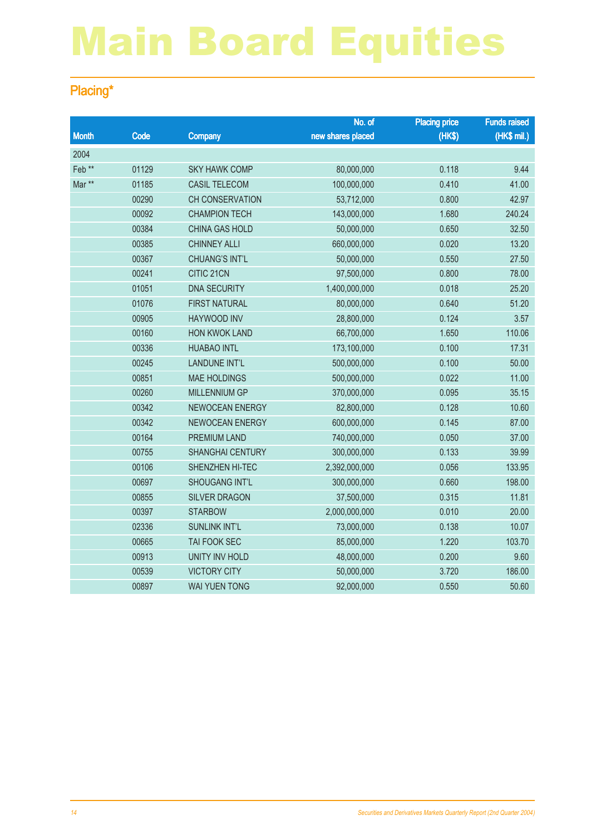### Placing\*

|                   |       |                         | No. of            | <b>Placing price</b> | <b>Funds raised</b> |
|-------------------|-------|-------------------------|-------------------|----------------------|---------------------|
| <b>Month</b>      | Code  | <b>Company</b>          | new shares placed | (HKS)                | (HK\$ mil.)         |
| 2004              |       |                         |                   |                      |                     |
| Feb <sup>**</sup> | 01129 | <b>SKY HAWK COMP</b>    | 80,000,000        | 0.118                | 9.44                |
| Mar **            | 01185 | <b>CASIL TELECOM</b>    | 100,000,000       | 0.410                | 41.00               |
|                   | 00290 | <b>CH CONSERVATION</b>  | 53,712,000        | 0.800                | 42.97               |
|                   | 00092 | <b>CHAMPION TECH</b>    | 143,000,000       | 1.680                | 240.24              |
|                   | 00384 | <b>CHINA GAS HOLD</b>   | 50,000,000        | 0.650                | 32.50               |
|                   | 00385 | <b>CHINNEY ALLI</b>     | 660,000,000       | 0.020                | 13.20               |
|                   | 00367 | <b>CHUANG'S INT'L</b>   | 50,000,000        | 0.550                | 27.50               |
|                   | 00241 | CITIC 21CN              | 97,500,000        | 0.800                | 78.00               |
|                   | 01051 | <b>DNA SECURITY</b>     | 1,400,000,000     | 0.018                | 25.20               |
|                   | 01076 | <b>FIRST NATURAL</b>    | 80,000,000        | 0.640                | 51.20               |
|                   | 00905 | <b>HAYWOOD INV</b>      | 28,800,000        | 0.124                | 3.57                |
|                   | 00160 | <b>HON KWOK LAND</b>    | 66,700,000        | 1.650                | 110.06              |
|                   | 00336 | <b>HUABAO INTL</b>      | 173,100,000       | 0.100                | 17.31               |
|                   | 00245 | LANDUNE INT'L           | 500,000,000       | 0.100                | 50.00               |
|                   | 00851 | <b>MAE HOLDINGS</b>     | 500,000,000       | 0.022                | 11.00               |
|                   | 00260 | <b>MILLENNIUM GP</b>    | 370,000,000       | 0.095                | 35.15               |
|                   | 00342 | NEWOCEAN ENERGY         | 82,800,000        | 0.128                | 10.60               |
|                   | 00342 | NEWOCEAN ENERGY         | 600,000,000       | 0.145                | 87.00               |
|                   | 00164 | PREMIUM LAND            | 740,000,000       | 0.050                | 37.00               |
|                   | 00755 | <b>SHANGHAI CENTURY</b> | 300,000,000       | 0.133                | 39.99               |
|                   | 00106 | SHENZHEN HI-TEC         | 2,392,000,000     | 0.056                | 133.95              |
|                   | 00697 | <b>SHOUGANG INT'L</b>   | 300,000,000       | 0.660                | 198.00              |
|                   | 00855 | <b>SILVER DRAGON</b>    | 37,500,000        | 0.315                | 11.81               |
|                   | 00397 | <b>STARBOW</b>          | 2,000,000,000     | 0.010                | 20.00               |
|                   | 02336 | <b>SUNLINK INT'L</b>    | 73,000,000        | 0.138                | 10.07               |
|                   | 00665 | TAI FOOK SEC            | 85,000,000        | 1.220                | 103.70              |
|                   | 00913 | <b>UNITY INV HOLD</b>   | 48,000,000        | 0.200                | 9.60                |
|                   | 00539 | <b>VICTORY CITY</b>     | 50,000,000        | 3.720                | 186.00              |
|                   | 00897 | <b>WAI YUEN TONG</b>    | 92,000,000        | 0.550                | 50.60               |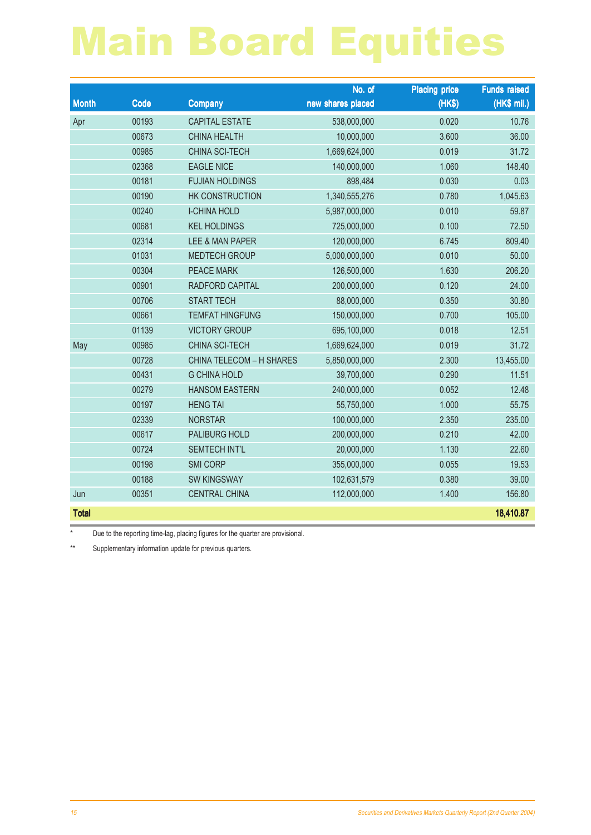|              |       |                                 | No. of            | <b>Placing price</b> | <b>Funds raised</b> |
|--------------|-------|---------------------------------|-------------------|----------------------|---------------------|
| <b>Month</b> | Code  | <b>Company</b>                  | new shares placed | (HK\$)               | (HK\$ mil.)         |
| Apr          | 00193 | <b>CAPITAL ESTATE</b>           | 538,000,000       | 0.020                | 10.76               |
|              | 00673 | <b>CHINA HEALTH</b>             | 10,000,000        | 3.600                | 36.00               |
|              | 00985 | <b>CHINA SCI-TECH</b>           | 1,669,624,000     | 0.019                | 31.72               |
|              | 02368 | <b>EAGLE NICE</b>               | 140,000,000       | 1.060                | 148.40              |
|              | 00181 | <b>FUJIAN HOLDINGS</b>          | 898,484           | 0.030                | 0.03                |
|              | 00190 | HK CONSTRUCTION                 | 1,340,555,276     | 0.780                | 1,045.63            |
|              | 00240 | <b>I-CHINA HOLD</b>             | 5,987,000,000     | 0.010                | 59.87               |
|              | 00681 | <b>KEL HOLDINGS</b>             | 725,000,000       | 0.100                | 72.50               |
|              | 02314 | LEE & MAN PAPER                 | 120,000,000       | 6.745                | 809.40              |
|              | 01031 | <b>MEDTECH GROUP</b>            | 5,000,000,000     | 0.010                | 50.00               |
|              | 00304 | <b>PEACE MARK</b>               | 126,500,000       | 1.630                | 206.20              |
|              | 00901 | RADFORD CAPITAL                 | 200,000,000       | 0.120                | 24.00               |
|              | 00706 | <b>START TECH</b>               | 88,000,000        | 0.350                | 30.80               |
|              | 00661 | <b>TEMFAT HINGFUNG</b>          | 150,000,000       | 0.700                | 105.00              |
|              | 01139 | <b>VICTORY GROUP</b>            | 695,100,000       | 0.018                | 12.51               |
| May          | 00985 | CHINA SCI-TECH                  | 1,669,624,000     | 0.019                | 31.72               |
|              | 00728 | <b>CHINA TELECOM - H SHARES</b> | 5,850,000,000     | 2.300                | 13,455.00           |
|              | 00431 | <b>G CHINA HOLD</b>             | 39,700,000        | 0.290                | 11.51               |
|              | 00279 | <b>HANSOM EASTERN</b>           | 240,000,000       | 0.052                | 12.48               |
|              | 00197 | <b>HENG TAI</b>                 | 55,750,000        | 1.000                | 55.75               |
|              | 02339 | <b>NORSTAR</b>                  | 100,000,000       | 2.350                | 235.00              |
|              | 00617 | PALIBURG HOLD                   | 200,000,000       | 0.210                | 42.00               |
|              | 00724 | <b>SEMTECH INT'L</b>            | 20,000,000        | 1.130                | 22.60               |
|              | 00198 | <b>SMI CORP</b>                 | 355,000,000       | 0.055                | 19.53               |
|              | 00188 | <b>SW KINGSWAY</b>              | 102,631,579       | 0.380                | 39.00               |
| Jun          | 00351 | <b>CENTRAL CHINA</b>            | 112,000,000       | 1.400                | 156.80              |
| <b>Total</b> |       |                                 |                   |                      | 18,410.87           |

\* Due to the reporting time-lag, placing figures for the quarter are provisional.

\*\* Supplementary information update for previous quarters.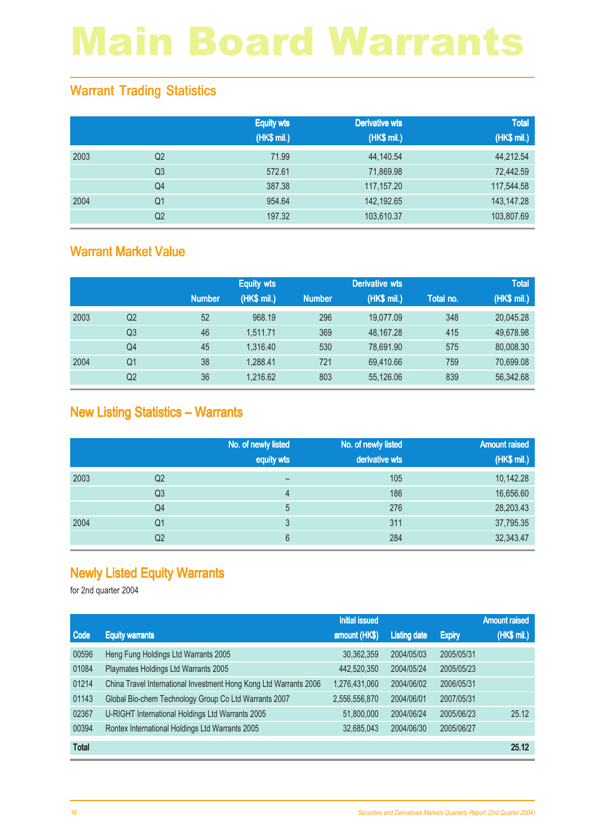### Warrant Trading Statistics

|      |                | <b>Equity wts</b><br>(HK\$ mil.) | <b>Derivative wts</b><br>(HK\$ mil.) | <b>Total</b><br>(HK\$ mil.) |
|------|----------------|----------------------------------|--------------------------------------|-----------------------------|
| 2003 | Q <sub>2</sub> | 71.99                            | 44,140.54                            | 44,212.54                   |
|      | Q <sub>3</sub> | 572.61                           | 71,869.98                            | 72,442.59                   |
|      | Q <sub>4</sub> | 387.38                           | 117,157.20                           | 117,544.58                  |
| 2004 | Q <sub>1</sub> | 954.64                           | 142,192.65                           | 143,147.28                  |
|      | Q <sub>2</sub> | 197.32                           | 103,610.37                           | 103,807.69                  |

### Warrant Market Value

|      |                |               | <b>Equity wts</b> |               | <b>Derivative wts</b> |           | <b>Total</b> |
|------|----------------|---------------|-------------------|---------------|-----------------------|-----------|--------------|
|      |                | <b>Number</b> | (HK\$ mil.)       | <b>Number</b> | (HK\$ mil.)           | Total no. | (HK\$ mil.)  |
| 2003 | Q2             | 52            | 968.19            | 296           | 19,077.09             | 348       | 20,045.28    |
|      | Q3             | 46            | 1,511.71          | 369           | 48,167.28             | 415       | 49,678.98    |
|      | Q4             | 45            | 1.316.40          | 530           | 78,691.90             | 575       | 80,008.30    |
| 2004 | Q1             | 38            | 1,288.41          | 721           | 69,410.66             | 759       | 70,699.08    |
|      | Q <sub>2</sub> | 36            | 1,216.62          | 803           | 55,126.06             | 839       | 56,342.68    |

### New Listing Statistics – Warrants

|      |                | No. of newly listed<br>equity wts | No. of newly listed<br>derivative wts | <b>Amount raised</b><br>(HK\$ mil.) |
|------|----------------|-----------------------------------|---------------------------------------|-------------------------------------|
| 2003 | Q <sub>2</sub> | –                                 | 105                                   | 10,142.28                           |
|      | Q <sub>3</sub> | 4                                 | 186                                   | 16,656.60                           |
|      | Q4             | 5                                 | 276                                   | 28,203.43                           |
| 2004 | Q1             | 3                                 | 311                                   | 37,795.35                           |
|      | Q2             | 6                                 | 284                                   | 32,343.47                           |

### Newly Listed Equity Warrants

|              |                                                                   | <b>Initial issued</b> |                     |               | <b>Amount raised</b> |
|--------------|-------------------------------------------------------------------|-----------------------|---------------------|---------------|----------------------|
| <b>Code</b>  | <b>Equity warrants</b>                                            | amount (HK\$)         | <b>Listing date</b> | <b>Expiry</b> | (HK\$ mil.)          |
| 00596        | Heng Fung Holdings Ltd Warrants 2005                              | 30,362,359            | 2004/05/03          | 2005/05/31    |                      |
| 01084        | Playmates Holdings Ltd Warrants 2005                              | 442,520,350           | 2004/05/24          | 2005/05/23    |                      |
| 01214        | China Travel International Investment Hong Kong Ltd Warrants 2006 | 1,276,431,060         | 2004/06/02          | 2006/05/31    |                      |
| 01143        | Global Bio-chem Technology Group Co Ltd Warrants 2007             | 2,556,556,870         | 2004/06/01          | 2007/05/31    |                      |
| 02367        | U-RIGHT International Holdings Ltd Warrants 2005                  | 51,800,000            | 2004/06/24          | 2005/06/23    | 25.12                |
| 00394        | Rontex International Holdings Ltd Warrants 2005                   | 32,685,043            | 2004/06/30          | 2005/06/27    |                      |
| <b>Total</b> |                                                                   |                       |                     |               | 25.12                |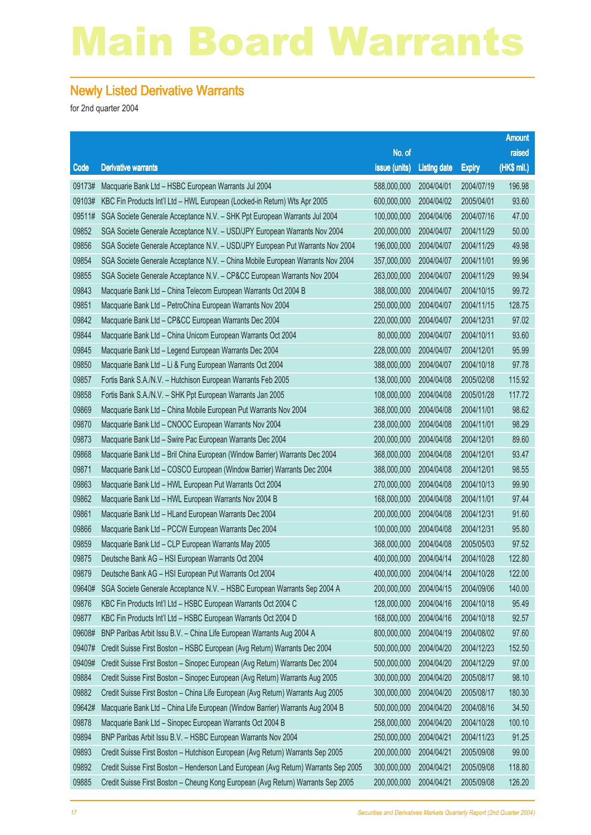#### Newly Listed Derivative Warrants

|        |                                                                                     |               |                     |               | <b>Amount</b> |
|--------|-------------------------------------------------------------------------------------|---------------|---------------------|---------------|---------------|
|        |                                                                                     | No. of        |                     |               | raised        |
| Code   | <b>Derivative warrants</b>                                                          | issue (units) | <b>Listing date</b> | <b>Expiry</b> | (HK\$ mil.)   |
| 09173# | Macquarie Bank Ltd - HSBC European Warrants Jul 2004                                | 588,000,000   | 2004/04/01          | 2004/07/19    | 196.98        |
| 09103# | KBC Fin Products Int'l Ltd - HWL European (Locked-in Return) Wts Apr 2005           | 600,000,000   | 2004/04/02          | 2005/04/01    | 93.60         |
| 09511# | SGA Societe Generale Acceptance N.V. - SHK Ppt European Warrants Jul 2004           | 100,000,000   | 2004/04/06          | 2004/07/16    | 47.00         |
| 09852  | SGA Societe Generale Acceptance N.V. - USD/JPY European Warrants Nov 2004           | 200,000,000   | 2004/04/07          | 2004/11/29    | 50.00         |
| 09856  | SGA Societe Generale Acceptance N.V. - USD/JPY European Put Warrants Nov 2004       | 196,000,000   | 2004/04/07          | 2004/11/29    | 49.98         |
| 09854  | SGA Societe Generale Acceptance N.V. - China Mobile European Warrants Nov 2004      | 357,000,000   | 2004/04/07          | 2004/11/01    | 99.96         |
| 09855  | SGA Societe Generale Acceptance N.V. - CP&CC European Warrants Nov 2004             | 263,000,000   | 2004/04/07          | 2004/11/29    | 99.94         |
| 09843  | Macquarie Bank Ltd - China Telecom European Warrants Oct 2004 B                     | 388,000,000   | 2004/04/07          | 2004/10/15    | 99.72         |
| 09851  | Macquarie Bank Ltd - PetroChina European Warrants Nov 2004                          | 250,000,000   | 2004/04/07          | 2004/11/15    | 128.75        |
| 09842  | Macquarie Bank Ltd - CP&CC European Warrants Dec 2004                               | 220,000,000   | 2004/04/07          | 2004/12/31    | 97.02         |
| 09844  | Macquarie Bank Ltd - China Unicom European Warrants Oct 2004                        | 80,000,000    | 2004/04/07          | 2004/10/11    | 93.60         |
| 09845  | Macquarie Bank Ltd - Legend European Warrants Dec 2004                              | 228,000,000   | 2004/04/07          | 2004/12/01    | 95.99         |
| 09850  | Macquarie Bank Ltd - Li & Fung European Warrants Oct 2004                           | 388,000,000   | 2004/04/07          | 2004/10/18    | 97.78         |
| 09857  | Fortis Bank S.A./N.V. - Hutchison European Warrants Feb 2005                        | 138,000,000   | 2004/04/08          | 2005/02/08    | 115.92        |
| 09858  | Fortis Bank S.A./N.V. - SHK Ppt European Warrants Jan 2005                          | 108,000,000   | 2004/04/08          | 2005/01/28    | 117.72        |
| 09869  | Macquarie Bank Ltd - China Mobile European Put Warrants Nov 2004                    | 368,000,000   | 2004/04/08          | 2004/11/01    | 98.62         |
| 09870  | Macquarie Bank Ltd - CNOOC European Warrants Nov 2004                               | 238,000,000   | 2004/04/08          | 2004/11/01    | 98.29         |
| 09873  | Macquarie Bank Ltd - Swire Pac European Warrants Dec 2004                           | 200,000,000   | 2004/04/08          | 2004/12/01    | 89.60         |
| 09868  | Macquarie Bank Ltd - Bril China European (Window Barrier) Warrants Dec 2004         | 368,000,000   | 2004/04/08          | 2004/12/01    | 93.47         |
| 09871  | Macquarie Bank Ltd - COSCO European (Window Barrier) Warrants Dec 2004              | 388,000,000   | 2004/04/08          | 2004/12/01    | 98.55         |
| 09863  | Macquarie Bank Ltd - HWL European Put Warrants Oct 2004                             | 270,000,000   | 2004/04/08          | 2004/10/13    | 99.90         |
| 09862  | Macquarie Bank Ltd - HWL European Warrants Nov 2004 B                               | 168,000,000   | 2004/04/08          | 2004/11/01    | 97.44         |
| 09861  | Macquarie Bank Ltd - HLand European Warrants Dec 2004                               | 200,000,000   | 2004/04/08          | 2004/12/31    | 91.60         |
| 09866  | Macquarie Bank Ltd - PCCW European Warrants Dec 2004                                | 100,000,000   | 2004/04/08          | 2004/12/31    | 95.80         |
| 09859  | Macquarie Bank Ltd - CLP European Warrants May 2005                                 | 368,000,000   | 2004/04/08          | 2005/05/03    | 97.52         |
| 09875  | Deutsche Bank AG - HSI European Warrants Oct 2004                                   | 400,000,000   | 2004/04/14          | 2004/10/28    | 122.80        |
| 09879  | Deutsche Bank AG - HSI European Put Warrants Oct 2004                               | 400,000,000   | 2004/04/14          | 2004/10/28    | 122.00        |
| 09640# | SGA Societe Generale Acceptance N.V. - HSBC European Warrants Sep 2004 A            | 200,000,000   | 2004/04/15          | 2004/09/06    | 140.00        |
| 09876  | KBC Fin Products Int'l Ltd - HSBC European Warrants Oct 2004 C                      | 128,000,000   | 2004/04/16          | 2004/10/18    | 95.49         |
| 09877  | KBC Fin Products Int'l Ltd - HSBC European Warrants Oct 2004 D                      | 168,000,000   | 2004/04/16          | 2004/10/18    | 92.57         |
| 09608# | BNP Paribas Arbit Issu B.V. - China Life European Warrants Aug 2004 A               | 800,000,000   | 2004/04/19          | 2004/08/02    | 97.60         |
| 09407# | Credit Suisse First Boston - HSBC European (Avg Return) Warrants Dec 2004           | 500,000,000   | 2004/04/20          | 2004/12/23    | 152.50        |
| 09409# | Credit Suisse First Boston - Sinopec European (Avg Return) Warrants Dec 2004        | 500,000,000   | 2004/04/20          | 2004/12/29    | 97.00         |
| 09884  | Credit Suisse First Boston - Sinopec European (Avg Return) Warrants Aug 2005        | 300,000,000   | 2004/04/20          | 2005/08/17    | 98.10         |
| 09882  | Credit Suisse First Boston - China Life European (Avg Return) Warrants Aug 2005     | 300,000,000   | 2004/04/20          | 2005/08/17    | 180.30        |
| 09642# | Macquarie Bank Ltd - China Life European (Window Barrier) Warrants Aug 2004 B       | 500,000,000   | 2004/04/20          | 2004/08/16    | 34.50         |
| 09878  | Macquarie Bank Ltd - Sinopec European Warrants Oct 2004 B                           | 258,000,000   | 2004/04/20          | 2004/10/28    | 100.10        |
| 09894  | BNP Paribas Arbit Issu B.V. - HSBC European Warrants Nov 2004                       | 250,000,000   | 2004/04/21          | 2004/11/23    | 91.25         |
| 09893  | Credit Suisse First Boston - Hutchison European (Avg Return) Warrants Sep 2005      | 200,000,000   | 2004/04/21          | 2005/09/08    | 99.00         |
| 09892  | Credit Suisse First Boston - Henderson Land European (Avg Return) Warrants Sep 2005 | 300,000,000   | 2004/04/21          | 2005/09/08    | 118.80        |
| 09885  | Credit Suisse First Boston - Cheung Kong European (Avg Return) Warrants Sep 2005    | 200,000,000   | 2004/04/21          | 2005/09/08    | 126.20        |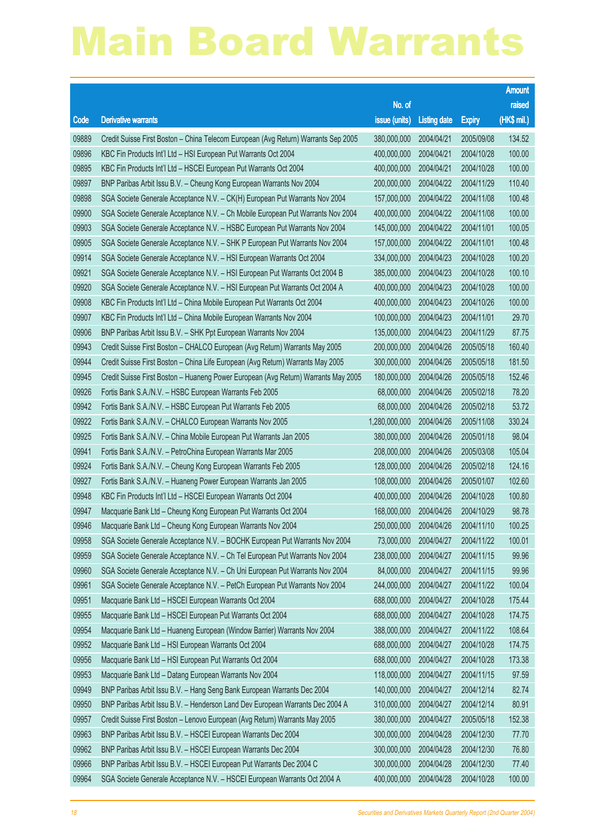|       |                                                                                    |                        |                     |               | <b>Amount</b> |
|-------|------------------------------------------------------------------------------------|------------------------|---------------------|---------------|---------------|
|       |                                                                                    | No. of                 |                     |               | raised        |
| Code  | <b>Derivative warrants</b>                                                         | issue (units)          | <b>Listing date</b> | <b>Expiry</b> | (HK\$ mil.)   |
| 09889 | Credit Suisse First Boston - China Telecom European (Avg Return) Warrants Sep 2005 | 380,000,000            | 2004/04/21          | 2005/09/08    | 134.52        |
| 09896 | KBC Fin Products Int'l Ltd - HSI European Put Warrants Oct 2004                    | 400,000,000            | 2004/04/21          | 2004/10/28    | 100.00        |
| 09895 | KBC Fin Products Int'l Ltd - HSCEI European Put Warrants Oct 2004                  | 400,000,000            | 2004/04/21          | 2004/10/28    | 100.00        |
| 09897 | BNP Paribas Arbit Issu B.V. - Cheung Kong European Warrants Nov 2004               | 200,000,000            | 2004/04/22          | 2004/11/29    | 110.40        |
| 09898 | SGA Societe Generale Acceptance N.V. - CK(H) European Put Warrants Nov 2004        | 157,000,000            | 2004/04/22          | 2004/11/08    | 100.48        |
| 09900 | SGA Societe Generale Acceptance N.V. - Ch Mobile European Put Warrants Nov 2004    | 400,000,000            | 2004/04/22          | 2004/11/08    | 100.00        |
| 09903 | SGA Societe Generale Acceptance N.V. - HSBC European Put Warrants Nov 2004         | 145,000,000            | 2004/04/22          | 2004/11/01    | 100.05        |
| 09905 | SGA Societe Generale Acceptance N.V. - SHK P European Put Warrants Nov 2004        | 157,000,000            | 2004/04/22          | 2004/11/01    | 100.48        |
| 09914 | SGA Societe Generale Acceptance N.V. - HSI European Warrants Oct 2004              | 334,000,000            | 2004/04/23          | 2004/10/28    | 100.20        |
| 09921 | SGA Societe Generale Acceptance N.V. - HSI European Put Warrants Oct 2004 B        | 385,000,000            | 2004/04/23          | 2004/10/28    | 100.10        |
| 09920 | SGA Societe Generale Acceptance N.V. - HSI European Put Warrants Oct 2004 A        | 400,000,000            | 2004/04/23          | 2004/10/28    | 100.00        |
| 09908 | KBC Fin Products Int'l Ltd - China Mobile European Put Warrants Oct 2004           | 400,000,000            | 2004/04/23          | 2004/10/26    | 100.00        |
| 09907 | KBC Fin Products Int'l Ltd - China Mobile European Warrants Nov 2004               | 100,000,000            | 2004/04/23          | 2004/11/01    | 29.70         |
| 09906 | BNP Paribas Arbit Issu B.V. - SHK Ppt European Warrants Nov 2004                   | 135,000,000            | 2004/04/23          | 2004/11/29    | 87.75         |
| 09943 | Credit Suisse First Boston - CHALCO European (Avg Return) Warrants May 2005        | 200,000,000            | 2004/04/26          | 2005/05/18    | 160.40        |
| 09944 | Credit Suisse First Boston - China Life European (Avg Return) Warrants May 2005    | 300,000,000            | 2004/04/26          | 2005/05/18    | 181.50        |
| 09945 | Credit Suisse First Boston - Huaneng Power European (Avg Return) Warrants May 2005 | 180,000,000            | 2004/04/26          | 2005/05/18    | 152.46        |
| 09926 | Fortis Bank S.A./N.V. - HSBC European Warrants Feb 2005                            | 68,000,000             | 2004/04/26          | 2005/02/18    | 78.20         |
| 09942 | Fortis Bank S.A./N.V. - HSBC European Put Warrants Feb 2005                        | 68,000,000             | 2004/04/26          | 2005/02/18    | 53.72         |
| 09922 | Fortis Bank S.A./N.V. - CHALCO European Warrants Nov 2005                          | 1,280,000,000          | 2004/04/26          | 2005/11/08    | 330.24        |
| 09925 | Fortis Bank S.A./N.V. - China Mobile European Put Warrants Jan 2005                | 380,000,000            | 2004/04/26          | 2005/01/18    | 98.04         |
| 09941 | Fortis Bank S.A./N.V. - PetroChina European Warrants Mar 2005                      | 208,000,000            | 2004/04/26          | 2005/03/08    | 105.04        |
| 09924 | Fortis Bank S.A./N.V. - Cheung Kong European Warrants Feb 2005                     | 128,000,000            | 2004/04/26          | 2005/02/18    | 124.16        |
| 09927 | Fortis Bank S.A./N.V. - Huaneng Power European Warrants Jan 2005                   | 108,000,000            | 2004/04/26          | 2005/01/07    | 102.60        |
| 09948 | KBC Fin Products Int'l Ltd - HSCEI European Warrants Oct 2004                      | 400,000,000            | 2004/04/26          | 2004/10/28    | 100.80        |
| 09947 | Macquarie Bank Ltd - Cheung Kong European Put Warrants Oct 2004                    | 168,000,000            | 2004/04/26          | 2004/10/29    | 98.78         |
| 09946 | Macquarie Bank Ltd - Cheung Kong European Warrants Nov 2004                        | 250,000,000 2004/04/26 |                     | 2004/11/10    | 100.25        |
| 09958 | SGA Societe Generale Acceptance N.V. - BOCHK European Put Warrants Nov 2004        | 73,000,000             | 2004/04/27          | 2004/11/22    | 100.01        |
| 09959 | SGA Societe Generale Acceptance N.V. - Ch Tel European Put Warrants Nov 2004       | 238,000,000            | 2004/04/27          | 2004/11/15    | 99.96         |
| 09960 | SGA Societe Generale Acceptance N.V. - Ch Uni European Put Warrants Nov 2004       | 84,000,000             | 2004/04/27          | 2004/11/15    | 99.96         |
| 09961 | SGA Societe Generale Acceptance N.V. - PetCh European Put Warrants Nov 2004        | 244,000,000            | 2004/04/27          | 2004/11/22    | 100.04        |
| 09951 | Macquarie Bank Ltd - HSCEI European Warrants Oct 2004                              | 688,000,000            | 2004/04/27          | 2004/10/28    | 175.44        |
| 09955 | Macquarie Bank Ltd - HSCEI European Put Warrants Oct 2004                          | 688,000,000            | 2004/04/27          | 2004/10/28    | 174.75        |
| 09954 | Macquarie Bank Ltd - Huaneng European (Window Barrier) Warrants Nov 2004           | 388,000,000            | 2004/04/27          | 2004/11/22    | 108.64        |
| 09952 | Macquarie Bank Ltd - HSI European Warrants Oct 2004                                | 688,000,000            | 2004/04/27          | 2004/10/28    | 174.75        |
| 09956 | Macquarie Bank Ltd - HSI European Put Warrants Oct 2004                            | 688,000,000            | 2004/04/27          | 2004/10/28    | 173.38        |
| 09953 | Macquarie Bank Ltd - Datang European Warrants Nov 2004                             | 118,000,000            | 2004/04/27          | 2004/11/15    | 97.59         |
| 09949 | BNP Paribas Arbit Issu B.V. - Hang Seng Bank European Warrants Dec 2004            | 140,000,000            | 2004/04/27          | 2004/12/14    | 82.74         |
| 09950 | BNP Paribas Arbit Issu B.V. - Henderson Land Dev European Warrants Dec 2004 A      | 310,000,000            | 2004/04/27          | 2004/12/14    | 80.91         |
| 09957 | Credit Suisse First Boston - Lenovo European (Avg Return) Warrants May 2005        | 380,000,000            | 2004/04/27          | 2005/05/18    | 152.38        |
| 09963 | BNP Paribas Arbit Issu B.V. - HSCEI European Warrants Dec 2004                     | 300,000,000            | 2004/04/28          | 2004/12/30    | 77.70         |
| 09962 | BNP Paribas Arbit Issu B.V. - HSCEI European Warrants Dec 2004                     | 300,000,000            | 2004/04/28          | 2004/12/30    | 76.80         |
| 09966 | BNP Paribas Arbit Issu B.V. - HSCEI European Put Warrants Dec 2004 C               | 300,000,000            | 2004/04/28          | 2004/12/30    | 77.40         |
| 09964 | SGA Societe Generale Acceptance N.V. - HSCEI European Warrants Oct 2004 A          | 400,000,000            | 2004/04/28          | 2004/10/28    | 100.00        |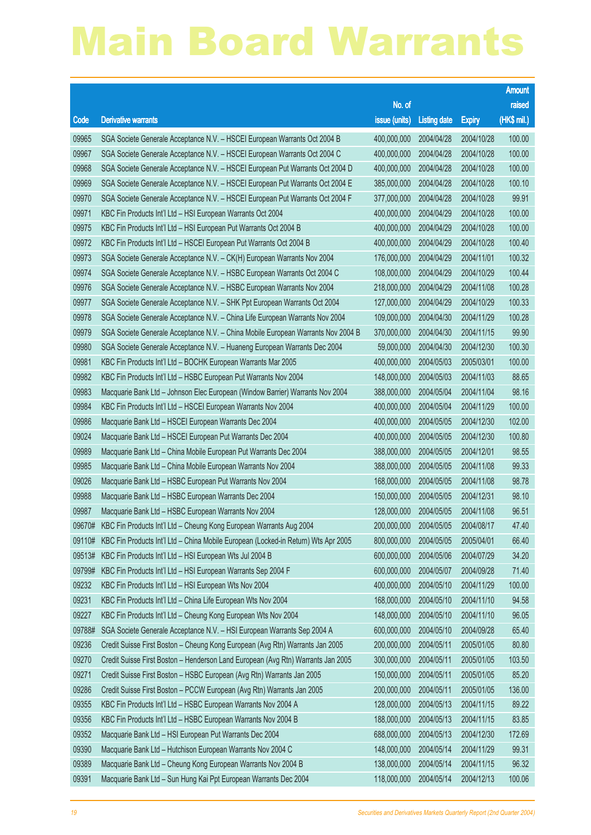|        |                                                                                    |                        |                     |               | <b>Amount</b> |
|--------|------------------------------------------------------------------------------------|------------------------|---------------------|---------------|---------------|
|        |                                                                                    | No. of                 |                     |               | raised        |
| Code   | <b>Derivative warrants</b>                                                         | issue (units)          | <b>Listing date</b> | <b>Expiry</b> | (HK\$ mil.)   |
| 09965  | SGA Societe Generale Acceptance N.V. - HSCEI European Warrants Oct 2004 B          | 400,000,000            | 2004/04/28          | 2004/10/28    | 100.00        |
| 09967  | SGA Societe Generale Acceptance N.V. - HSCEI European Warrants Oct 2004 C          | 400,000,000            | 2004/04/28          | 2004/10/28    | 100.00        |
| 09968  | SGA Societe Generale Acceptance N.V. - HSCEI European Put Warrants Oct 2004 D      | 400,000,000            | 2004/04/28          | 2004/10/28    | 100.00        |
| 09969  | SGA Societe Generale Acceptance N.V. - HSCEI European Put Warrants Oct 2004 E      | 385,000,000            | 2004/04/28          | 2004/10/28    | 100.10        |
| 09970  | SGA Societe Generale Acceptance N.V. - HSCEI European Put Warrants Oct 2004 F      | 377,000,000            | 2004/04/28          | 2004/10/28    | 99.91         |
| 09971  | KBC Fin Products Int'l Ltd - HSI European Warrants Oct 2004                        | 400,000,000            | 2004/04/29          | 2004/10/28    | 100.00        |
| 09975  | KBC Fin Products Int'l Ltd - HSI European Put Warrants Oct 2004 B                  | 400,000,000            | 2004/04/29          | 2004/10/28    | 100.00        |
| 09972  | KBC Fin Products Int'l Ltd - HSCEI European Put Warrants Oct 2004 B                | 400,000,000            | 2004/04/29          | 2004/10/28    | 100.40        |
| 09973  | SGA Societe Generale Acceptance N.V. - CK(H) European Warrants Nov 2004            | 176,000,000            | 2004/04/29          | 2004/11/01    | 100.32        |
| 09974  | SGA Societe Generale Acceptance N.V. - HSBC European Warrants Oct 2004 C           | 108,000,000            | 2004/04/29          | 2004/10/29    | 100.44        |
| 09976  | SGA Societe Generale Acceptance N.V. - HSBC European Warrants Nov 2004             | 218,000,000            | 2004/04/29          | 2004/11/08    | 100.28        |
| 09977  | SGA Societe Generale Acceptance N.V. - SHK Ppt European Warrants Oct 2004          | 127,000,000            | 2004/04/29          | 2004/10/29    | 100.33        |
| 09978  | SGA Societe Generale Acceptance N.V. - China Life European Warrants Nov 2004       | 109,000,000            | 2004/04/30          | 2004/11/29    | 100.28        |
| 09979  | SGA Societe Generale Acceptance N.V. - China Mobile European Warrants Nov 2004 B   | 370,000,000            | 2004/04/30          | 2004/11/15    | 99.90         |
| 09980  | SGA Societe Generale Acceptance N.V. - Huaneng European Warrants Dec 2004          | 59,000,000             | 2004/04/30          | 2004/12/30    | 100.30        |
| 09981  | KBC Fin Products Int'l Ltd - BOCHK European Warrants Mar 2005                      | 400,000,000            | 2004/05/03          | 2005/03/01    | 100.00        |
| 09982  | KBC Fin Products Int'l Ltd - HSBC European Put Warrants Nov 2004                   | 148,000,000            | 2004/05/03          | 2004/11/03    | 88.65         |
| 09983  | Macquarie Bank Ltd - Johnson Elec European (Window Barrier) Warrants Nov 2004      | 388,000,000            | 2004/05/04          | 2004/11/04    | 98.16         |
| 09984  | KBC Fin Products Int'l Ltd - HSCEI European Warrants Nov 2004                      | 400,000,000            | 2004/05/04          | 2004/11/29    | 100.00        |
| 09986  | Macquarie Bank Ltd - HSCEI European Warrants Dec 2004                              | 400,000,000            | 2004/05/05          | 2004/12/30    | 102.00        |
| 09024  | Macquarie Bank Ltd - HSCEI European Put Warrants Dec 2004                          | 400,000,000            | 2004/05/05          | 2004/12/30    | 100.80        |
| 09989  | Macquarie Bank Ltd - China Mobile European Put Warrants Dec 2004                   | 388,000,000            | 2004/05/05          | 2004/12/01    | 98.55         |
| 09985  | Macquarie Bank Ltd - China Mobile European Warrants Nov 2004                       | 388,000,000            | 2004/05/05          | 2004/11/08    | 99.33         |
| 09026  | Macquarie Bank Ltd - HSBC European Put Warrants Nov 2004                           | 168,000,000            | 2004/05/05          | 2004/11/08    | 98.78         |
| 09988  | Macquarie Bank Ltd - HSBC European Warrants Dec 2004                               | 150,000,000            | 2004/05/05          | 2004/12/31    | 98.10         |
| 09987  | Macquarie Bank Ltd - HSBC European Warrants Nov 2004                               | 128,000,000            | 2004/05/05          | 2004/11/08    | 96.51         |
| 09670# | KBC Fin Products Int'l Ltd - Cheung Kong European Warrants Aug 2004                | 200,000,000 2004/05/05 |                     | 2004/08/17    | 47.40         |
| 09110# | KBC Fin Products Int'l Ltd - China Mobile European (Locked-in Return) Wts Apr 2005 | 800,000,000            | 2004/05/05          | 2005/04/01    | 66.40         |
| 09513# | KBC Fin Products Int'l Ltd - HSI European Wts Jul 2004 B                           | 600,000,000            | 2004/05/06          | 2004/07/29    | 34.20         |
| 09799# | KBC Fin Products Int'l Ltd - HSI European Warrants Sep 2004 F                      | 600,000,000            | 2004/05/07          | 2004/09/28    | 71.40         |
| 09232  | KBC Fin Products Int'l Ltd - HSI European Wts Nov 2004                             | 400,000,000            | 2004/05/10          | 2004/11/29    | 100.00        |
| 09231  | KBC Fin Products Int'l Ltd - China Life European Wts Nov 2004                      | 168,000,000            | 2004/05/10          | 2004/11/10    | 94.58         |
| 09227  | KBC Fin Products Int'l Ltd - Cheung Kong European Wts Nov 2004                     | 148,000,000            | 2004/05/10          | 2004/11/10    | 96.05         |
| 09788# | SGA Societe Generale Acceptance N.V. - HSI European Warrants Sep 2004 A            | 600,000,000            | 2004/05/10          | 2004/09/28    | 65.40         |
| 09236  | Credit Suisse First Boston - Cheung Kong European (Avg Rtn) Warrants Jan 2005      | 200,000,000            | 2004/05/11          | 2005/01/05    | 80.80         |
| 09270  | Credit Suisse First Boston - Henderson Land European (Avg Rtn) Warrants Jan 2005   | 300,000,000            | 2004/05/11          | 2005/01/05    | 103.50        |
| 09271  | Credit Suisse First Boston - HSBC European (Avg Rtn) Warrants Jan 2005             | 150,000,000            | 2004/05/11          | 2005/01/05    | 85.20         |
| 09286  | Credit Suisse First Boston - PCCW European (Avg Rtn) Warrants Jan 2005             | 200,000,000            | 2004/05/11          | 2005/01/05    | 136.00        |
| 09355  | KBC Fin Products Int'l Ltd - HSBC European Warrants Nov 2004 A                     | 128,000,000            | 2004/05/13          | 2004/11/15    | 89.22         |
| 09356  | KBC Fin Products Int'l Ltd - HSBC European Warrants Nov 2004 B                     | 188,000,000            | 2004/05/13          | 2004/11/15    | 83.85         |
| 09352  | Macquarie Bank Ltd - HSI European Put Warrants Dec 2004                            | 688,000,000            | 2004/05/13          | 2004/12/30    | 172.69        |
| 09390  | Macquarie Bank Ltd - Hutchison European Warrants Nov 2004 C                        | 148,000,000            | 2004/05/14          | 2004/11/29    | 99.31         |
| 09389  | Macquarie Bank Ltd - Cheung Kong European Warrants Nov 2004 B                      | 138,000,000            | 2004/05/14          | 2004/11/15    | 96.32         |
| 09391  | Macquarie Bank Ltd - Sun Hung Kai Ppt European Warrants Dec 2004                   | 118,000,000            | 2004/05/14          | 2004/12/13    | 100.06        |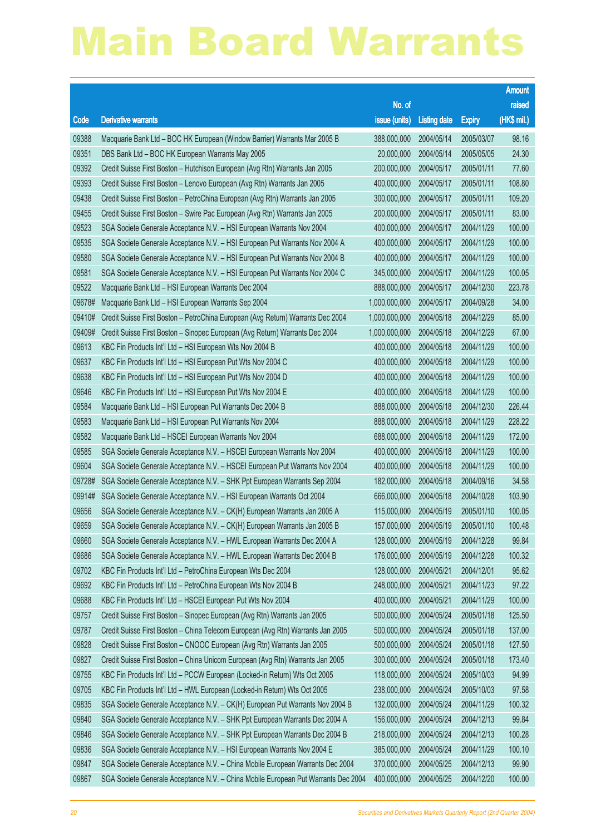|        |                                                                                    |                        |                     |               | <b>Amount</b> |
|--------|------------------------------------------------------------------------------------|------------------------|---------------------|---------------|---------------|
|        |                                                                                    | No. of                 |                     |               | raised        |
| Code   | <b>Derivative warrants</b>                                                         | issue (units)          | <b>Listing date</b> | <b>Expiry</b> | (HK\$ mil.)   |
| 09388  | Macquarie Bank Ltd - BOC HK European (Window Barrier) Warrants Mar 2005 B          | 388,000,000            | 2004/05/14          | 2005/03/07    | 98.16         |
| 09351  | DBS Bank Ltd - BOC HK European Warrants May 2005                                   | 20,000,000             | 2004/05/14          | 2005/05/05    | 24.30         |
| 09392  | Credit Suisse First Boston - Hutchison European (Avg Rtn) Warrants Jan 2005        | 200,000,000            | 2004/05/17          | 2005/01/11    | 77.60         |
| 09393  | Credit Suisse First Boston - Lenovo European (Avg Rtn) Warrants Jan 2005           | 400,000,000            | 2004/05/17          | 2005/01/11    | 108.80        |
| 09438  | Credit Suisse First Boston - PetroChina European (Avg Rtn) Warrants Jan 2005       | 300,000,000            | 2004/05/17          | 2005/01/11    | 109.20        |
| 09455  | Credit Suisse First Boston - Swire Pac European (Avg Rtn) Warrants Jan 2005        | 200,000,000            | 2004/05/17          | 2005/01/11    | 83.00         |
| 09523  | SGA Societe Generale Acceptance N.V. - HSI European Warrants Nov 2004              | 400,000,000            | 2004/05/17          | 2004/11/29    | 100.00        |
| 09535  | SGA Societe Generale Acceptance N.V. - HSI European Put Warrants Nov 2004 A        | 400,000,000            | 2004/05/17          | 2004/11/29    | 100.00        |
| 09580  | SGA Societe Generale Acceptance N.V. - HSI European Put Warrants Nov 2004 B        | 400,000,000            | 2004/05/17          | 2004/11/29    | 100.00        |
| 09581  | SGA Societe Generale Acceptance N.V. - HSI European Put Warrants Nov 2004 C        | 345,000,000            | 2004/05/17          | 2004/11/29    | 100.05        |
| 09522  | Macquarie Bank Ltd - HSI European Warrants Dec 2004                                | 888,000,000            | 2004/05/17          | 2004/12/30    | 223.78        |
| 09678# | Macquarie Bank Ltd - HSI European Warrants Sep 2004                                | 1,000,000,000          | 2004/05/17          | 2004/09/28    | 34.00         |
| 09410# | Credit Suisse First Boston - PetroChina European (Avg Return) Warrants Dec 2004    | 1,000,000,000          | 2004/05/18          | 2004/12/29    | 85.00         |
| 09409# | Credit Suisse First Boston - Sinopec European (Avg Return) Warrants Dec 2004       | 1,000,000,000          | 2004/05/18          | 2004/12/29    | 67.00         |
| 09613  | KBC Fin Products Int'l Ltd - HSI European Wts Nov 2004 B                           | 400,000,000            | 2004/05/18          | 2004/11/29    | 100.00        |
| 09637  | KBC Fin Products Int'l Ltd - HSI European Put Wts Nov 2004 C                       | 400,000,000            | 2004/05/18          | 2004/11/29    | 100.00        |
| 09638  | KBC Fin Products Int'l Ltd - HSI European Put Wts Nov 2004 D                       | 400,000,000            | 2004/05/18          | 2004/11/29    | 100.00        |
| 09646  | KBC Fin Products Int'l Ltd - HSI European Put Wts Nov 2004 E                       | 400,000,000            | 2004/05/18          | 2004/11/29    | 100.00        |
| 09584  | Macquarie Bank Ltd - HSI European Put Warrants Dec 2004 B                          | 888,000,000            | 2004/05/18          | 2004/12/30    | 226.44        |
| 09583  | Macquarie Bank Ltd - HSI European Put Warrants Nov 2004                            | 888,000,000            | 2004/05/18          | 2004/11/29    | 228.22        |
| 09582  | Macquarie Bank Ltd - HSCEI European Warrants Nov 2004                              | 688,000,000            | 2004/05/18          | 2004/11/29    | 172.00        |
| 09585  | SGA Societe Generale Acceptance N.V. - HSCEI European Warrants Nov 2004            | 400,000,000            | 2004/05/18          | 2004/11/29    | 100.00        |
| 09604  | SGA Societe Generale Acceptance N.V. - HSCEI European Put Warrants Nov 2004        | 400,000,000            | 2004/05/18          | 2004/11/29    | 100.00        |
| 09728# | SGA Societe Generale Acceptance N.V. - SHK Ppt European Warrants Sep 2004          | 182,000,000            | 2004/05/18          | 2004/09/16    | 34.58         |
| 09914# | SGA Societe Generale Acceptance N.V. - HSI European Warrants Oct 2004              | 666,000,000            | 2004/05/18          | 2004/10/28    | 103.90        |
| 09656  | SGA Societe Generale Acceptance N.V. - CK(H) European Warrants Jan 2005 A          | 115,000,000            | 2004/05/19          | 2005/01/10    | 100.05        |
| 09659  | SGA Societe Generale Acceptance N.V. - CK(H) European Warrants Jan 2005 B          | 157,000,000 2004/05/19 |                     | 2005/01/10    | 100.48        |
| 09660  | SGA Societe Generale Acceptance N.V. - HWL European Warrants Dec 2004 A            | 128,000,000            | 2004/05/19          | 2004/12/28    | 99.84         |
| 09686  | SGA Societe Generale Acceptance N.V. - HWL European Warrants Dec 2004 B            | 176,000,000            | 2004/05/19          | 2004/12/28    | 100.32        |
| 09702  | KBC Fin Products Int'l Ltd - PetroChina European Wts Dec 2004                      | 128,000,000            | 2004/05/21          | 2004/12/01    | 95.62         |
| 09692  | KBC Fin Products Int'l Ltd - PetroChina European Wts Nov 2004 B                    | 248,000,000            | 2004/05/21          | 2004/11/23    | 97.22         |
| 09688  | KBC Fin Products Int'l Ltd - HSCEI European Put Wts Nov 2004                       | 400,000,000            | 2004/05/21          | 2004/11/29    | 100.00        |
| 09757  | Credit Suisse First Boston – Sinopec European (Avg Rtn) Warrants Jan 2005          | 500,000,000            | 2004/05/24          | 2005/01/18    | 125.50        |
| 09787  | Credit Suisse First Boston - China Telecom European (Avg Rtn) Warrants Jan 2005    | 500,000,000            | 2004/05/24          | 2005/01/18    | 137.00        |
| 09828  | Credit Suisse First Boston - CNOOC European (Avg Rtn) Warrants Jan 2005            | 500,000,000            | 2004/05/24          | 2005/01/18    | 127.50        |
| 09827  | Credit Suisse First Boston - China Unicom European (Avg Rtn) Warrants Jan 2005     | 300,000,000            | 2004/05/24          | 2005/01/18    | 173.40        |
| 09755  | KBC Fin Products Int'l Ltd - PCCW European (Locked-in Return) Wts Oct 2005         | 118,000,000            | 2004/05/24          | 2005/10/03    | 94.99         |
| 09705  | KBC Fin Products Int'l Ltd - HWL European (Locked-in Return) Wts Oct 2005          | 238,000,000            | 2004/05/24          | 2005/10/03    | 97.58         |
| 09835  | SGA Societe Generale Acceptance N.V. - CK(H) European Put Warrants Nov 2004 B      | 132,000,000            | 2004/05/24          | 2004/11/29    | 100.32        |
| 09840  | SGA Societe Generale Acceptance N.V. - SHK Ppt European Warrants Dec 2004 A        | 156,000,000            | 2004/05/24          | 2004/12/13    | 99.84         |
| 09846  | SGA Societe Generale Acceptance N.V. - SHK Ppt European Warrants Dec 2004 B        | 218,000,000            | 2004/05/24          | 2004/12/13    | 100.28        |
| 09836  | SGA Societe Generale Acceptance N.V. - HSI European Warrants Nov 2004 E            | 385,000,000            | 2004/05/24          | 2004/11/29    | 100.10        |
| 09847  | SGA Societe Generale Acceptance N.V. - China Mobile European Warrants Dec 2004     | 370,000,000            | 2004/05/25          | 2004/12/13    | 99.90         |
| 09867  | SGA Societe Generale Acceptance N.V. - China Mobile European Put Warrants Dec 2004 | 400,000,000            | 2004/05/25          | 2004/12/20    | 100.00        |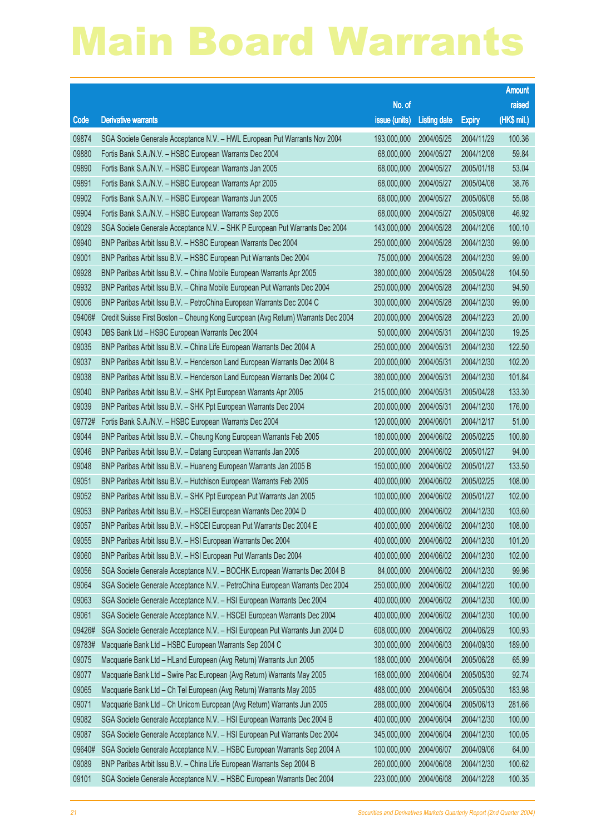|        |                                                                                  |                        |                     |               | <b>Amount</b> |
|--------|----------------------------------------------------------------------------------|------------------------|---------------------|---------------|---------------|
|        |                                                                                  | No. of                 |                     |               | raised        |
| Code   | <b>Derivative warrants</b>                                                       | issue (units)          | <b>Listing date</b> | <b>Expiry</b> | (HK\$ mil.)   |
| 09874  | SGA Societe Generale Acceptance N.V. - HWL European Put Warrants Nov 2004        | 193,000,000            | 2004/05/25          | 2004/11/29    | 100.36        |
| 09880  | Fortis Bank S.A./N.V. - HSBC European Warrants Dec 2004                          | 68,000,000             | 2004/05/27          | 2004/12/08    | 59.84         |
| 09890  | Fortis Bank S.A./N.V. - HSBC European Warrants Jan 2005                          | 68,000,000             | 2004/05/27          | 2005/01/18    | 53.04         |
| 09891  | Fortis Bank S.A./N.V. - HSBC European Warrants Apr 2005                          | 68,000,000             | 2004/05/27          | 2005/04/08    | 38.76         |
| 09902  | Fortis Bank S.A./N.V. - HSBC European Warrants Jun 2005                          | 68,000,000             | 2004/05/27          | 2005/06/08    | 55.08         |
| 09904  | Fortis Bank S.A./N.V. - HSBC European Warrants Sep 2005                          | 68,000,000             | 2004/05/27          | 2005/09/08    | 46.92         |
| 09029  | SGA Societe Generale Acceptance N.V. - SHK P European Put Warrants Dec 2004      | 143,000,000            | 2004/05/28          | 2004/12/06    | 100.10        |
| 09940  | BNP Paribas Arbit Issu B.V. - HSBC European Warrants Dec 2004                    | 250,000,000            | 2004/05/28          | 2004/12/30    | 99.00         |
| 09001  | BNP Paribas Arbit Issu B.V. - HSBC European Put Warrants Dec 2004                | 75,000,000             | 2004/05/28          | 2004/12/30    | 99.00         |
| 09928  | BNP Paribas Arbit Issu B.V. - China Mobile European Warrants Apr 2005            | 380,000,000            | 2004/05/28          | 2005/04/28    | 104.50        |
| 09932  | BNP Paribas Arbit Issu B.V. - China Mobile European Put Warrants Dec 2004        | 250,000,000            | 2004/05/28          | 2004/12/30    | 94.50         |
| 09006  | BNP Paribas Arbit Issu B.V. - PetroChina European Warrants Dec 2004 C            | 300,000,000            | 2004/05/28          | 2004/12/30    | 99.00         |
| 09406# | Credit Suisse First Boston - Cheung Kong European (Avg Return) Warrants Dec 2004 | 200,000,000            | 2004/05/28          | 2004/12/23    | 20.00         |
| 09043  | DBS Bank Ltd - HSBC European Warrants Dec 2004                                   | 50,000,000             | 2004/05/31          | 2004/12/30    | 19.25         |
| 09035  | BNP Paribas Arbit Issu B.V. - China Life European Warrants Dec 2004 A            | 250,000,000            | 2004/05/31          | 2004/12/30    | 122.50        |
| 09037  | BNP Paribas Arbit Issu B.V. - Henderson Land European Warrants Dec 2004 B        | 200,000,000            | 2004/05/31          | 2004/12/30    | 102.20        |
| 09038  | BNP Paribas Arbit Issu B.V. - Henderson Land European Warrants Dec 2004 C        | 380,000,000            | 2004/05/31          | 2004/12/30    | 101.84        |
| 09040  | BNP Paribas Arbit Issu B.V. - SHK Ppt European Warrants Apr 2005                 | 215,000,000            | 2004/05/31          | 2005/04/28    | 133.30        |
| 09039  | BNP Paribas Arbit Issu B.V. - SHK Ppt European Warrants Dec 2004                 | 200,000,000            | 2004/05/31          | 2004/12/30    | 176.00        |
| 09772# | Fortis Bank S.A./N.V. - HSBC European Warrants Dec 2004                          | 120,000,000            | 2004/06/01          | 2004/12/17    | 51.00         |
| 09044  | BNP Paribas Arbit Issu B.V. - Cheung Kong European Warrants Feb 2005             | 180,000,000            | 2004/06/02          | 2005/02/25    | 100.80        |
| 09046  | BNP Paribas Arbit Issu B.V. - Datang European Warrants Jan 2005                  | 200,000,000            | 2004/06/02          | 2005/01/27    | 94.00         |
| 09048  | BNP Paribas Arbit Issu B.V. - Huaneng European Warrants Jan 2005 B               | 150,000,000            | 2004/06/02          | 2005/01/27    | 133.50        |
| 09051  | BNP Paribas Arbit Issu B.V. - Hutchison European Warrants Feb 2005               | 400,000,000            | 2004/06/02          | 2005/02/25    | 108.00        |
| 09052  | BNP Paribas Arbit Issu B.V. - SHK Ppt European Put Warrants Jan 2005             | 100,000,000            | 2004/06/02          | 2005/01/27    | 102.00        |
| 09053  | BNP Paribas Arbit Issu B.V. - HSCEI European Warrants Dec 2004 D                 | 400,000,000            | 2004/06/02          | 2004/12/30    | 103.60        |
| 09057  | BNP Paribas Arbit Issu B.V. - HSCEI European Put Warrants Dec 2004 E             | 400,000,000 2004/06/02 |                     | 2004/12/30    | 108.00        |
| 09055  | BNP Paribas Arbit Issu B.V. - HSI European Warrants Dec 2004                     | 400,000,000            | 2004/06/02          | 2004/12/30    | 101.20        |
| 09060  | BNP Paribas Arbit Issu B.V. - HSI European Put Warrants Dec 2004                 | 400,000,000            | 2004/06/02          | 2004/12/30    | 102.00        |
| 09056  | SGA Societe Generale Acceptance N.V. - BOCHK European Warrants Dec 2004 B        | 84,000,000             | 2004/06/02          | 2004/12/30    | 99.96         |
| 09064  | SGA Societe Generale Acceptance N.V. - PetroChina European Warrants Dec 2004     | 250,000,000            | 2004/06/02          | 2004/12/20    | 100.00        |
| 09063  | SGA Societe Generale Acceptance N.V. - HSI European Warrants Dec 2004            | 400,000,000            | 2004/06/02          | 2004/12/30    | 100.00        |
| 09061  | SGA Societe Generale Acceptance N.V. - HSCEI European Warrants Dec 2004          | 400,000,000            | 2004/06/02          | 2004/12/30    | 100.00        |
| 09426# | SGA Societe Generale Acceptance N.V. - HSI European Put Warrants Jun 2004 D      | 608,000,000            | 2004/06/02          | 2004/06/29    | 100.93        |
| 09783# | Macquarie Bank Ltd - HSBC European Warrants Sep 2004 C                           | 300,000,000            | 2004/06/03          | 2004/09/30    | 189.00        |
| 09075  | Macquarie Bank Ltd - HLand European (Avg Return) Warrants Jun 2005               | 188,000,000            | 2004/06/04          | 2005/06/28    | 65.99         |
| 09077  | Macquarie Bank Ltd - Swire Pac European (Avg Return) Warrants May 2005           | 168,000,000            | 2004/06/04          | 2005/05/30    | 92.74         |
| 09065  | Macquarie Bank Ltd - Ch Tel European (Avg Return) Warrants May 2005              | 488,000,000            | 2004/06/04          | 2005/05/30    | 183.98        |
| 09071  | Macquarie Bank Ltd - Ch Unicom European (Avg Return) Warrants Jun 2005           | 288,000,000            | 2004/06/04          | 2005/06/13    | 281.66        |
| 09082  | SGA Societe Generale Acceptance N.V. - HSI European Warrants Dec 2004 B          | 400,000,000            | 2004/06/04          | 2004/12/30    | 100.00        |
| 09087  | SGA Societe Generale Acceptance N.V. - HSI European Put Warrants Dec 2004        | 345,000,000            | 2004/06/04          | 2004/12/30    | 100.05        |
| 09640# | SGA Societe Generale Acceptance N.V. - HSBC European Warrants Sep 2004 A         | 100,000,000            | 2004/06/07          | 2004/09/06    | 64.00         |
| 09089  | BNP Paribas Arbit Issu B.V. - China Life European Warrants Sep 2004 B            | 260,000,000            | 2004/06/08          | 2004/12/30    | 100.62        |
| 09101  | SGA Societe Generale Acceptance N.V. - HSBC European Warrants Dec 2004           | 223,000,000            | 2004/06/08          | 2004/12/28    | 100.35        |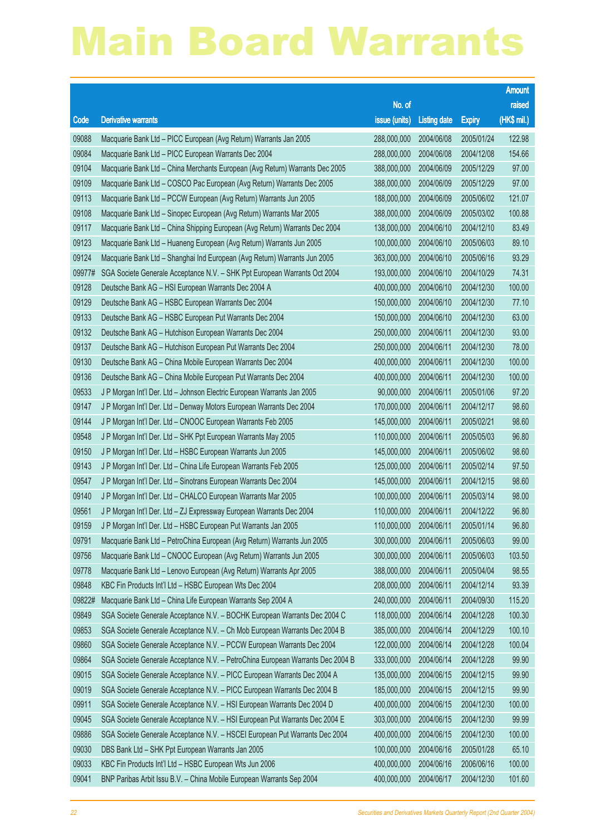|        |                                                                                |                        |                     |               | <b>Amount</b> |
|--------|--------------------------------------------------------------------------------|------------------------|---------------------|---------------|---------------|
|        |                                                                                | No. of                 |                     |               | raised        |
| Code   | <b>Derivative warrants</b>                                                     | issue (units)          | <b>Listing date</b> | <b>Expiry</b> | (HK\$ mil.)   |
| 09088  | Macquarie Bank Ltd - PICC European (Avg Return) Warrants Jan 2005              | 288,000,000            | 2004/06/08          | 2005/01/24    | 122.98        |
| 09084  | Macquarie Bank Ltd - PICC European Warrants Dec 2004                           | 288,000,000            | 2004/06/08          | 2004/12/08    | 154.66        |
| 09104  | Macquarie Bank Ltd - China Merchants European (Avg Return) Warrants Dec 2005   | 388,000,000            | 2004/06/09          | 2005/12/29    | 97.00         |
| 09109  | Macquarie Bank Ltd - COSCO Pac European (Avg Return) Warrants Dec 2005         | 388,000,000            | 2004/06/09          | 2005/12/29    | 97.00         |
| 09113  | Macquarie Bank Ltd - PCCW European (Avg Return) Warrants Jun 2005              | 188,000,000            | 2004/06/09          | 2005/06/02    | 121.07        |
| 09108  | Macquarie Bank Ltd - Sinopec European (Avg Return) Warrants Mar 2005           | 388,000,000            | 2004/06/09          | 2005/03/02    | 100.88        |
| 09117  | Macquarie Bank Ltd - China Shipping European (Avg Return) Warrants Dec 2004    | 138,000,000            | 2004/06/10          | 2004/12/10    | 83.49         |
| 09123  | Macquarie Bank Ltd - Huaneng European (Avg Return) Warrants Jun 2005           | 100,000,000            | 2004/06/10          | 2005/06/03    | 89.10         |
| 09124  | Macquarie Bank Ltd - Shanghai Ind European (Avg Return) Warrants Jun 2005      | 363,000,000            | 2004/06/10          | 2005/06/16    | 93.29         |
| 09977# | SGA Societe Generale Acceptance N.V. - SHK Ppt European Warrants Oct 2004      | 193,000,000            | 2004/06/10          | 2004/10/29    | 74.31         |
| 09128  | Deutsche Bank AG - HSI European Warrants Dec 2004 A                            | 400,000,000            | 2004/06/10          | 2004/12/30    | 100.00        |
| 09129  | Deutsche Bank AG - HSBC European Warrants Dec 2004                             | 150,000,000            | 2004/06/10          | 2004/12/30    | 77.10         |
| 09133  | Deutsche Bank AG - HSBC European Put Warrants Dec 2004                         | 150,000,000            | 2004/06/10          | 2004/12/30    | 63.00         |
| 09132  | Deutsche Bank AG - Hutchison European Warrants Dec 2004                        | 250,000,000            | 2004/06/11          | 2004/12/30    | 93.00         |
| 09137  | Deutsche Bank AG - Hutchison European Put Warrants Dec 2004                    | 250,000,000            | 2004/06/11          | 2004/12/30    | 78.00         |
| 09130  | Deutsche Bank AG - China Mobile European Warrants Dec 2004                     | 400,000,000            | 2004/06/11          | 2004/12/30    | 100.00        |
| 09136  | Deutsche Bank AG - China Mobile European Put Warrants Dec 2004                 | 400,000,000            | 2004/06/11          | 2004/12/30    | 100.00        |
| 09533  | J P Morgan Int'l Der. Ltd - Johnson Electric European Warrants Jan 2005        | 90,000,000             | 2004/06/11          | 2005/01/06    | 97.20         |
| 09147  | J P Morgan Int'l Der. Ltd - Denway Motors European Warrants Dec 2004           | 170,000,000            | 2004/06/11          | 2004/12/17    | 98.60         |
| 09144  | J P Morgan Int'l Der. Ltd - CNOOC European Warrants Feb 2005                   | 145,000,000            | 2004/06/11          | 2005/02/21    | 98.60         |
| 09548  | J P Morgan Int'l Der. Ltd - SHK Ppt European Warrants May 2005                 | 110,000,000            | 2004/06/11          | 2005/05/03    | 96.80         |
| 09150  | J P Morgan Int'l Der. Ltd - HSBC European Warrants Jun 2005                    | 145,000,000            | 2004/06/11          | 2005/06/02    | 98.60         |
| 09143  | J P Morgan Int'l Der. Ltd - China Life European Warrants Feb 2005              | 125,000,000            | 2004/06/11          | 2005/02/14    | 97.50         |
| 09547  | J P Morgan Int'l Der. Ltd - Sinotrans European Warrants Dec 2004               | 145,000,000            | 2004/06/11          | 2004/12/15    | 98.60         |
| 09140  | J P Morgan Int'l Der. Ltd - CHALCO European Warrants Mar 2005                  | 100,000,000            | 2004/06/11          | 2005/03/14    | 98.00         |
| 09561  | J P Morgan Int'l Der. Ltd - ZJ Expressway European Warrants Dec 2004           | 110,000,000            | 2004/06/11          | 2004/12/22    | 96.80         |
| 09159  | J P Morgan Int'l Der. Ltd - HSBC European Put Warrants Jan 2005                | 110,000,000 2004/06/11 |                     | 2005/01/14    | 96.80         |
| 09791  | Macquarie Bank Ltd - PetroChina European (Avg Return) Warrants Jun 2005        | 300,000,000            | 2004/06/11          | 2005/06/03    | 99.00         |
| 09756  | Macquarie Bank Ltd - CNOOC European (Avg Return) Warrants Jun 2005             | 300,000,000            | 2004/06/11          | 2005/06/03    | 103.50        |
| 09778  | Macquarie Bank Ltd - Lenovo European (Avg Return) Warrants Apr 2005            | 388,000,000            | 2004/06/11          | 2005/04/04    | 98.55         |
| 09848  | KBC Fin Products Int'l Ltd - HSBC European Wts Dec 2004                        | 208,000,000            | 2004/06/11          | 2004/12/14    | 93.39         |
| 09822# | Macquarie Bank Ltd - China Life European Warrants Sep 2004 A                   | 240,000,000            | 2004/06/11          | 2004/09/30    | 115.20        |
| 09849  | SGA Societe Generale Acceptance N.V. - BOCHK European Warrants Dec 2004 C      | 118,000,000            | 2004/06/14          | 2004/12/28    | 100.30        |
| 09853  | SGA Societe Generale Acceptance N.V. - Ch Mob European Warrants Dec 2004 B     | 385,000,000            | 2004/06/14          | 2004/12/29    | 100.10        |
| 09860  | SGA Societe Generale Acceptance N.V. - PCCW European Warrants Dec 2004         | 122,000,000            | 2004/06/14          | 2004/12/28    | 100.04        |
| 09864  | SGA Societe Generale Acceptance N.V. - PetroChina European Warrants Dec 2004 B | 333,000,000            | 2004/06/14          | 2004/12/28    | 99.90         |
| 09015  | SGA Societe Generale Acceptance N.V. - PICC European Warrants Dec 2004 A       | 135,000,000            | 2004/06/15          | 2004/12/15    | 99.90         |
| 09019  | SGA Societe Generale Acceptance N.V. - PICC European Warrants Dec 2004 B       | 185,000,000            | 2004/06/15          | 2004/12/15    | 99.90         |
| 09911  | SGA Societe Generale Acceptance N.V. - HSI European Warrants Dec 2004 D        | 400,000,000            | 2004/06/15          | 2004/12/30    | 100.00        |
| 09045  | SGA Societe Generale Acceptance N.V. - HSI European Put Warrants Dec 2004 E    | 303,000,000            | 2004/06/15          | 2004/12/30    | 99.99         |
| 09886  | SGA Societe Generale Acceptance N.V. - HSCEI European Put Warrants Dec 2004    | 400,000,000            | 2004/06/15          | 2004/12/30    | 100.00        |
| 09030  | DBS Bank Ltd - SHK Ppt European Warrants Jan 2005                              | 100,000,000            | 2004/06/16          | 2005/01/28    | 65.10         |
| 09033  | KBC Fin Products Int'l Ltd - HSBC European Wts Jun 2006                        | 400,000,000            | 2004/06/16          | 2006/06/16    | 100.00        |
| 09041  | BNP Paribas Arbit Issu B.V. - China Mobile European Warrants Sep 2004          | 400,000,000            | 2004/06/17          | 2004/12/30    | 101.60        |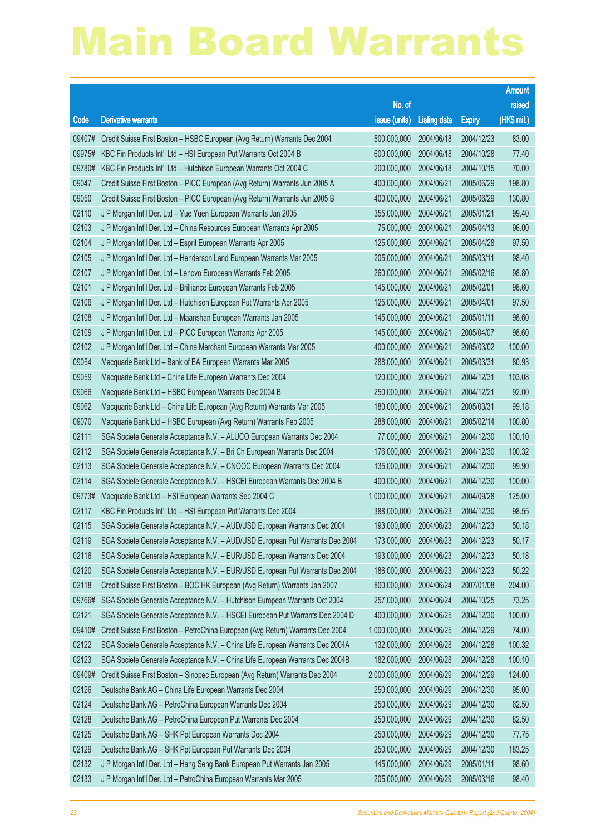|        |                                                                                 |                        |                     |               | <b>Amount</b> |
|--------|---------------------------------------------------------------------------------|------------------------|---------------------|---------------|---------------|
|        |                                                                                 | No. of                 |                     |               | raised        |
| Code   | <b>Derivative warrants</b>                                                      | issue (units)          | <b>Listing date</b> | <b>Expiry</b> | (HK\$ mil.)   |
| 09407# | Credit Suisse First Boston - HSBC European (Avg Return) Warrants Dec 2004       | 500,000,000            | 2004/06/18          | 2004/12/23    | 83.00         |
| 09975# | KBC Fin Products Int'l Ltd - HSI European Put Warrants Oct 2004 B               | 600,000,000            | 2004/06/18          | 2004/10/28    | 77.40         |
| 09780# | KBC Fin Products Int'l Ltd - Hutchison European Warrants Oct 2004 C             | 200,000,000            | 2004/06/18          | 2004/10/15    | 70.00         |
| 09047  | Credit Suisse First Boston - PICC European (Avg Return) Warrants Jun 2005 A     | 400,000,000            | 2004/06/21          | 2005/06/29    | 198.80        |
| 09050  | Credit Suisse First Boston - PICC European (Avg Return) Warrants Jun 2005 B     | 400,000,000            | 2004/06/21          | 2005/06/29    | 130.80        |
| 02110  | J P Morgan Int'l Der. Ltd - Yue Yuen European Warrants Jan 2005                 | 355,000,000            | 2004/06/21          | 2005/01/21    | 99.40         |
| 02103  | J P Morgan Int'l Der. Ltd - China Resources European Warrants Apr 2005          | 75,000,000             | 2004/06/21          | 2005/04/13    | 96.00         |
| 02104  | J P Morgan Int'l Der. Ltd - Esprit European Warrants Apr 2005                   | 125,000,000            | 2004/06/21          | 2005/04/28    | 97.50         |
| 02105  | J P Morgan Int'l Der. Ltd - Henderson Land European Warrants Mar 2005           | 205,000,000            | 2004/06/21          | 2005/03/11    | 98.40         |
| 02107  | J P Morgan Int'l Der. Ltd - Lenovo European Warrants Feb 2005                   | 260,000,000            | 2004/06/21          | 2005/02/16    | 98.80         |
| 02101  | J P Morgan Int'l Der. Ltd - Brilliance European Warrants Feb 2005               | 145,000,000            | 2004/06/21          | 2005/02/01    | 98.60         |
| 02106  | J P Morgan Int'l Der. Ltd - Hutchison European Put Warrants Apr 2005            | 125,000,000            | 2004/06/21          | 2005/04/01    | 97.50         |
| 02108  | J P Morgan Int'l Der. Ltd - Maanshan European Warrants Jan 2005                 | 145,000,000            | 2004/06/21          | 2005/01/11    | 98.60         |
| 02109  | J P Morgan Int'l Der. Ltd - PICC European Warrants Apr 2005                     | 145,000,000            | 2004/06/21          | 2005/04/07    | 98.60         |
| 02102  | J P Morgan Int'l Der. Ltd - China Merchant European Warrants Mar 2005           | 400,000,000            | 2004/06/21          | 2005/03/02    | 100.00        |
| 09054  | Macquarie Bank Ltd - Bank of EA European Warrants Mar 2005                      | 288,000,000            | 2004/06/21          | 2005/03/31    | 80.93         |
| 09059  | Macquarie Bank Ltd - China Life European Warrants Dec 2004                      | 120,000,000            | 2004/06/21          | 2004/12/31    | 103.08        |
| 09066  | Macquarie Bank Ltd - HSBC European Warrants Dec 2004 B                          | 250,000,000            | 2004/06/21          | 2004/12/21    | 92.00         |
| 09062  | Macquarie Bank Ltd - China Life European (Avg Return) Warrants Mar 2005         | 180,000,000            | 2004/06/21          | 2005/03/31    | 99.18         |
| 09070  | Macquarie Bank Ltd - HSBC European (Avg Return) Warrants Feb 2005               | 288,000,000            | 2004/06/21          | 2005/02/14    | 100.80        |
| 02111  | SGA Societe Generale Acceptance N.V. - ALUCO European Warrants Dec 2004         | 77,000,000             | 2004/06/21          | 2004/12/30    | 100.10        |
| 02112  | SGA Societe Generale Acceptance N.V. - Bri Ch European Warrants Dec 2004        | 176,000,000            | 2004/06/21          | 2004/12/30    | 100.32        |
| 02113  | SGA Societe Generale Acceptance N.V. - CNOOC European Warrants Dec 2004         | 135,000,000            | 2004/06/21          | 2004/12/30    | 99.90         |
| 02114  | SGA Societe Generale Acceptance N.V. - HSCEI European Warrants Dec 2004 B       | 400,000,000            | 2004/06/21          | 2004/12/30    | 100.00        |
| 09773# | Macquarie Bank Ltd - HSI European Warrants Sep 2004 C                           | 1,000,000,000          | 2004/06/21          | 2004/09/28    | 125.00        |
| 02117  | KBC Fin Products Int'l Ltd - HSI European Put Warrants Dec 2004                 | 388,000,000            | 2004/06/23          | 2004/12/30    | 98.55         |
| 02115  | SGA Societe Generale Acceptance N.V. - AUD/USD European Warrants Dec 2004       | 193,000,000 2004/06/23 |                     | 2004/12/23    | 50.18         |
| 02119  | SGA Societe Generale Acceptance N.V. - AUD/USD European Put Warrants Dec 2004   | 173,000,000            | 2004/06/23          | 2004/12/23    | 50.17         |
| 02116  | SGA Societe Generale Acceptance N.V. - EUR/USD European Warrants Dec 2004       | 193,000,000            | 2004/06/23          | 2004/12/23    | 50.18         |
| 02120  | SGA Societe Generale Acceptance N.V. - EUR/USD European Put Warrants Dec 2004   | 186,000,000            | 2004/06/23          | 2004/12/23    | 50.22         |
| 02118  | Credit Suisse First Boston - BOC HK European (Avg Return) Warrants Jan 2007     | 800,000,000            | 2004/06/24          | 2007/01/08    | 204.00        |
| 09766# | SGA Societe Generale Acceptance N.V. - Hutchison European Warrants Oct 2004     | 257,000,000            | 2004/06/24          | 2004/10/25    | 73.25         |
| 02121  | SGA Societe Generale Acceptance N.V. - HSCEI European Put Warrants Dec 2004 D   | 400,000,000            | 2004/06/25          | 2004/12/30    | 100.00        |
| 09410# | Credit Suisse First Boston - PetroChina European (Avg Return) Warrants Dec 2004 | 1,000,000,000          | 2004/06/25          | 2004/12/29    | 74.00         |
| 02122  | SGA Societe Generale Acceptance N.V. - China Life European Warrants Dec 2004A   | 132,000,000            | 2004/06/28          | 2004/12/28    | 100.32        |
| 02123  | SGA Societe Generale Acceptance N.V. - China Life European Warrants Dec 2004B   | 182,000,000            | 2004/06/28          | 2004/12/28    | 100.10        |
| 09409# | Credit Suisse First Boston - Sinopec European (Avg Return) Warrants Dec 2004    | 2,000,000,000          | 2004/06/29          | 2004/12/29    | 124.00        |
| 02126  | Deutsche Bank AG - China Life European Warrants Dec 2004                        | 250,000,000            | 2004/06/29          | 2004/12/30    | 95.00         |
| 02124  | Deutsche Bank AG - PetroChina European Warrants Dec 2004                        | 250,000,000            | 2004/06/29          | 2004/12/30    | 62.50         |
| 02128  | Deutsche Bank AG - PetroChina European Put Warrants Dec 2004                    | 250,000,000            | 2004/06/29          | 2004/12/30    | 82.50         |
| 02125  | Deutsche Bank AG - SHK Ppt European Warrants Dec 2004                           | 250,000,000            | 2004/06/29          | 2004/12/30    | 77.75         |
| 02129  | Deutsche Bank AG - SHK Ppt European Put Warrants Dec 2004                       | 250,000,000            | 2004/06/29          | 2004/12/30    | 183.25        |
| 02132  | J P Morgan Int'l Der. Ltd - Hang Seng Bank European Put Warrants Jan 2005       | 145,000,000            | 2004/06/29          | 2005/01/11    | 98.60         |
| 02133  | J P Morgan Int'l Der. Ltd - PetroChina European Warrants Mar 2005               | 205,000,000            | 2004/06/29          | 2005/03/16    | 98.40         |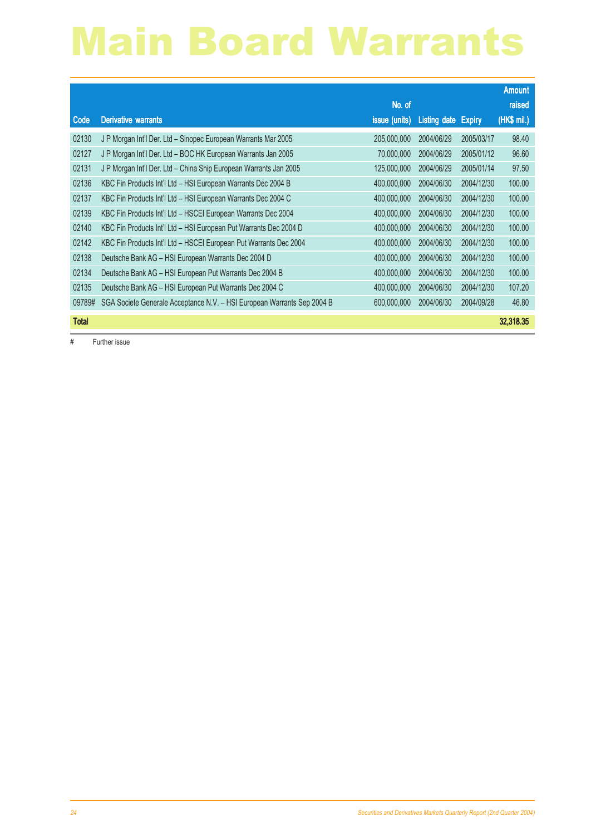|              |                                                                         |               |              |               | <b>Amount</b> |
|--------------|-------------------------------------------------------------------------|---------------|--------------|---------------|---------------|
|              |                                                                         | No. of        |              |               | raised        |
| Code         | <b>Derivative warrants</b>                                              | issue (units) | Listing date | <b>Expiry</b> | (HK\$ mil.)   |
| 02130        | J P Morgan Int'l Der. Ltd - Sinopec European Warrants Mar 2005          | 205,000,000   | 2004/06/29   | 2005/03/17    | 98.40         |
| 02127        | J P Morgan Int'l Der. Ltd - BOC HK European Warrants Jan 2005           | 70,000,000    | 2004/06/29   | 2005/01/12    | 96.60         |
| 02131        | J P Morgan Int'l Der. Ltd - China Ship European Warrants Jan 2005       | 125,000,000   | 2004/06/29   | 2005/01/14    | 97.50         |
| 02136        | KBC Fin Products Int'l Ltd - HSI European Warrants Dec 2004 B           | 400,000,000   | 2004/06/30   | 2004/12/30    | 100.00        |
| 02137        | KBC Fin Products Int'l Ltd - HSI European Warrants Dec 2004 C           | 400,000,000   | 2004/06/30   | 2004/12/30    | 100.00        |
| 02139        | KBC Fin Products Int'l Ltd - HSCEI European Warrants Dec 2004           | 400,000,000   | 2004/06/30   | 2004/12/30    | 100.00        |
| 02140        | KBC Fin Products Int'l Ltd - HSI European Put Warrants Dec 2004 D       | 400,000,000   | 2004/06/30   | 2004/12/30    | 100.00        |
| 02142        | KBC Fin Products Int'l Ltd - HSCEI European Put Warrants Dec 2004       | 400,000,000   | 2004/06/30   | 2004/12/30    | 100.00        |
| 02138        | Deutsche Bank AG - HSI European Warrants Dec 2004 D                     | 400,000,000   | 2004/06/30   | 2004/12/30    | 100.00        |
| 02134        | Deutsche Bank AG - HSI European Put Warrants Dec 2004 B                 | 400,000,000   | 2004/06/30   | 2004/12/30    | 100.00        |
| 02135        | Deutsche Bank AG - HSI European Put Warrants Dec 2004 C                 | 400,000,000   | 2004/06/30   | 2004/12/30    | 107.20        |
| 09789#       | SGA Societe Generale Acceptance N.V. - HSI European Warrants Sep 2004 B | 600,000,000   | 2004/06/30   | 2004/09/28    | 46.80         |
| <b>Total</b> |                                                                         |               |              |               | 32,318,35     |

# Further issue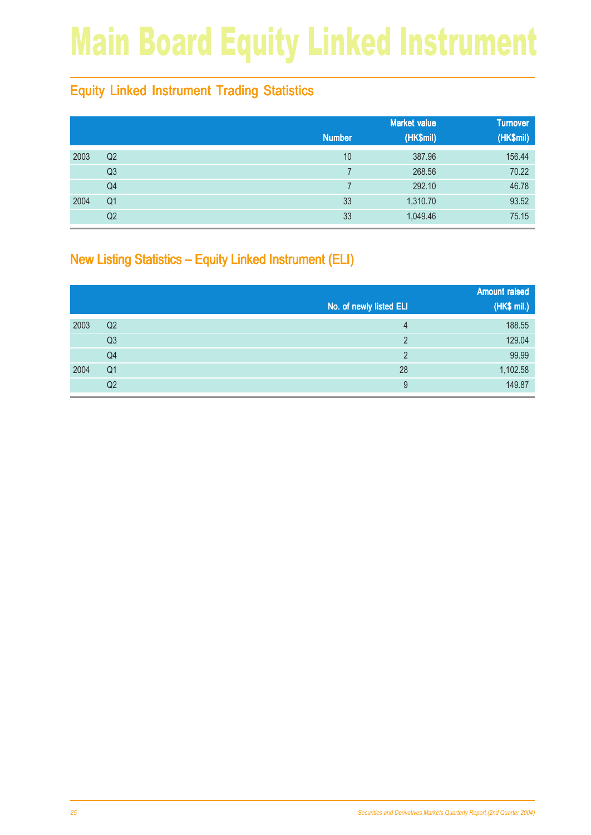## Main Board Equity Linked Instrument

### Equity Linked Instrument Trading Statistics

|      |                |               | <b>Market value</b> | <b>Turnover</b> |
|------|----------------|---------------|---------------------|-----------------|
|      |                | <b>Number</b> | (HK\$mil)           | (HK\$mil)       |
| 2003 | Q <sub>2</sub> | 10            | 387.96              | 156.44          |
|      | Q <sub>3</sub> |               | 268.56              | 70.22           |
|      | Q4             |               | 292.10              | 46.78           |
| 2004 | Q <sub>1</sub> | 33            | 1,310.70            | 93.52           |
|      | Q <sub>2</sub> | 33            | 1,049.46            | 75.15           |

### New Listing Statistics – Equity Linked Instrument (ELI)

|      |                |                         | <b>Amount raised</b> |
|------|----------------|-------------------------|----------------------|
|      |                | No. of newly listed ELI | (HK\$ mil.)          |
| 2003 | Q <sub>2</sub> | 4                       | 188.55               |
|      | Q3             | C                       | 129.04               |
|      | Q <sub>4</sub> | C                       | 99.99                |
| 2004 | Q <sub>1</sub> | 28                      | 1,102.58             |
|      | Q2             | 9                       | 149.87               |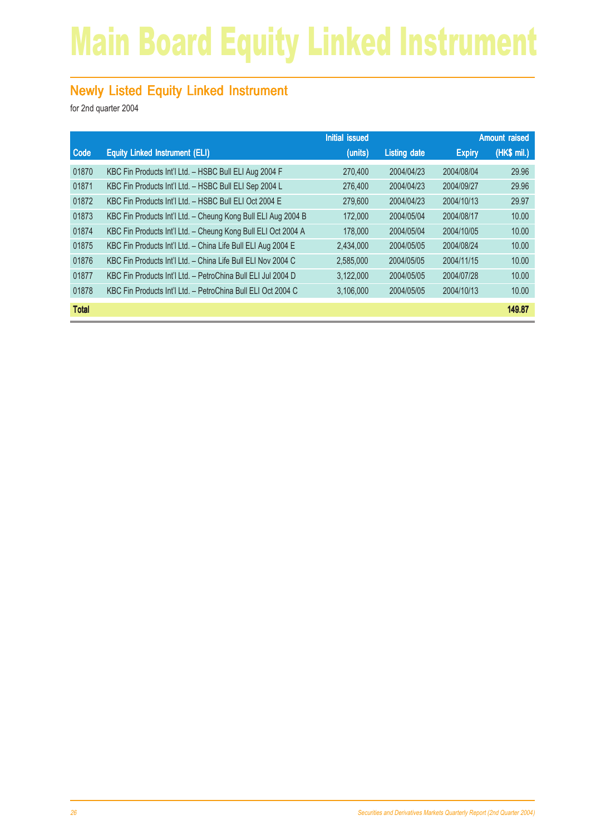## Main Board Equity Linked Instrument

#### **Newly Listed Equity Linked Instrument**

|              |                                                               | <b>Initial issued</b> |                     |               | <b>Amount raised</b> |
|--------------|---------------------------------------------------------------|-----------------------|---------------------|---------------|----------------------|
| Code         | <b>Equity Linked Instrument (ELI)</b>                         | (units)               | <b>Listing date</b> | <b>Expiry</b> | $(HK\$ mil.)         |
| 01870        | KBC Fin Products Int'l Ltd. - HSBC Bull ELI Aug 2004 F        | 270,400               | 2004/04/23          | 2004/08/04    | 29.96                |
| 01871        | KBC Fin Products Int'l Ltd. - HSBC Bull ELI Sep 2004 L        | 276,400               | 2004/04/23          | 2004/09/27    | 29.96                |
| 01872        | KBC Fin Products Int'l Ltd. - HSBC Bull ELI Oct 2004 E        | 279,600               | 2004/04/23          | 2004/10/13    | 29.97                |
| 01873        | KBC Fin Products Int'l Ltd. - Cheung Kong Bull ELI Aug 2004 B | 172,000               | 2004/05/04          | 2004/08/17    | 10.00                |
| 01874        | KBC Fin Products Int'l Ltd. - Cheung Kong Bull ELI Oct 2004 A | 178,000               | 2004/05/04          | 2004/10/05    | 10.00                |
| 01875        | KBC Fin Products Int'l Ltd. - China Life Bull ELI Aug 2004 E  | 2,434,000             | 2004/05/05          | 2004/08/24    | 10.00                |
| 01876        | KBC Fin Products Int'l Ltd. - China Life Bull ELI Nov 2004 C  | 2,585,000             | 2004/05/05          | 2004/11/15    | 10.00                |
| 01877        | KBC Fin Products Int'l Ltd. - PetroChina Bull ELI Jul 2004 D  | 3,122,000             | 2004/05/05          | 2004/07/28    | 10.00                |
| 01878        | KBC Fin Products Int'l Ltd. - PetroChina Bull ELI Oct 2004 C  | 3,106,000             | 2004/05/05          | 2004/10/13    | 10.00                |
| <b>Total</b> |                                                               |                       |                     |               | 149.87               |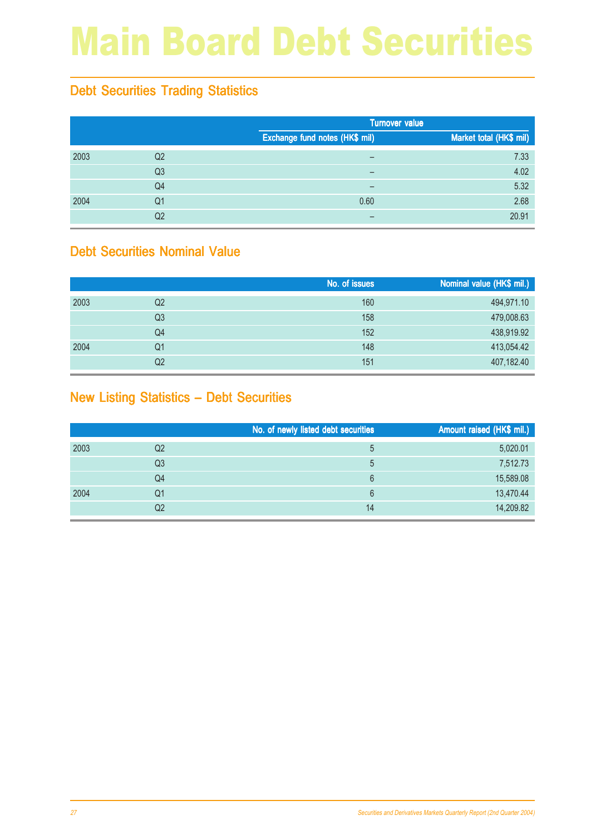## Main Board Debt Securities

### Debt Securities Trading Statistics

|      |                |                                | <b>Turnover value</b>   |  |  |
|------|----------------|--------------------------------|-------------------------|--|--|
|      |                | Exchange fund notes (HK\$ mil) | Market total (HK\$ mil) |  |  |
| 2003 | Q <sub>2</sub> | -                              | 7.33                    |  |  |
|      | Q <sub>3</sub> |                                | 4.02                    |  |  |
|      | Q4             |                                | 5.32                    |  |  |
| 2004 | Q <sub>1</sub> | 0.60                           | 2.68                    |  |  |
|      | Q <sub>2</sub> |                                | 20.91                   |  |  |

#### Debt Securities Nominal Value

|      |                | No. of issues | Nominal value (HK\$ mil.) |
|------|----------------|---------------|---------------------------|
| 2003 | Q <sub>2</sub> | 160           | 494,971.10                |
|      | Q3             | 158           | 479,008.63                |
|      | Q4             | 152           | 438,919.92                |
| 2004 | Q1             | 148           | 413,054.42                |
|      | Q2             | 151           | 407,182.40                |

#### New Listing Statistics – Debt Securities

|      |                | No. of newly listed debt securities | Amount raised (HK\$ mil.) |
|------|----------------|-------------------------------------|---------------------------|
| 2003 | Q <sub>2</sub> | 5                                   | 5,020.01                  |
|      | Q <sub>3</sub> | 5                                   | 7,512.73                  |
|      | Q <sub>4</sub> | 6                                   | 15,589.08                 |
| 2004 | Q1             | 6                                   | 13,470.44                 |
|      | Q2             | 14                                  | 14,209.82                 |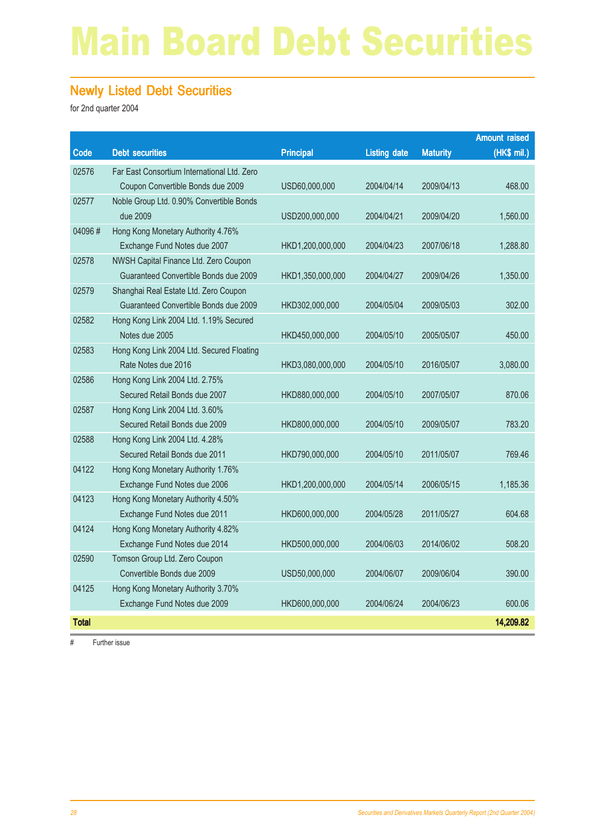## Main Board Debt Securities

#### Newly Listed Debt Securities

for 2nd quarter 2004

|              |                                             |                  |                     |                 | <b>Amount raised</b> |
|--------------|---------------------------------------------|------------------|---------------------|-----------------|----------------------|
| Code         | <b>Debt securities</b>                      | <b>Principal</b> | <b>Listing date</b> | <b>Maturity</b> | (HK\$ mil.)          |
| 02576        | Far East Consortium International Ltd. Zero |                  |                     |                 |                      |
|              | Coupon Convertible Bonds due 2009           | USD60,000,000    | 2004/04/14          | 2009/04/13      | 468.00               |
| 02577        | Noble Group Ltd. 0.90% Convertible Bonds    |                  |                     |                 |                      |
|              | due 2009                                    | USD200,000,000   | 2004/04/21          | 2009/04/20      | 1,560.00             |
| 04096#       | Hong Kong Monetary Authority 4.76%          |                  |                     |                 |                      |
|              | Exchange Fund Notes due 2007                | HKD1,200,000,000 | 2004/04/23          | 2007/06/18      | 1,288.80             |
| 02578        | NWSH Capital Finance Ltd. Zero Coupon       |                  |                     |                 |                      |
|              | Guaranteed Convertible Bonds due 2009       | HKD1,350,000,000 | 2004/04/27          | 2009/04/26      | 1,350.00             |
| 02579        | Shanghai Real Estate Ltd. Zero Coupon       |                  |                     |                 |                      |
|              | Guaranteed Convertible Bonds due 2009       | HKD302,000,000   | 2004/05/04          | 2009/05/03      | 302.00               |
| 02582        | Hong Kong Link 2004 Ltd. 1.19% Secured      |                  |                     |                 |                      |
|              | Notes due 2005                              | HKD450,000,000   | 2004/05/10          | 2005/05/07      | 450.00               |
| 02583        | Hong Kong Link 2004 Ltd. Secured Floating   |                  |                     |                 |                      |
|              | Rate Notes due 2016                         | HKD3,080,000,000 | 2004/05/10          | 2016/05/07      | 3,080.00             |
| 02586        | Hong Kong Link 2004 Ltd. 2.75%              |                  |                     |                 |                      |
|              | Secured Retail Bonds due 2007               | HKD880,000,000   | 2004/05/10          | 2007/05/07      | 870.06               |
| 02587        | Hong Kong Link 2004 Ltd. 3.60%              |                  |                     |                 |                      |
|              | Secured Retail Bonds due 2009               | HKD800,000,000   | 2004/05/10          | 2009/05/07      | 783.20               |
| 02588        | Hong Kong Link 2004 Ltd. 4.28%              |                  |                     |                 |                      |
|              | Secured Retail Bonds due 2011               | HKD790,000,000   | 2004/05/10          | 2011/05/07      | 769.46               |
| 04122        | Hong Kong Monetary Authority 1.76%          |                  |                     |                 |                      |
|              | Exchange Fund Notes due 2006                | HKD1,200,000,000 | 2004/05/14          | 2006/05/15      | 1,185.36             |
| 04123        | Hong Kong Monetary Authority 4.50%          |                  |                     |                 |                      |
|              | Exchange Fund Notes due 2011                | HKD600,000,000   | 2004/05/28          | 2011/05/27      | 604.68               |
| 04124        | Hong Kong Monetary Authority 4.82%          |                  |                     |                 |                      |
|              | Exchange Fund Notes due 2014                | HKD500,000,000   | 2004/06/03          | 2014/06/02      | 508.20               |
| 02590        | Tomson Group Ltd. Zero Coupon               |                  |                     |                 |                      |
|              | Convertible Bonds due 2009                  | USD50,000,000    | 2004/06/07          | 2009/06/04      | 390.00               |
| 04125        | Hong Kong Monetary Authority 3.70%          |                  |                     |                 |                      |
|              | Exchange Fund Notes due 2009                | HKD600,000,000   | 2004/06/24          | 2004/06/23      | 600.06               |
| <b>Total</b> |                                             |                  |                     |                 | 14,209.82            |

# Further issue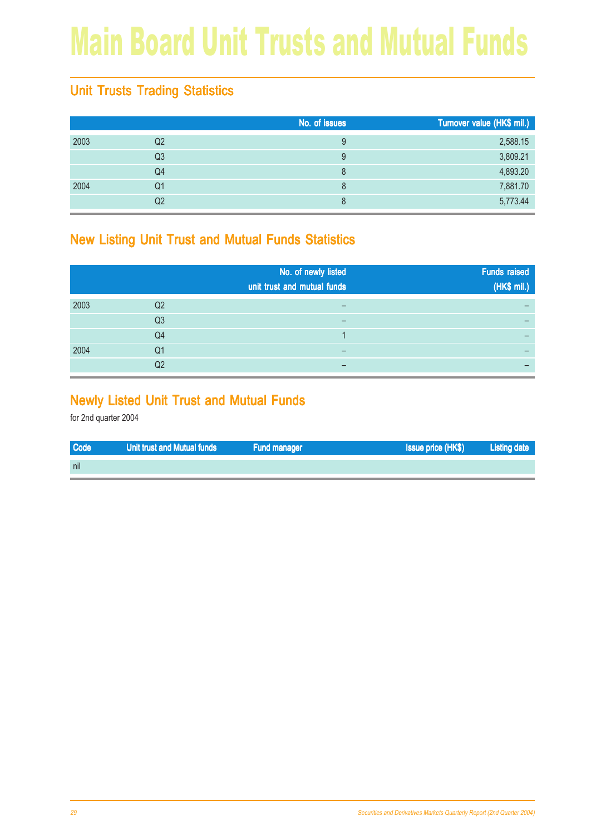## Main Board Unit Trusts and Mutual Funds

### Unit Trusts Trading Statistics

|      |                | No. of issues | Turnover value (HK\$ mil.) |
|------|----------------|---------------|----------------------------|
| 2003 | Q <sub>2</sub> | 9             | 2,588.15                   |
|      | Q <sub>3</sub> | 9             | 3,809.21                   |
|      | Q4             | 8             | 4,893.20                   |
| 2004 | Q1             | 8             | 7,881.70                   |
|      | Q <sub>2</sub> | 8             | 5,773.44                   |

#### New Listing Unit Trust and Mutual Funds Statistics

|      |                | No. of newly listed<br>unit trust and mutual funds | <b>Funds raised</b><br>(HK\$ mil.) |
|------|----------------|----------------------------------------------------|------------------------------------|
| 2003 | Q <sub>2</sub> |                                                    |                                    |
|      | Q <sub>3</sub> |                                                    |                                    |
|      | Q4             |                                                    |                                    |
| 2004 | Q1             |                                                    |                                    |
|      | Q2             |                                                    |                                    |

#### Newly Listed Unit Trust and Mutual Funds

| <b>Code</b> | Unit trust and Mutual funds | <b>Fund manager</b> | <b>Issue price (HK\$)</b> | <b>Listing date</b> |
|-------------|-----------------------------|---------------------|---------------------------|---------------------|
| nil         |                             |                     |                           |                     |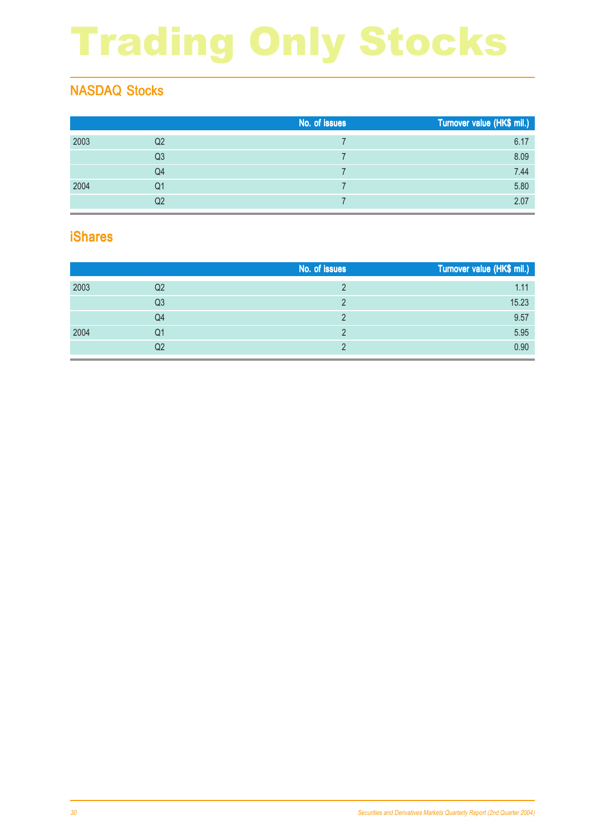# Trading Only Stocks

### NASDAQ Stocks

|      |    | No. of issues | Turnover value (HK\$ mil.) |
|------|----|---------------|----------------------------|
| 2003 | Q2 |               | 6.17                       |
|      | Q3 |               | 8.09                       |
|      | Q4 |               | 7.44                       |
| 2004 | Q1 |               | 5.80                       |
|      | Q2 |               | 2.07                       |

#### iShares

|      |    | No. of issues | Turnover value (HK\$ mil.) |
|------|----|---------------|----------------------------|
| 2003 | Q2 |               | 1.11                       |
|      | Q3 |               | 15.23                      |
|      | Q4 |               | 9.57                       |
| 2004 | Q1 |               | 5.95                       |
|      | Q2 |               | 0.90                       |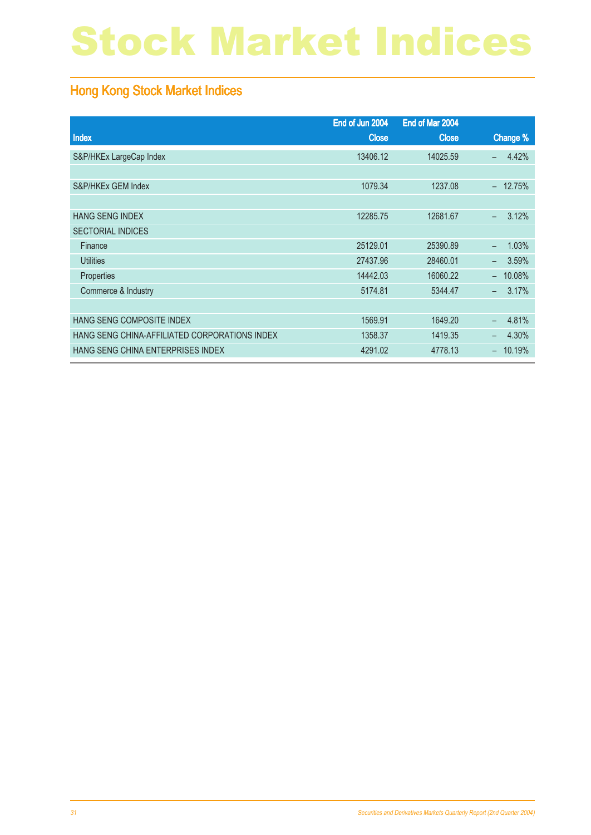## Stock Market Indices

### Hong Kong Stock Market Indices

|                                               | End of Jun 2004 | End of Mar 2004 |                                    |
|-----------------------------------------------|-----------------|-----------------|------------------------------------|
| Index                                         | <b>Close</b>    | <b>Close</b>    | Change %                           |
| S&P/HKEx LargeCap Index                       | 13406.12        | 14025.59        | 4.42%<br>$\overline{\phantom{0}}$  |
|                                               |                 |                 |                                    |
| S&P/HKEx GEM Index                            | 1079.34         | 1237.08         | 12.75%<br>$\equiv$                 |
|                                               |                 |                 |                                    |
| <b>HANG SENG INDEX</b>                        | 12285.75        | 12681.67        | 3.12%<br>$\equiv$                  |
| <b>SECTORIAL INDICES</b>                      |                 |                 |                                    |
| Finance                                       | 25129.01        | 25390.89        | 1.03%<br>$\equiv$                  |
| <b>Utilities</b>                              | 27437.96        | 28460.01        | 3.59%<br>$\overline{\phantom{0}}$  |
| Properties                                    | 14442.03        | 16060.22        | 10.08%<br>$\overline{\phantom{0}}$ |
| Commerce & Industry                           | 5174.81         | 5344.47         | 3.17%<br>$\equiv$                  |
|                                               |                 |                 |                                    |
| HANG SENG COMPOSITE INDEX                     | 1569.91         | 1649.20         | 4.81%                              |
| HANG SENG CHINA-AFFILIATED CORPORATIONS INDEX | 1358.37         | 1419.35         | 4.30%<br>-                         |
| HANG SENG CHINA ENTERPRISES INDEX             | 4291.02         | 4778.13         | 10.19%                             |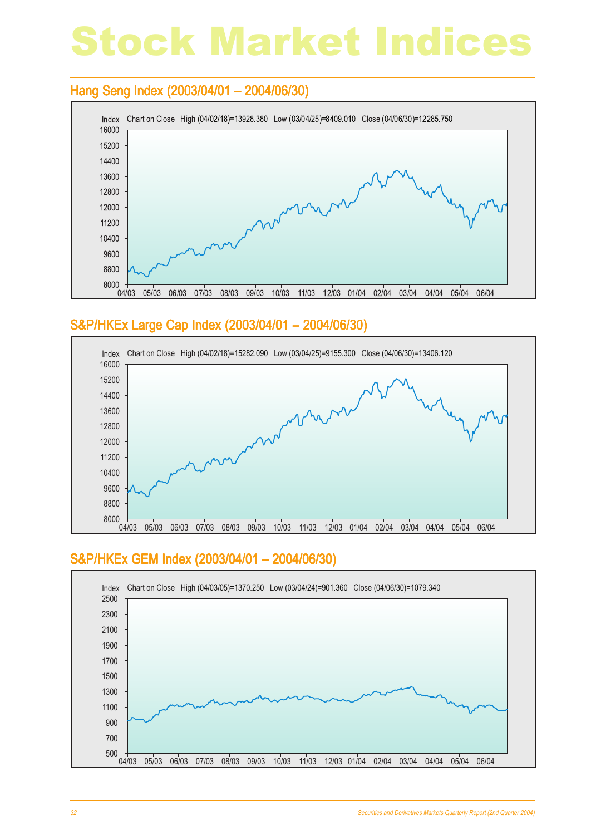## Stock Market Indices

#### Hang Seng Index (2003/04/01 – 2004/06/30)



#### S&P/HKEx Large Cap Index (2003/04/01 - 2004/06/30)



#### S&P/HKEx GEM Index (2003/04/01 - 2004/06/30)

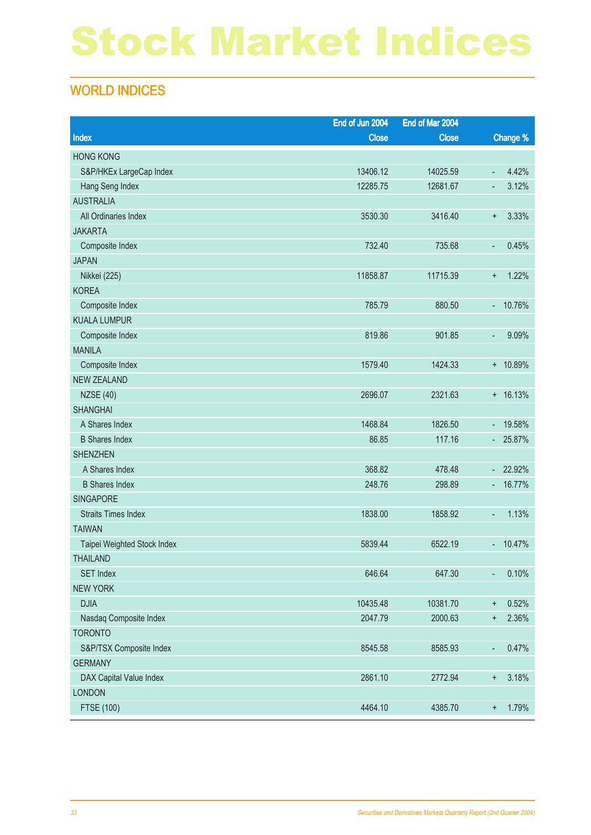## Stock Market Indices

### WORLD INDICES

|                             | End of Jun 2004 | End of Mar 2004 |                               |
|-----------------------------|-----------------|-----------------|-------------------------------|
| Index                       | <b>Close</b>    | <b>Close</b>    | Change %                      |
| <b>HONG KONG</b>            |                 |                 |                               |
| S&P/HKEx LargeCap Index     | 13406.12        | 14025.59        | 4.42%<br>$\Box$               |
| Hang Seng Index             | 12285.75        | 12681.67        | 3.12%<br>٠                    |
| <b>AUSTRALIA</b>            |                 |                 |                               |
| All Ordinaries Index        | 3530.30         | 3416.40         | 3.33%<br>$\ddot{}$            |
| <b>JAKARTA</b>              |                 |                 |                               |
| Composite Index             | 732.40          | 735.68          | 0.45%<br>٠                    |
| <b>JAPAN</b>                |                 |                 |                               |
| Nikkei (225)                | 11858.87        | 11715.39        | 1.22%<br>$\ddot{}$            |
| <b>KOREA</b>                |                 |                 |                               |
| Composite Index             | 785.79          | 880.50          | 10.76%<br>÷.                  |
| <b>KUALA LUMPUR</b>         |                 |                 |                               |
| Composite Index             | 819.86          | 901.85          | 9.09%<br>٠                    |
| <b>MANILA</b>               |                 |                 |                               |
| Composite Index             | 1579.40         | 1424.33         | + 10.89%                      |
| <b>NEW ZEALAND</b>          |                 |                 |                               |
| <b>NZSE (40)</b>            | 2696.07         | 2321.63         | $+ 16.13%$                    |
| <b>SHANGHAI</b>             |                 |                 |                               |
| A Shares Index              | 1468.84         | 1826.50         | 19.58%<br>÷.                  |
| <b>B</b> Shares Index       | 86.85           | 117.16          | 25.87%<br>$\sim$              |
| <b>SHENZHEN</b>             |                 |                 |                               |
| A Shares Index              | 368.82          | 478.48          | 22.92%<br>$\omega_{\rm{eff}}$ |
| <b>B</b> Shares Index       | 248.76          | 298.89          | 16.77%<br>÷                   |
| <b>SINGAPORE</b>            |                 |                 |                               |
| <b>Straits Times Index</b>  | 1838.00         | 1858.92         | 1.13%<br>٠                    |
| <b>TAIWAN</b>               |                 |                 |                               |
| Taipei Weighted Stock Index | 5839.44         | 6522.19         | 10.47%<br>÷.                  |
| <b>THAILAND</b>             |                 |                 |                               |
| <b>SET Index</b>            | 646.64          | 647.30          | 0.10%<br>٠                    |
| <b>NEW YORK</b>             |                 |                 |                               |
| <b>DJIA</b>                 | 10435.48        | 10381.70        | 0.52%<br>$\ddagger$           |
| Nasdaq Composite Index      | 2047.79         | 2000.63         | 2.36%<br>$\ddot{}$            |
| <b>TORONTO</b>              |                 |                 |                               |
| S&P/TSX Composite Index     | 8545.58         | 8585.93         | 0.47%<br>$\blacksquare$       |
| <b>GERMANY</b>              |                 |                 |                               |
| DAX Capital Value Index     | 2861.10         | 2772.94         | 3.18%<br>$\ddot{}$            |
| <b>LONDON</b>               |                 |                 |                               |
| <b>FTSE (100)</b>           | 4464.10         | 4385.70         | 1.79%<br>$\ddot{}$            |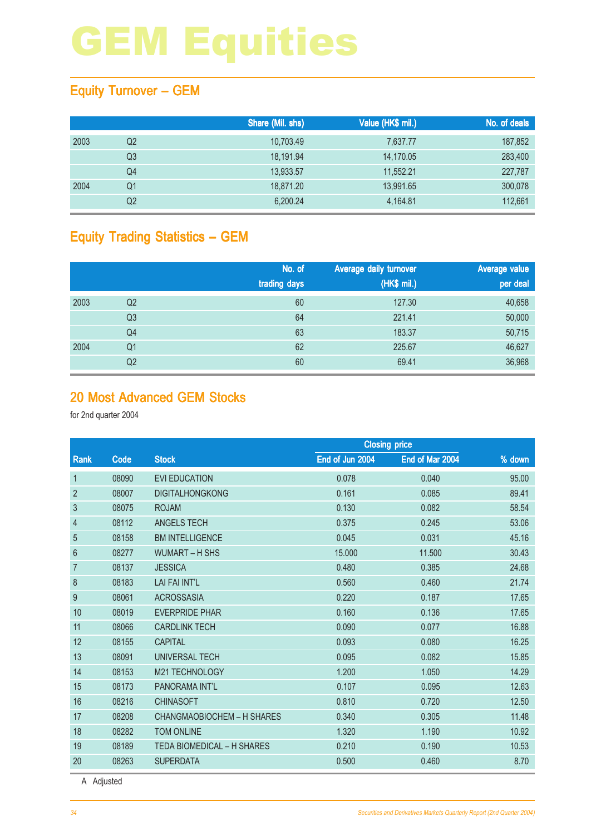### Equity Turnover – GEM

|      |                | Share (Mil. shs) | Value (HK\$ mil.) | No. of deals |
|------|----------------|------------------|-------------------|--------------|
| 2003 | Q2             | 10,703.49        | 7,637.77          | 187,852      |
|      | Q3             | 18.191.94        | 14,170.05         | 283,400      |
|      | Q4             | 13,933.57        | 11,552.21         | 227,787      |
| 2004 | Q1             | 18,871.20        | 13,991.65         | 300,078      |
|      | Q <sub>2</sub> | 6,200.24         | 4,164.81          | 112,661      |

### Equity Trading Statistics – GEM

|      |                | No. of<br>trading days | Average daily turnover<br>(HK\$ mil.) | Average value<br>per deal |
|------|----------------|------------------------|---------------------------------------|---------------------------|
| 2003 | Q <sub>2</sub> | 60                     | 127.30                                | 40,658                    |
|      | Q <sub>3</sub> | 64                     | 221.41                                | 50,000                    |
|      | Q <sub>4</sub> | 63                     | 183.37                                | 50,715                    |
| 2004 | Q1             | 62                     | 225.67                                | 46,627                    |
|      | Q <sub>2</sub> | 60                     | 69.41                                 | 36,968                    |

#### 20 Most Advanced GEM Stocks

for 2nd quarter 2004

|                  |       |                                   | <b>Closing price</b> |                 |        |  |
|------------------|-------|-----------------------------------|----------------------|-----------------|--------|--|
| Rank             | Code  | <b>Stock</b>                      | End of Jun 2004      | End of Mar 2004 | % down |  |
| $\mathbf{1}$     | 08090 | <b>EVI EDUCATION</b>              | 0.078                | 0.040           | 95.00  |  |
| $\overline{2}$   | 08007 | <b>DIGITALHONGKONG</b>            | 0.161                | 0.085           | 89.41  |  |
| $\mathfrak{S}$   | 08075 | <b>ROJAM</b>                      | 0.130                | 0.082           | 58.54  |  |
| $\overline{4}$   | 08112 | <b>ANGELS TECH</b>                | 0.375                | 0.245           | 53.06  |  |
| $\overline{5}$   | 08158 | <b>BM INTELLIGENCE</b>            | 0.045                | 0.031           | 45.16  |  |
| $6\phantom{.}6$  | 08277 | <b>WUMART - H SHS</b>             | 15.000               | 11.500          | 30.43  |  |
| $\overline{7}$   | 08137 | <b>JESSICA</b>                    | 0.480                | 0.385           | 24.68  |  |
| 8                | 08183 | <b>LAI FAI INT'L</b>              | 0.560                | 0.460           | 21.74  |  |
| $\boldsymbol{9}$ | 08061 | <b>ACROSSASIA</b>                 | 0.220                | 0.187           | 17.65  |  |
| 10               | 08019 | <b>EVERPRIDE PHAR</b>             | 0.160                | 0.136           | 17.65  |  |
| 11               | 08066 | <b>CARDLINK TECH</b>              | 0.090                | 0.077           | 16.88  |  |
| 12               | 08155 | <b>CAPITAL</b>                    | 0.093                | 0.080           | 16.25  |  |
| 13               | 08091 | <b>UNIVERSAL TECH</b>             | 0.095                | 0.082           | 15.85  |  |
| 14               | 08153 | M21 TECHNOLOGY                    | 1.200                | 1.050           | 14.29  |  |
| 15               | 08173 | PANORAMA INT'L                    | 0.107                | 0.095           | 12.63  |  |
| 16               | 08216 | <b>CHINASOFT</b>                  | 0.810                | 0.720           | 12.50  |  |
| 17               | 08208 | <b>CHANGMAOBIOCHEM - H SHARES</b> | 0.340                | 0.305           | 11.48  |  |
| 18               | 08282 | <b>TOM ONLINE</b>                 | 1.320                | 1.190           | 10.92  |  |
| 19               | 08189 | <b>TEDA BIOMEDICAL - H SHARES</b> | 0.210                | 0.190           | 10.53  |  |
| 20               | 08263 | <b>SUPERDATA</b>                  | 0.500                | 0.460           | 8.70   |  |

A Adjusted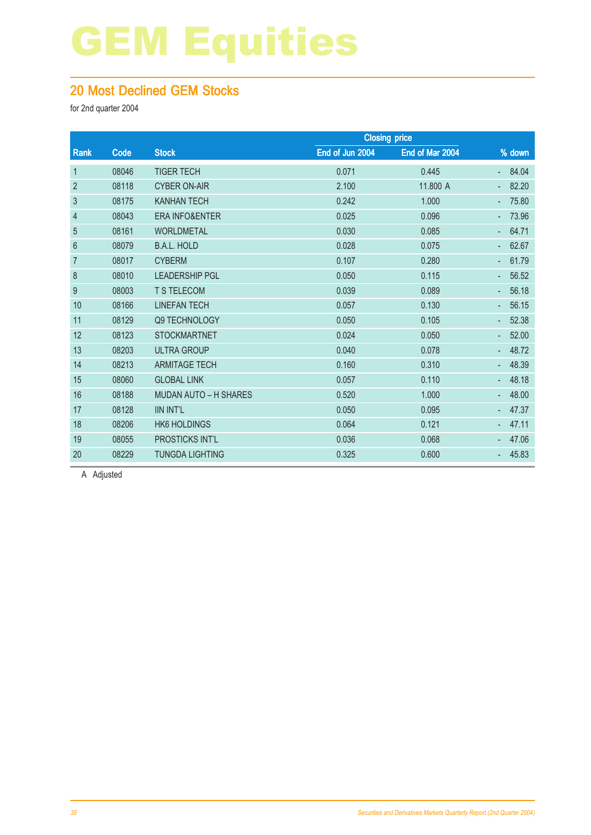#### 20 Most Declined GEM Stocks

for 2nd quarter 2004

|       |                              | <b>Closing price</b> |                 |          |
|-------|------------------------------|----------------------|-----------------|----------|
| Code  | <b>Stock</b>                 | End of Jun 2004      | End of Mar 2004 | $%$ down |
| 08046 | <b>TIGER TECH</b>            | 0.071                | 0.445           | 84.04    |
| 08118 | <b>CYBER ON-AIR</b>          | 2.100                | 11.800 A        | 82.20    |
| 08175 | <b>KANHAN TECH</b>           | 0.242                | 1.000           | 75.80    |
| 08043 | <b>ERA INFO&amp;ENTER</b>    | 0.025                | 0.096           | 73.96    |
| 08161 | <b>WORLDMETAL</b>            | 0.030                | 0.085           | 64.71    |
| 08079 | <b>B.A.L. HOLD</b>           | 0.028                | 0.075           | 62.67    |
| 08017 | <b>CYBERM</b>                | 0.107                | 0.280           | 61.79    |
| 08010 | <b>LEADERSHIP PGL</b>        | 0.050                | 0.115           | 56.52    |
| 08003 | <b>T S TELECOM</b>           | 0.039                | 0.089           | 56.18    |
| 08166 | <b>LINEFAN TECH</b>          | 0.057                | 0.130           | 56.15    |
| 08129 | Q9 TECHNOLOGY                | 0.050                | 0.105           | 52.38    |
| 08123 | <b>STOCKMARTNET</b>          | 0.024                | 0.050           | 52.00    |
| 08203 | <b>ULTRA GROUP</b>           | 0.040                | 0.078           | 48.72    |
| 08213 | <b>ARMITAGE TECH</b>         | 0.160                | 0.310           | 48.39    |
| 08060 | <b>GLOBAL LINK</b>           | 0.057                | 0.110           | 48.18    |
| 08188 | <b>MUDAN AUTO - H SHARES</b> | 0.520                | 1.000           | 48.00    |
| 08128 | <b>IIN INT'L</b>             | 0.050                | 0.095           | 47.37    |
| 08206 | <b>HK6 HOLDINGS</b>          | 0.064                | 0.121           | 47.11    |
| 08055 | PROSTICKS INT'L              | 0.036                | 0.068           | 47.06    |
| 08229 | <b>TUNGDA LIGHTING</b>       | 0.325                | 0.600           | 45.83    |
|       |                              |                      |                 |          |

A Adjusted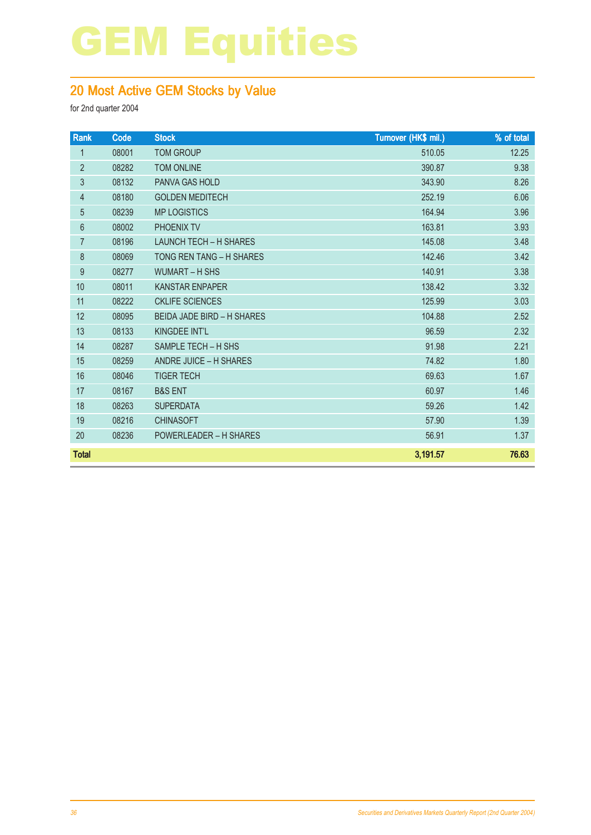### 20 Most Active GEM Stocks by Value

| Rank           | Code  | <b>Stock</b>                      | Turnover (HK\$ mil.) | % of total |
|----------------|-------|-----------------------------------|----------------------|------------|
| $\mathbf{1}$   | 08001 | <b>TOM GROUP</b>                  | 510.05               | 12.25      |
| $\overline{2}$ | 08282 | <b>TOM ONLINE</b>                 | 390.87               | 9.38       |
| 3              | 08132 | PANVA GAS HOLD                    | 343.90               | 8.26       |
| 4              | 08180 | <b>GOLDEN MEDITECH</b>            | 252.19               | 6.06       |
| 5              | 08239 | <b>MP LOGISTICS</b>               | 164.94               | 3.96       |
| 6              | 08002 | <b>PHOENIX TV</b>                 | 163.81               | 3.93       |
| $\overline{7}$ | 08196 | <b>LAUNCH TECH - H SHARES</b>     | 145.08               | 3.48       |
| 8              | 08069 | TONG REN TANG - H SHARES          | 142.46               | 3.42       |
| 9              | 08277 | <b>WUMART - H SHS</b>             | 140.91               | 3.38       |
| 10             | 08011 | <b>KANSTAR ENPAPER</b>            | 138.42               | 3.32       |
| 11             | 08222 | <b>CKLIFE SCIENCES</b>            | 125.99               | 3.03       |
| 12             | 08095 | <b>BEIDA JADE BIRD - H SHARES</b> | 104.88               | 2.52       |
| 13             | 08133 | KINGDEE INT'L                     | 96.59                | 2.32       |
| 14             | 08287 | SAMPLE TECH - H SHS               | 91.98                | 2.21       |
| 15             | 08259 | ANDRE JUICE - H SHARES            | 74.82                | 1.80       |
| 16             | 08046 | <b>TIGER TECH</b>                 | 69.63                | 1.67       |
| 17             | 08167 | <b>B&amp;S ENT</b>                | 60.97                | 1.46       |
| 18             | 08263 | <b>SUPERDATA</b>                  | 59.26                | 1.42       |
| 19             | 08216 | <b>CHINASOFT</b>                  | 57.90                | 1.39       |
| 20             | 08236 | <b>POWERLEADER - H SHARES</b>     | 56.91                | 1.37       |
| <b>Total</b>   |       |                                   | 3,191.57             | 76.63      |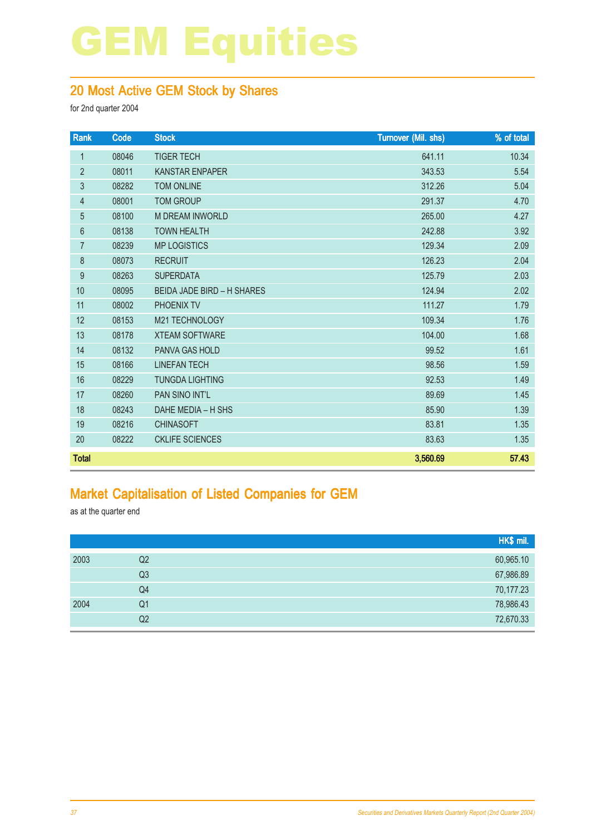### 20 Most Active GEM Stock by Shares

for 2nd quarter 2004

| Rank           | Code  | <b>Stock</b>                      | Turnover (Mil. shs) | % of total |
|----------------|-------|-----------------------------------|---------------------|------------|
| 1              | 08046 | <b>TIGER TECH</b>                 | 641.11              | 10.34      |
| $\overline{2}$ | 08011 | <b>KANSTAR ENPAPER</b>            | 343.53              | 5.54       |
| 3              | 08282 | <b>TOM ONLINE</b>                 | 312.26              | 5.04       |
| 4              | 08001 | <b>TOM GROUP</b>                  | 291.37              | 4.70       |
| $\overline{5}$ | 08100 | <b>M DREAM INWORLD</b>            | 265.00              | 4.27       |
| 6              | 08138 | <b>TOWN HEALTH</b>                | 242.88              | 3.92       |
| $\overline{7}$ | 08239 | <b>MP LOGISTICS</b>               | 129.34              | 2.09       |
| $\bf 8$        | 08073 | <b>RECRUIT</b>                    | 126.23              | 2.04       |
| 9              | 08263 | <b>SUPERDATA</b>                  | 125.79              | 2.03       |
| 10             | 08095 | <b>BEIDA JADE BIRD - H SHARES</b> | 124.94              | 2.02       |
| 11             | 08002 | PHOENIX TV                        | 111.27              | 1.79       |
| 12             | 08153 | M21 TECHNOLOGY                    | 109.34              | 1.76       |
| 13             | 08178 | <b>XTEAM SOFTWARE</b>             | 104.00              | 1.68       |
| 14             | 08132 | PANVA GAS HOLD                    | 99.52               | 1.61       |
| 15             | 08166 | <b>LINEFAN TECH</b>               | 98.56               | 1.59       |
| 16             | 08229 | <b>TUNGDA LIGHTING</b>            | 92.53               | 1.49       |
| 17             | 08260 | PAN SINO INT'L                    | 89.69               | 1.45       |
| 18             | 08243 | DAHE MEDIA - H SHS                | 85.90               | 1.39       |
| 19             | 08216 | <b>CHINASOFT</b>                  | 83.81               | 1.35       |
| 20             | 08222 | <b>CKLIFE SCIENCES</b>            | 83.63               | 1.35       |
| <b>Total</b>   |       |                                   | 3,560.69            | 57.43      |

#### Market Capitalisation of Listed Companies for GEM

as at the quarter end

|      |                | HK\$ mil. |
|------|----------------|-----------|
| 2003 | Q <sub>2</sub> | 60,965.10 |
|      | Q <sub>3</sub> | 67,986.89 |
|      | Q4             | 70,177.23 |
| 2004 | Q1             | 78,986.43 |
|      | Q <sub>2</sub> | 72,670.33 |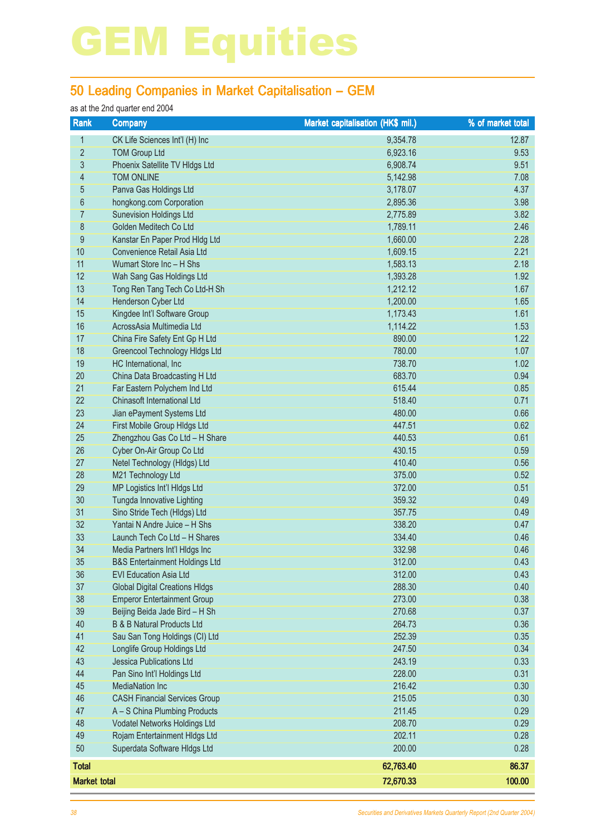### 50 Leading Companies in Market Capitalisation – GEM

#### as at the 2nd quarter end 2004

| Rank                | <b>Company</b>                                     | Market capitalisation (HK\$ mil.) | % of market total |
|---------------------|----------------------------------------------------|-----------------------------------|-------------------|
| $\mathbf{1}$        | CK Life Sciences Int'l (H) Inc                     | 9,354.78                          | 12.87             |
| $\overline{2}$      | <b>TOM Group Ltd</b>                               | 6,923.16                          | 9.53              |
| 3                   | Phoenix Satellite TV Hldgs Ltd                     | 6,908.74                          | 9.51              |
| 4                   | <b>TOM ONLINE</b>                                  | 5,142.98                          | 7.08              |
| 5                   | Panva Gas Holdings Ltd                             | 3,178.07                          | 4.37              |
| 6                   | hongkong.com Corporation                           | 2,895.36                          | 3.98              |
| 7                   | <b>Sunevision Holdings Ltd</b>                     | 2,775.89                          | 3.82              |
| 8                   | Golden Meditech Co Ltd                             | 1,789.11                          | 2.46              |
| 9                   | Kanstar En Paper Prod Hldg Ltd                     | 1,660.00                          | 2.28              |
| 10                  | Convenience Retail Asia Ltd                        | 1,609.15                          | 2.21              |
| 11                  | Wumart Store Inc - H Shs                           | 1,583.13                          | 2.18              |
| 12                  | Wah Sang Gas Holdings Ltd                          | 1,393.28                          | 1.92              |
| 13                  | Tong Ren Tang Tech Co Ltd-H Sh                     | 1,212.12                          | 1.67              |
| 14                  | Henderson Cyber Ltd                                | 1,200.00                          | 1.65              |
| 15                  | Kingdee Int'l Software Group                       | 1,173.43                          | 1.61              |
| 16                  | AcrossAsia Multimedia Ltd                          | 1,114.22                          | 1.53              |
| 17                  | China Fire Safety Ent Gp H Ltd                     | 890.00                            | 1.22              |
| 18                  | Greencool Technology Hidgs Ltd                     | 780.00                            | 1.07              |
| 19                  | HC International, Inc                              | 738.70                            | 1.02              |
| 20                  | China Data Broadcasting H Ltd                      | 683.70                            | 0.94              |
| 21                  | Far Eastern Polychem Ind Ltd                       | 615.44                            | 0.85              |
| 22                  | Chinasoft International Ltd                        | 518.40                            | 0.71              |
| 23                  | Jian ePayment Systems Ltd                          | 480.00                            | 0.66              |
| 24                  | First Mobile Group Hldgs Ltd                       | 447.51                            | 0.62              |
| 25                  | Zhengzhou Gas Co Ltd - H Share                     | 440.53                            | 0.61              |
| 26                  | Cyber On-Air Group Co Ltd                          | 430.15                            | 0.59              |
| 27<br>28            | Netel Technology (HIdgs) Ltd<br>M21 Technology Ltd | 410.40<br>375.00                  | 0.56<br>0.52      |
| 29                  | MP Logistics Int'l HIdgs Ltd                       | 372.00                            | 0.51              |
| 30                  | Tungda Innovative Lighting                         | 359.32                            | 0.49              |
| 31                  | Sino Stride Tech (Hldgs) Ltd                       | 357.75                            | 0.49              |
| 32                  | Yantai N Andre Juice - H Shs                       | 338.20                            | 0.47              |
| 33                  | Launch Tech Co Ltd - H Shares                      | 334.40                            | 0.46              |
| 34                  | Media Partners Int'l HIdgs Inc                     | 332.98                            | 0.46              |
| 35                  | <b>B&amp;S Entertainment Holdings Ltd</b>          | 312.00                            | 0.43              |
| 36                  | <b>EVI Education Asia Ltd</b>                      | 312.00                            | 0.43              |
| 37                  | <b>Global Digital Creations HIdgs</b>              | 288.30                            | 0.40              |
| 38                  | <b>Emperor Entertainment Group</b>                 | 273.00                            | 0.38              |
| 39                  | Beijing Beida Jade Bird - H Sh                     | 270.68                            | 0.37              |
| 40                  | <b>B &amp; B Natural Products Ltd</b>              | 264.73                            | 0.36              |
| 41                  | Sau San Tong Holdings (CI) Ltd                     | 252.39                            | 0.35              |
| 42                  | Longlife Group Holdings Ltd                        | 247.50                            | 0.34              |
| 43                  | <b>Jessica Publications Ltd</b>                    | 243.19                            | 0.33              |
| 44                  | Pan Sino Int'l Holdings Ltd                        | 228.00                            | 0.31              |
| 45                  | <b>MediaNation Inc</b>                             | 216.42                            | 0.30              |
| 46                  | <b>CASH Financial Services Group</b>               | 215.05                            | 0.30              |
| 47                  | A - S China Plumbing Products                      | 211.45                            | 0.29              |
| 48                  | Vodatel Networks Holdings Ltd                      | 208.70                            | 0.29              |
| 49                  | Rojam Entertainment Hldgs Ltd                      | 202.11                            | 0.28              |
| 50                  | Superdata Software Hldgs Ltd                       | 200.00                            | 0.28              |
| <b>Total</b>        |                                                    | 62,763.40                         | 86.37             |
| <b>Market total</b> |                                                    | 72,670.33                         | 100.00            |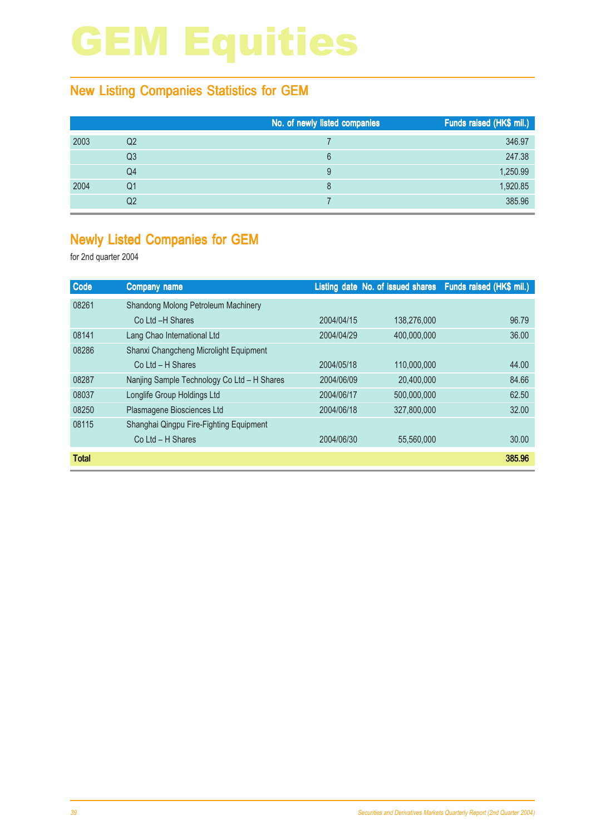### New Listing Companies Statistics for GEM

|      |    | No. of newly listed companies | Funds raised (HK\$ mil.) |
|------|----|-------------------------------|--------------------------|
| 2003 | Q2 |                               | 346.97                   |
|      | Q3 | 6                             | 247.38                   |
|      | Q4 | 9                             | 1,250.99                 |
| 2004 | Q1 | 8                             | 1,920.85                 |
|      | Q2 |                               | 385.96                   |

#### Newly Listed Companies for GEM

| Code         | <b>Company name</b>                         |            |             | Listing date No. of issued shares Funds raised (HK\$ mil.) |
|--------------|---------------------------------------------|------------|-------------|------------------------------------------------------------|
| 08261        | Shandong Molong Petroleum Machinery         |            |             |                                                            |
|              | Co Ltd -H Shares                            | 2004/04/15 | 138.276.000 | 96.79                                                      |
| 08141        | Lang Chao International Ltd                 | 2004/04/29 | 400,000,000 | 36.00                                                      |
| 08286        | Shanxi Changcheng Microlight Equipment      |            |             |                                                            |
|              | $Co$ Ltd $- H$ Shares                       | 2004/05/18 | 110,000,000 | 44.00                                                      |
| 08287        | Nanjing Sample Technology Co Ltd - H Shares | 2004/06/09 | 20.400.000  | 84.66                                                      |
| 08037        | Longlife Group Holdings Ltd                 | 2004/06/17 | 500,000,000 | 62.50                                                      |
| 08250        | Plasmagene Biosciences Ltd                  | 2004/06/18 | 327,800,000 | 32.00                                                      |
| 08115        | Shanghai Qingpu Fire-Fighting Equipment     |            |             |                                                            |
|              | Co Ltd - H Shares                           | 2004/06/30 | 55.560,000  | 30.00                                                      |
| <b>Total</b> |                                             |            |             | 385.96                                                     |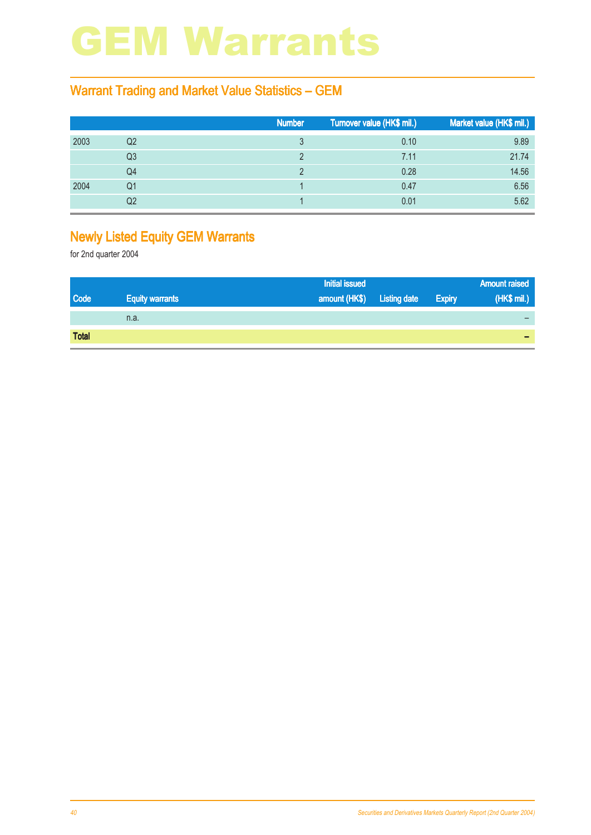## GEM Warrants

### Warrant Trading and Market Value Statistics – GEM

|      |    | <b>Number</b> | Turnover value (HK\$ mil.) | Market value (HK\$ mil.) |
|------|----|---------------|----------------------------|--------------------------|
| 2003 | Q2 |               | 0.10                       | 9.89                     |
|      | Q3 |               | 7.11                       | 21.74                    |
|      | Q4 |               | 0.28                       | 14.56                    |
| 2004 | Q1 |               | 0.47                       | 6.56                     |
|      | Q2 |               | 0.01                       | 5.62                     |

### Newly Listed Equity GEM Warrants

|              |                        | <b>Initial issued</b>      |               | <b>Amount raised</b> |
|--------------|------------------------|----------------------------|---------------|----------------------|
| <b>Code</b>  | <b>Equity warrants</b> | amount (HK\$) Listing date | <b>Expiry</b> | (HK\$ mil.)          |
|              | n.a.                   |                            |               |                      |
| <b>Total</b> |                        |                            |               |                      |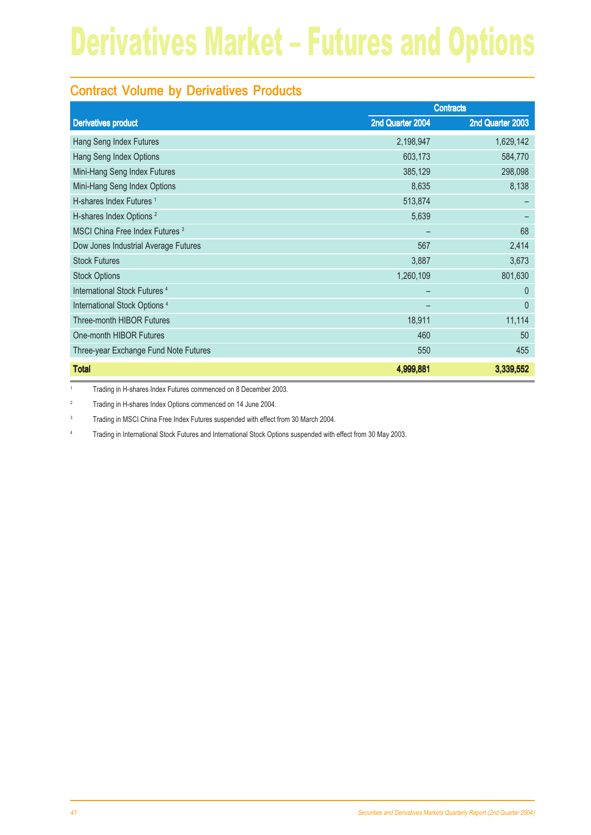### Contract Volume by Derivatives Products

|                                            | <b>Contracts</b> |                  |
|--------------------------------------------|------------------|------------------|
| <b>Derivatives product</b>                 | 2nd Quarter 2004 | 2nd Quarter 2003 |
| Hang Seng Index Futures                    | 2,198,947        | 1,629,142        |
| Hang Seng Index Options                    | 603,173          | 584,770          |
| Mini-Hang Seng Index Futures               | 385,129          | 298,098          |
| Mini-Hang Seng Index Options               | 8,635            | 8,138            |
| H-shares Index Futures <sup>1</sup>        | 513,874          |                  |
| H-shares Index Options <sup>2</sup>        | 5,639            |                  |
| MSCI China Free Index Futures <sup>3</sup> |                  | 68               |
| Dow Jones Industrial Average Futures       | 567              | 2,414            |
| <b>Stock Futures</b>                       | 3,887            | 3,673            |
| <b>Stock Options</b>                       | 1,260,109        | 801,630          |
| International Stock Futures <sup>4</sup>   |                  | $\Omega$         |
| International Stock Options <sup>4</sup>   |                  | $\theta$         |
| <b>Three-month HIBOR Futures</b>           | 18,911           | 11,114           |
| One-month HIBOR Futures                    | 460              | 50               |
| Three-year Exchange Fund Note Futures      | 550              | 455              |
| <b>Total</b>                               | 4,999,881        | 3,339,552        |

<sup>1</sup> Trading in H-shares Index Futures commenced on 8 December 2003.

<sup>2</sup> Trading in H-shares Index Options commenced on 14 June 2004.

<sup>3</sup> Trading in MSCI China Free Index Futures suspended with effect from 30 March 2004.

<sup>4</sup> Trading in International Stock Futures and International Stock Options suspended with effect from 30 May 2003.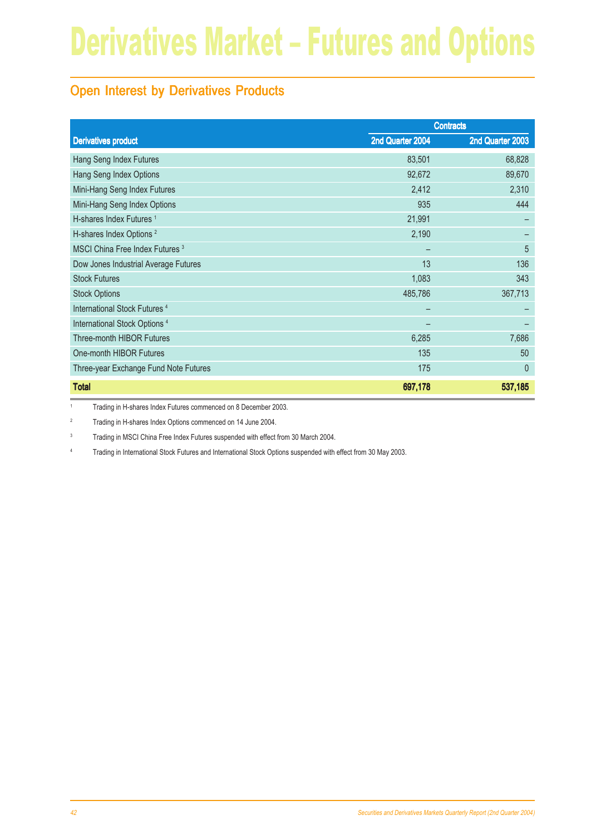### Open Interest by Derivatives Products

|                                            | <b>Contracts</b> |                  |
|--------------------------------------------|------------------|------------------|
| <b>Derivatives product</b>                 | 2nd Quarter 2004 | 2nd Quarter 2003 |
| Hang Seng Index Futures                    | 83,501           | 68,828           |
| Hang Seng Index Options                    | 92,672           | 89,670           |
| Mini-Hang Seng Index Futures               | 2,412            | 2,310            |
| Mini-Hang Seng Index Options               | 935              | 444              |
| H-shares Index Futures <sup>1</sup>        | 21,991           |                  |
| H-shares Index Options <sup>2</sup>        | 2,190            |                  |
| MSCI China Free Index Futures <sup>3</sup> |                  | 5                |
| Dow Jones Industrial Average Futures       | 13               | 136              |
| <b>Stock Futures</b>                       | 1,083            | 343              |
| <b>Stock Options</b>                       | 485,786          | 367,713          |
| International Stock Futures <sup>4</sup>   |                  |                  |
| International Stock Options <sup>4</sup>   |                  |                  |
| Three-month HIBOR Futures                  | 6,285            | 7,686            |
| One-month HIBOR Futures                    | 135              | 50               |
| Three-year Exchange Fund Note Futures      | 175              | $\theta$         |
| <b>Total</b>                               | 697,178          | 537,185          |

<sup>1</sup> Trading in H-shares Index Futures commenced on 8 December 2003.

<sup>2</sup> Trading in H-shares Index Options commenced on 14 June 2004.

<sup>3</sup> Trading in MSCI China Free Index Futures suspended with effect from 30 March 2004.

<sup>4</sup> Trading in International Stock Futures and International Stock Options suspended with effect from 30 May 2003.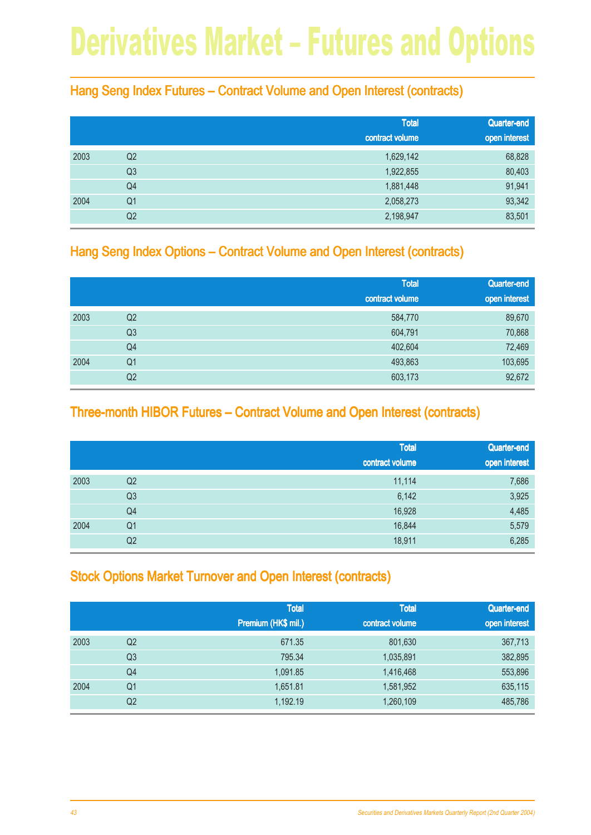#### Hang Seng Index Futures – Contract Volume and Open Interest (contracts)

|      |                | <b>Total</b><br>contract volume | Quarter-end<br>open interest |
|------|----------------|---------------------------------|------------------------------|
| 2003 | Q <sub>2</sub> | 1,629,142                       | 68,828                       |
|      | Q <sub>3</sub> | 1,922,855                       | 80,403                       |
|      | Q4             | 1,881,448                       | 91,941                       |
| 2004 | Q <sub>1</sub> | 2,058,273                       | 93,342                       |
|      | Q <sub>2</sub> | 2,198,947                       | 83,501                       |

#### Hang Seng Index Options – Contract Volume and Open Interest (contracts)

|      |                | <b>Total</b><br>contract volume | Quarter-end<br>open interest |
|------|----------------|---------------------------------|------------------------------|
| 2003 | Q2             | 584,770                         | 89,670                       |
|      | Q <sub>3</sub> | 604,791                         | 70,868                       |
|      | Q4             | 402,604                         | 72,469                       |
| 2004 | Q <sub>1</sub> | 493,863                         | 103,695                      |
|      | Q <sub>2</sub> | 603,173                         | 92,672                       |

#### Three-month HIBOR Futures – Contract Volume and Open Interest (contracts)

|      |                | <b>Total</b><br>contract volume | Quarter-end<br>open interest |
|------|----------------|---------------------------------|------------------------------|
| 2003 | Q2             | 11,114                          | 7,686                        |
|      | Q <sub>3</sub> | 6,142                           | 3,925                        |
|      | Q4             | 16,928                          | 4,485                        |
| 2004 | Q <sub>1</sub> | 16,844                          | 5,579                        |
|      | Q2             | 18,911                          | 6,285                        |

### Stock Options Market Turnover and Open Interest (contracts)

|      |                | <b>Total</b><br>Premium (HK\$ mil.) | <b>Total</b><br>contract volume | Quarter-end<br>open interest |
|------|----------------|-------------------------------------|---------------------------------|------------------------------|
| 2003 | Q2             | 671.35                              | 801,630                         | 367,713                      |
|      | Q <sub>3</sub> | 795.34                              | 1,035,891                       | 382,895                      |
|      | Q4             | 1,091.85                            | 1,416,468                       | 553,896                      |
| 2004 | Q1             | 1,651.81                            | 1,581,952                       | 635,115                      |
|      | Q2             | 1,192.19                            | 1,260,109                       | 485,786                      |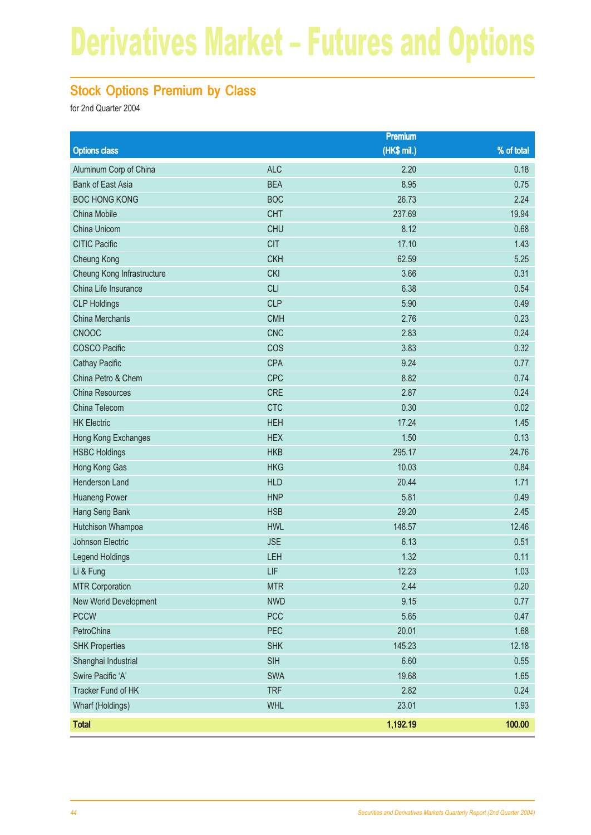### Stock Options Premium by Class

|                            |            | Premium     |            |
|----------------------------|------------|-------------|------------|
| <b>Options class</b>       |            | (HK\$ mil.) | % of total |
| Aluminum Corp of China     | <b>ALC</b> | 2.20        | 0.18       |
| <b>Bank of East Asia</b>   | <b>BEA</b> | 8.95        | 0.75       |
| <b>BOC HONG KONG</b>       | <b>BOC</b> | 26.73       | 2.24       |
| China Mobile               | <b>CHT</b> | 237.69      | 19.94      |
| China Unicom               | <b>CHU</b> | 8.12        | 0.68       |
| <b>CITIC Pacific</b>       | <b>CIT</b> | 17.10       | 1.43       |
| <b>Cheung Kong</b>         | <b>CKH</b> | 62.59       | 5.25       |
| Cheung Kong Infrastructure | <b>CKI</b> | 3.66        | 0.31       |
| China Life Insurance       | <b>CLI</b> | 6.38        | 0.54       |
| <b>CLP Holdings</b>        | <b>CLP</b> | 5.90        | 0.49       |
| <b>China Merchants</b>     | <b>CMH</b> | 2.76        | 0.23       |
| <b>CNOOC</b>               | <b>CNC</b> | 2.83        | 0.24       |
| <b>COSCO Pacific</b>       | COS        | 3.83        | 0.32       |
| <b>Cathay Pacific</b>      | <b>CPA</b> | 9.24        | 0.77       |
| China Petro & Chem         | <b>CPC</b> | 8.82        | 0.74       |
| China Resources            | <b>CRE</b> | 2.87        | 0.24       |
| China Telecom              | <b>CTC</b> | 0.30        | 0.02       |
| <b>HK Electric</b>         | <b>HEH</b> | 17.24       | 1.45       |
| Hong Kong Exchanges        | <b>HEX</b> | 1.50        | 0.13       |
| <b>HSBC Holdings</b>       | <b>HKB</b> | 295.17      | 24.76      |
| Hong Kong Gas              | <b>HKG</b> | 10.03       | 0.84       |
| Henderson Land             | <b>HLD</b> | 20.44       | 1.71       |
| <b>Huaneng Power</b>       | <b>HNP</b> | 5.81        | 0.49       |
| Hang Seng Bank             | <b>HSB</b> | 29.20       | 2.45       |
| Hutchison Whampoa          | <b>HWL</b> | 148.57      | 12.46      |
| Johnson Electric           | <b>JSE</b> | 6.13        | 0.51       |
| Legend Holdings            | LEH        | 1.32        | 0.11       |
| Li & Fung                  | LIF        | 12.23       | 1.03       |
| <b>MTR Corporation</b>     | <b>MTR</b> | 2.44        | 0.20       |
| New World Development      | <b>NWD</b> | 9.15        | 0.77       |
| <b>PCCW</b>                | <b>PCC</b> | 5.65        | 0.47       |
| PetroChina                 | PEC        | 20.01       | 1.68       |
| <b>SHK Properties</b>      | <b>SHK</b> | 145.23      | 12.18      |
| Shanghai Industrial        | <b>SIH</b> | 6.60        | 0.55       |
| Swire Pacific 'A'          | SWA        | 19.68       | 1.65       |
| Tracker Fund of HK         | <b>TRF</b> | 2.82        | 0.24       |
| Wharf (Holdings)           | <b>WHL</b> | 23.01       | 1.93       |
| <b>Total</b>               |            | 1,192.19    | 100.00     |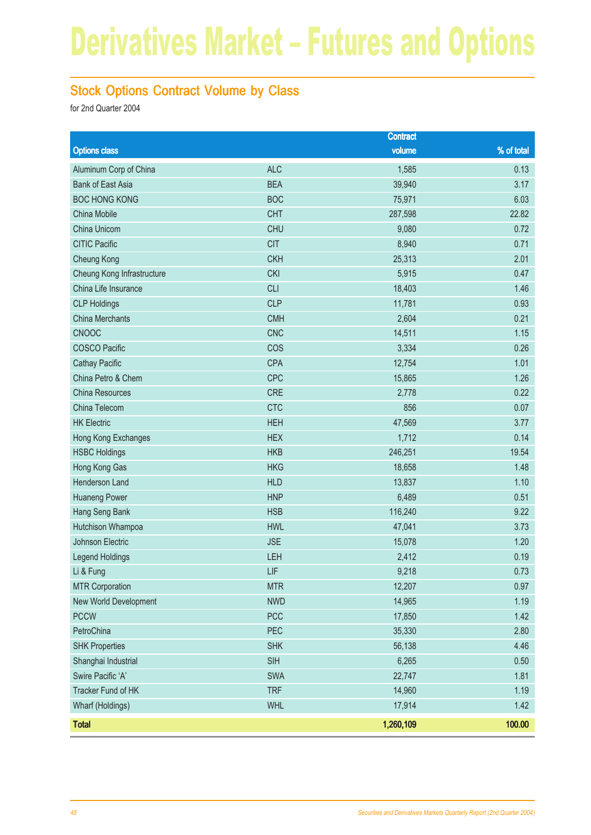### Stock Options Contract Volume by Class

|                            |            | <b>Contract</b> |            |
|----------------------------|------------|-----------------|------------|
| <b>Options class</b>       |            | volume          | % of total |
| Aluminum Corp of China     | <b>ALC</b> | 1,585           | 0.13       |
| <b>Bank of East Asia</b>   | <b>BEA</b> | 39,940          | 3.17       |
| <b>BOC HONG KONG</b>       | <b>BOC</b> | 75,971          | 6.03       |
| China Mobile               | <b>CHT</b> | 287,598         | 22.82      |
| China Unicom               | <b>CHU</b> | 9,080           | 0.72       |
| <b>CITIC Pacific</b>       | <b>CIT</b> | 8,940           | 0.71       |
| Cheung Kong                | <b>CKH</b> | 25,313          | 2.01       |
| Cheung Kong Infrastructure | <b>CKI</b> | 5,915           | 0.47       |
| China Life Insurance       | <b>CLI</b> | 18,403          | 1.46       |
| <b>CLP Holdings</b>        | <b>CLP</b> | 11,781          | 0.93       |
| <b>China Merchants</b>     | <b>CMH</b> | 2,604           | 0.21       |
| <b>CNOOC</b>               | <b>CNC</b> | 14,511          | 1.15       |
| <b>COSCO Pacific</b>       | COS        | 3,334           | 0.26       |
| <b>Cathay Pacific</b>      | <b>CPA</b> | 12,754          | 1.01       |
| China Petro & Chem         | <b>CPC</b> | 15,865          | 1.26       |
| China Resources            | <b>CRE</b> | 2,778           | 0.22       |
| China Telecom              | <b>CTC</b> | 856             | 0.07       |
| <b>HK Electric</b>         | <b>HEH</b> | 47,569          | 3.77       |
| Hong Kong Exchanges        | <b>HEX</b> | 1,712           | 0.14       |
| <b>HSBC Holdings</b>       | <b>HKB</b> | 246,251         | 19.54      |
| Hong Kong Gas              | <b>HKG</b> | 18,658          | 1.48       |
| Henderson Land             | <b>HLD</b> | 13,837          | 1.10       |
| <b>Huaneng Power</b>       | <b>HNP</b> | 6,489           | 0.51       |
| Hang Seng Bank             | <b>HSB</b> | 116,240         | 9.22       |
| Hutchison Whampoa          | <b>HWL</b> | 47,041          | 3.73       |
| Johnson Electric           | <b>JSE</b> | 15,078          | 1.20       |
| Legend Holdings            | LEH        | 2,412           | 0.19       |
| Li & Fung                  | LIF        | 9,218           | 0.73       |
| <b>MTR Corporation</b>     | <b>MTR</b> | 12,207          | 0.97       |
| New World Development      | <b>NWD</b> | 14,965          | 1.19       |
| <b>PCCW</b>                | <b>PCC</b> | 17,850          | 1.42       |
| PetroChina                 | PEC        | 35,330          | 2.80       |
| <b>SHK Properties</b>      | <b>SHK</b> | 56,138          | 4.46       |
| Shanghai Industrial        | SIH        | 6,265           | 0.50       |
| Swire Pacific 'A'          | SWA        | 22,747          | 1.81       |
| Tracker Fund of HK         | <b>TRF</b> | 14,960          | 1.19       |
| Wharf (Holdings)           | <b>WHL</b> | 17,914          | 1.42       |
| <b>Total</b>               |            | 1,260,109       | 100.00     |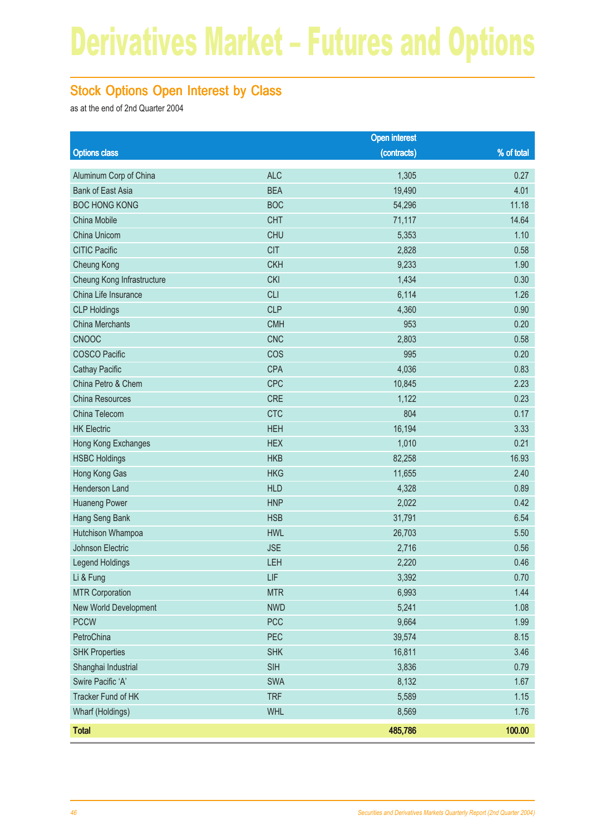### Stock Options Open Interest by Class

as at the end of 2nd Quarter 2004

|                            |            | <b>Open interest</b> |            |
|----------------------------|------------|----------------------|------------|
| <b>Options class</b>       |            | (contracts)          | % of total |
| Aluminum Corp of China     | <b>ALC</b> | 1,305                | 0.27       |
| <b>Bank of East Asia</b>   | <b>BEA</b> | 19,490               | 4.01       |
| <b>BOC HONG KONG</b>       | <b>BOC</b> | 54,296               | 11.18      |
| China Mobile               | <b>CHT</b> | 71,117               | 14.64      |
| China Unicom               | <b>CHU</b> | 5,353                | 1.10       |
| <b>CITIC Pacific</b>       | <b>CIT</b> | 2,828                | 0.58       |
| Cheung Kong                | <b>CKH</b> | 9,233                | 1.90       |
| Cheung Kong Infrastructure | <b>CKI</b> | 1,434                | 0.30       |
| China Life Insurance       | <b>CLI</b> | 6,114                | 1.26       |
| <b>CLP Holdings</b>        | <b>CLP</b> | 4,360                | 0.90       |
| <b>China Merchants</b>     | <b>CMH</b> | 953                  | 0.20       |
| CNOOC                      | <b>CNC</b> | 2,803                | 0.58       |
| <b>COSCO Pacific</b>       | COS        | 995                  | 0.20       |
| <b>Cathay Pacific</b>      | <b>CPA</b> | 4,036                | 0.83       |
| China Petro & Chem         | <b>CPC</b> | 10,845               | 2.23       |
| China Resources            | <b>CRE</b> | 1,122                | 0.23       |
| China Telecom              | <b>CTC</b> | 804                  | 0.17       |
| <b>HK Electric</b>         | <b>HEH</b> | 16,194               | 3.33       |
| Hong Kong Exchanges        | <b>HEX</b> | 1,010                | 0.21       |
| <b>HSBC Holdings</b>       | <b>HKB</b> | 82,258               | 16.93      |
| Hong Kong Gas              | <b>HKG</b> | 11,655               | 2.40       |
| Henderson Land             | <b>HLD</b> | 4,328                | 0.89       |
| <b>Huaneng Power</b>       | <b>HNP</b> | 2,022                | 0.42       |
| Hang Seng Bank             | <b>HSB</b> | 31,791               | 6.54       |
| Hutchison Whampoa          | <b>HWL</b> | 26,703               | 5.50       |
| <b>Johnson Electric</b>    | <b>JSE</b> | 2,716                | 0.56       |
| <b>Legend Holdings</b>     | LEH        | 2,220                | 0.46       |
| Li & Fung                  | LIF        | 3,392                | 0.70       |
| <b>MTR Corporation</b>     | <b>MTR</b> | 6,993                | 1.44       |
| New World Development      | <b>NWD</b> | 5,241                | 1.08       |
| <b>PCCW</b>                | <b>PCC</b> | 9,664                | 1.99       |
| PetroChina                 | PEC        | 39,574               | 8.15       |
| <b>SHK Properties</b>      | <b>SHK</b> | 16,811               | 3.46       |
| Shanghai Industrial        | SIH        | 3,836                | 0.79       |
| Swire Pacific 'A'          | SWA        | 8,132                | 1.67       |
| Tracker Fund of HK         | <b>TRF</b> | 5,589                | 1.15       |
| Wharf (Holdings)           | <b>WHL</b> | 8,569                | 1.76       |
| <b>Total</b>               |            | 485,786              | 100.00     |